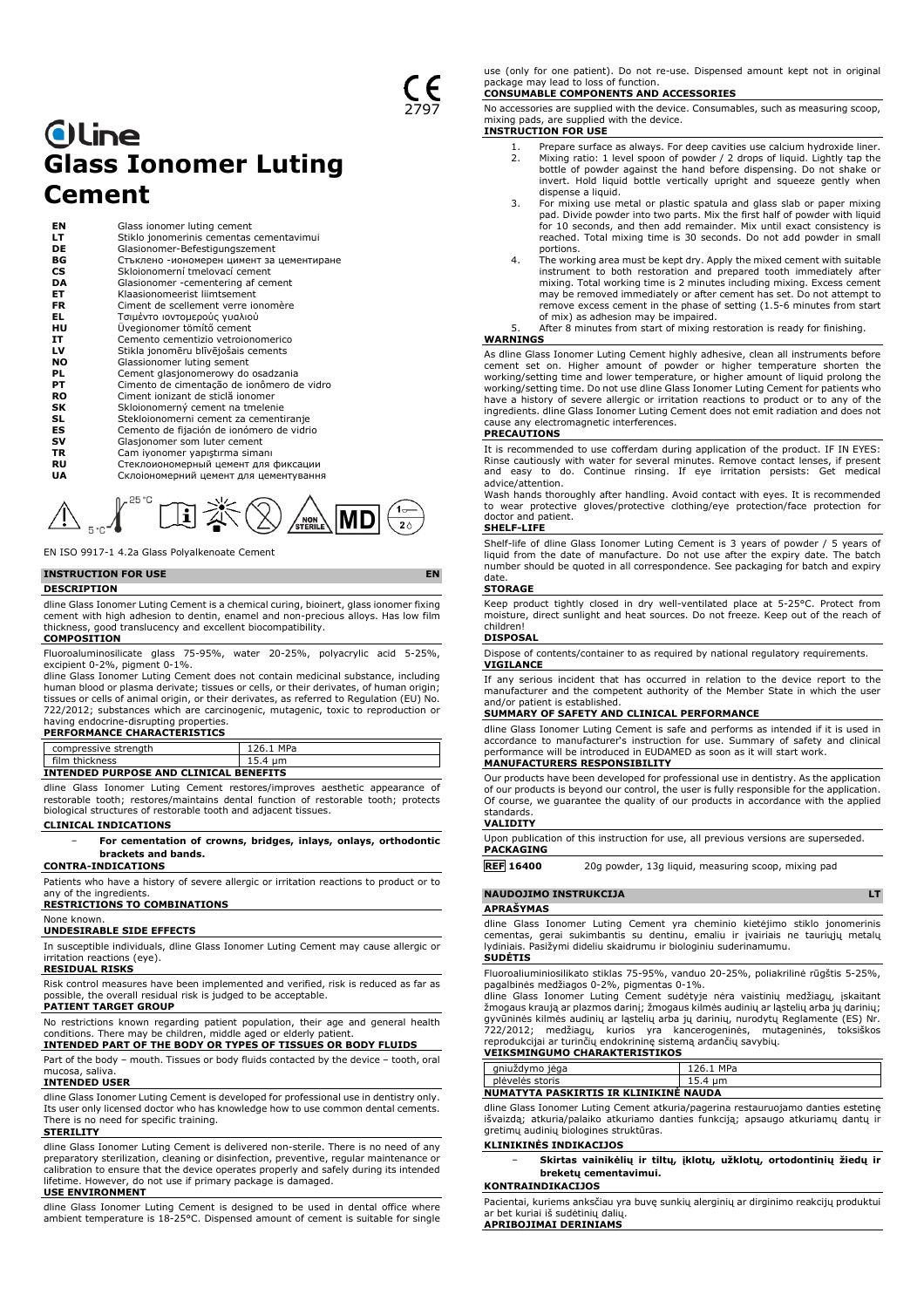# **Oline Glass Ionomer Luting Cement**

| ΕN        | Glass ionomer luting cement                |
|-----------|--------------------------------------------|
| LТ        | Stiklo jonomerinis cementas cementavimui   |
| DE        | Glasionomer-Befestigungszement             |
| ВG        | Стъклено -иономерен цимент за цементиране  |
| <b>CS</b> | Sklojonomerní tmelovací cement             |
| DA        | Glasionomer -cementering af cement         |
| EТ        | Klaasionomeerist liimtsement               |
| FR        | Ciment de scellement verre ionomère        |
| EL.       | Τσιμέντο ιοντομερούς γυαλιού               |
| нu        | Üvegionomer tömítő cement                  |
| IT        | Cemento cementizio vetroionomerico         |
| LV        | Stikla jonomēru blīvējošais cements        |
| NO        | Glassionomer luting sement                 |
| PL        | Cement glasjonomerowy do osadzania         |
| PТ        | Cimento de cimentação de ionômero de vidro |
| RO        | Ciment ionizant de sticlă ionomer          |
| SK        | Skloionomerný cement na tmelenie           |
| SL        | Stekloionomerni cement za cementiranje     |
| ES        | Cemento de fijación de ionómero de vidrio  |
| sv        | Glasjonomer som luter cement               |
| TR        | Cam iyonomer yapıştırma simanı             |
| RU        | Стеклоиономерный цемент для фиксации       |
| UA        | Склоіономерний цемент для цементування     |
|           |                                            |



EN ISO 9917-1 4.2a Glass Polyalkenoate Cement

## **INSTRUCTION FOR USE EN**

#### **DESCRIPTION**

dline Glass Ionomer Luting Cement is a chemical curing, bioinert, glass ionomer fixing cement with high adhesion to dentin, enamel and non-precious alloys. Has low film thickness, good translucency and excellent biocompatibility. **COMPOSITION**

Fluoroaluminosilicate glass 75-95%, water 20-25%, polyacrylic acid 5-25%, excipient 0-2%, pigment 0-1%.

dline Glass Ionomer Luting Cement does not contain medicinal substance, including human blood or plasma derivate; tissues or cells, or their derivates, of human origin; tissues or cells of animal origin, or their derivates, as referred to Regulation (EU) No. 722/2012; substances which are carcinogenic, mutagenic, toxic to reproduction or having endocrine-disrupting properties.

## **PERFORMANCE CHARACTERISTICS**

| compressive strength | MPa<br>76. |  |
|----------------------|------------|--|
| film<br>thickness    | .          |  |
|                      |            |  |

**INTENDED PURPOSE AND CLINICAL BENEFITS** dline Glass Ionomer Luting Cement restores/improves aesthetic appearance of restorable tooth; restores/maintains dental function of restorable tooth; protects biological structures of restorable tooth and adjacent tissues.

#### **CLINICAL INDICATIONS**

− **For cementation of crowns, bridges, inlays, onlays, orthodontic brackets and bands.**

**CONTRA-INDICATIONS**

Patients who have a history of severe allergic or irritation reactions to product or to any of the ingredients.

## **RESTRICTIONS TO COMBINATIONS**

# None known. **UNDESIRABLE SIDE EFFECTS**

In susceptible individuals, dline Glass Ionomer Luting Cement may cause allergic or irritation reactions (eye).

**RESIDUAL RISKS**

Risk control measures have been implemented and verified, risk is reduced as far as possible, the overall residual risk is judged to be acceptable. **PATIENT TARGET GROUP**

No restrictions known regarding patient population, their age and general health conditions. There may be children, middle aged or elderly patient. **INTENDED PART OF THE BODY OR TYPES OF TISSUES OR BODY FLUIDS**

Part of the body – mouth. Tissues or body fluids contacted by the device – tooth, oral mucosa, saliva.

### **INTENDED USER**

dline Glass Ionomer Luting Cement is developed for professional use in dentistry only. Its user only licensed doctor who has knowledge how to use common dental cements. There is no need for specific training.

#### **STERILITY**

dline Glass Ionomer Luting Cement is delivered non-sterile. There is no need of any preparatory sterilization, cleaning or disinfection, preventive, regular maintenance or calibration to ensure that the device operates properly and safely during its intended lifetime. However, do not use if primary package is damaged.

### **USE ENVIRONMENT**

dline Glass Ionomer Luting Cement is designed to be used in dental office where ambient temperature is 18-25°C. Dispensed amount of cement is suitable for single

use (only for one patient). Do not re-use. Dispensed amount kept not in original package may lead to loss of function.

## **CONSUMABLE COMPONENTS AND ACCESSORIES**

No accessories are supplied with the device. Consumables, such as measuring scoop, mixing pads, are supplied with the device.

## **INSTRUCTION FOR USE**

- 1. Prepare surface as always. For deep cavities use calcium hydroxide liner.<br>2. Mixing ratio: 1 level spoon of powder / 2 drops of liquid. Lightly tap the Mixing ratio: 1 level spoon of powder / 2 drops of liquid. Lightly tap the bottle of powder against the hand before dispensing. Do not shake or invert. Hold liquid bottle vertically upright and squeeze gently when dispense a liquid.
- 3. For mixing use metal or plastic spatula and glass slab or paper mixing pad. Divide powder into two parts. Mix the first half of powder with liquid for 10 seconds, and then add remainder. Mix until exact consistency is reached. Total mixing time is 30 seconds. Do not add powder in small
- portions. 4. The working area must be kept dry. Apply the mixed cement with suitable instrument to both restoration and prepared tooth immediately after mixing. Total working time is 2 minutes including mixing. Excess cement may be removed immediately or after cement has set. Do not attempt to remove excess cement in the phase of setting (1.5-6 minutes from start of mix) as adhesion may be impaired.

After 8 minutes from start of mixing restoration is ready for finishing. **WARNINGS**

## As dline Glass Ionomer Luting Cement highly adhesive, clean all instruments before cement set on. Higher amount of powder or higher temperature shorten the working/setting time and lower temperature, or higher amount of liquid prolong the working/setting time. Do not use dline Glass Ionomer Luting Cement for patients who have a history of severe allergic or irritation reactions to product or to any of the ingredients. dline Glass Ionomer Luting Cement does not emit radiation and does not cause any electromagnetic interferences.

## **PRECAUTIONS**

It is recommended to use cofferdam during application of the product. IF IN EYES: Rinse cautiously with water for several minutes. Remove contact lenses, if present and easy to do. Continue rinsing. If eye irritation persists: Get medical advice/attention.

Wash hands thoroughly after handling. Avoid contact with eyes. It is recommended to wear protective gloves/protective clothing/eye protection/face protection for doctor and patient.

#### **SHELF-LIFE**

Shelf-life of dline Glass Ionomer Luting Cement is 3 years of powder / 5 years of liquid from the date of manufacture. Do not use after the expiry date. The batch number should be quoted in all correspondence. See packaging for batch and expiry date.

#### **STORAGE**

Keep product tightly closed in dry well-ventilated place at 5-25°C. Protect from moisture, direct sunlight and heat sources. Do not freeze. Keep out of the reach of children!

### **DISPOSA**

Dispose of contents/container to as required by national regulatory requirements. **VIGILANCE**

If any serious incident that has occurred in relation to the device report to the manufacturer and the competent authority of the Member State in which the user and/or patient is established.

### **SUMMARY OF SAFETY AND CLINICAL PERFORMANCE**

dline Glass Ionomer Luting Cement is safe and performs as intended if it is used in accordance to manufacturer's instruction for use. Summary of safety and clinical performance will be introduced in EUDAMED as soon as it will start work.

Our products have been developed for professional use in dentistry. As the application of our products is beyond our control, the user is fully responsible for the application. Of course, we guarantee the quality of our products in accordance with the applied standards. **VALIDITY**

Upon publication of this instruction for use, all previous versions are superseded. **PACKAGING**

**REF 16400** 20g powder, 13g liquid, measuring scoop, mixing pad

#### **NAUDOJIMO INSTRUKCIJA LT**

**APRAŠYMAS**

dline Glass Ionomer Luting Cement yra cheminio kietėjimo stiklo jonomerinis cementas, gerai sukimbantis su dentinu, emaliu ir įvairiais ne tauriųjų metalų lydiniais. Pasižymi dideliu skaidrumu ir biologiniu suderinamumu. **SUDĖTIS**

Fluoroaliuminiosilikato stiklas 75-95%, vanduo 20-25%, poliakrilinė rūgštis 5-25%, pagalbinės medžiagos 0-2%, pigmentas 0-1%. dline Glass Ionomer Luting Cement sudėtyje nėra vaistinių medžiagų, įskaitant

žmogaus kraują ar plazmos darinį; žmogaus kilmės audinių ar ląstelių arba jų darinių; gyvūninės kilmės audinių ar ląstelių arba jų darinių, nurodytų Reglamente (ES) Nr.<br>722/2012; medžiagų, kurios yra kancerogeninės, mutageninės, toksiškos<br>reprodukcijai ar turinčių endokrininę sistemą ardančių savybių.

#### **VEIKSMINGUMO CHARAKTERISTIKOS**

| gniużdymo jega                        | 126.1 MPa |  |
|---------------------------------------|-----------|--|
| plėvelės storis                       | 15.4 um   |  |
| NUMATYTA PASKIRTIS IR KLINIKINE NAUDA |           |  |

dline Glass Ionomer Luting Cement atkuria/pagerina restauruojamo danties estetinę išvaizdą; atkuria/palaiko atkuriamo danties funkciją; apsaugo atkuriamų dantų ir gretimų audinių biologines struktūras.

## **KLINIKINĖS INDIKACIJOS**

− **Skirtas vainikėlių ir tiltų, įklotų, užklotų, ortodontinių žiedų ir breketų cementavimui.**

Pacientai, kuriems anksčiau yra buvę sunkių alerginių ar dirginimo reakcijų produktui ar bet kuriai iš sudėtinių dalių.

**APRIBOJIMAI DERINIAMS**

**KONTRAINDIKACIJOS**

**MANUFACTURERS RESPONSIBILITY**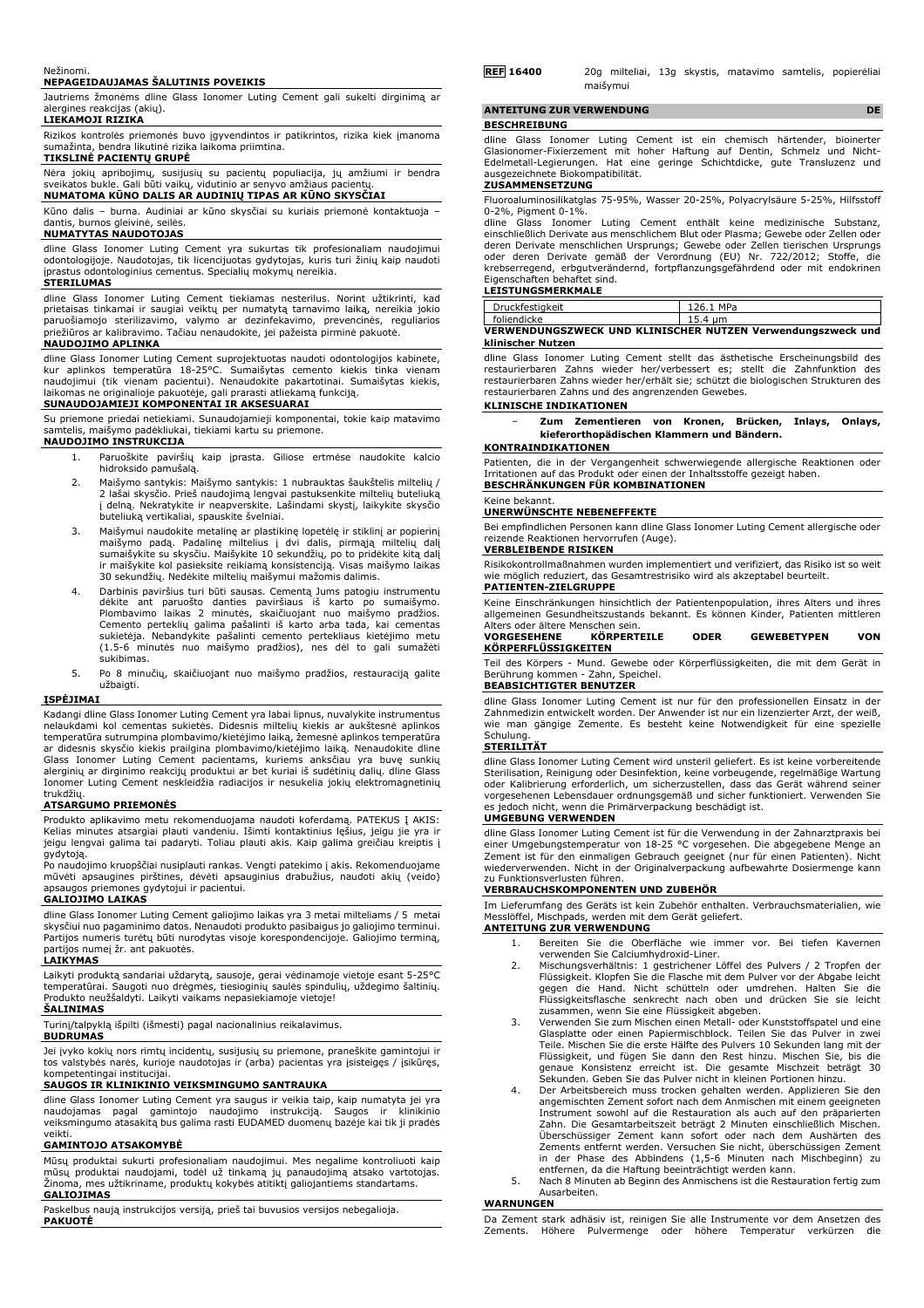#### Nežinomi.

## **NEPAGEIDAUJAMAS ŠALUTINIS POVEIKIS**

Jautriems žmonėms dline Glass Ionomer Luting Cement gali sukelti dirginimą ar alergines reakcijas (akių). **LIEKAMOJI RIZIKA**

Rizikos kontrolės priemonės buvo įgyvendintos ir patikrintos, rizika kiek įmanoma sumažinta, bendra likutinė rizika laikoma priimtina.

#### **TIKSLINĖ PACIENTŲ GRUPĖ**

Nėra jokių apribojimų, susijusių su pacientų populiacija, jų amžiumi ir bendra sveikatos bukle. Gali būti vaikų, vidutinio ar senyvo amžiaus pacientų. **NUMATOMA KŪNO DALIS AR AUDINIŲ TIPAS AR KŪNO SKYSČIAI**

Kūno dalis – burna. Audiniai ar kūno skysčiai su kuriais priemonė kontaktuoja – dantis, burnos gleivinė, seilės.

#### **NUMATYTAS NAUDOTOJAS**

dline Glass Ionomer Luting Cement yra sukurtas tik profesionaliam naudojimui odontologijoje. Naudotojas, tik licencijuotas gydytojas, kuris turi žinių kaip naudoti įprastus odontologinius cementus. Specialių mokymų nereikia.

## **STERILUMAS**

dline Glass Ionomer Luting Cement tiekiamas nesterilus. Norint užtikrinti, kad prietaisas tinkamai ir saugiai veiktų per numatytą tarnavimo laiką, nereikia jokio paruošiamojo sterilizavimo, valymo ar dezinfekavimo, prevencinės, reguliarios priežiūros ar kalibravimo. Tačiau nenaudokite, jei pažeista pirminė pakuotė.

## **NAUDOJIMO APLINKA**

dline Glass Ionomer Luting Cement suprojektuotas naudoti odontologijos kabinete, kur aplinkos temperatūra 18-25°C. Sumaišytas cemento kiekis tinka vienam naudojimui (tik vienam pacientui). Nenaudokite pakartotinai. Sumaišytas kiekis, laikomas ne originalioje pakuotėje, gali prarasti atliekamą funkciją.

## **SUNAUDOJAMIEJI KOMPONENTAI IR AKSESUARAI**

Su priemone priedai netiekiami. Sunaudojamieji komponentai, tokie kaip matavimo samtelis, maišymo padėkliukai, tiekiami kartu su priemone.

#### **NAUDOJIMO INSTRUKCIJA**

- 1. Paruoškite paviršių kaip įprasta. Giliose ertmėse naudokite kalcio hidroksido pamušalą.
- 2. Maišymo santykis: Maišymo santykis: 1 nubrauktas šaukštelis miltelių / 2 lašai skysčio. Prieš naudojimą lengvai pastuksenkite miltelių buteliuką į delną. Nekratykite ir neapverskite. Lašindami skystį, laikykite skysčio buteliuką vertikaliai, spauskite švelniai.
- 3. Maišymui naudokite metalinę ar plastikinę lopetėlę ir stiklinį ar popierinį maišymo padą. Padalinę miltelius į dvi dalis, pirmąją miltelių dalį<br>sumaišykite su skysčiu. Maišykite 10 sekundžių, po to pridėkite kitą dalį<br>ir maišykite kol pasieksite reikiamą konsistenciją. Visas maišymo laikas<br>30 seku
- 4. Darbinis paviršius turi būti sausas. Cementą Jums patogiu instrumentu dėkite ant paruošto danties paviršiaus iš karto po sumaišymo. Plombavimo laikas 2 minutės, skaičiuojant nuo maišymo pradžios. Cemento perteklių galima pašalinti iš karto arba tada, kai cementas sukietėja. Nebandykite pašalinti cemento pertekliaus kietėjimo metu (1.5-6 minutės nuo maišymo pradžios), nes dėl to gali sumažėti sukibimas.
- 5. Po 8 minučių, skaičiuojant nuo maišymo pradžios, restauraciją galite užbaigti.

## **ĮSPĖJIMAI**

Kadangi dline Glass Ionomer Luting Cement yra labai lipnus, nuvalykite instrumentus nelaukdami kol cementas sukietės. Didesnis miltelių kiekis ar aukštesnė aplinkos temperatūra sutrumpina plombavimo/kietėjimo laiką, žemesnė aplinkos temperatūra ar didesnis skysčio kiekis prailgina plombavimo/kietėjimo laiką. Nenaudokite dline Glass Ionomer Luting Cement pacientams, kuriems anksčiau yra buvę sunkių alerginių ar dirginimo reakcijų produktui ar bet kuriai iš sudėtinių dalių. dline Glass Ionomer Luting Cement neskleidžia radiacijos ir nesukelia jokių elektromagnetinių

# trukdžių. **ATSARGUMO PRIEMONĖS**

Produkto aplikavimo metu rekomenduojama naudoti koferdamą. PATEKUS Į AKIS: Kelias minutes atsargiai plauti vandeniu. Išimti kontaktinius lęšius, jeigu jie yra ir jeigu lengvai galima tai padaryti. Toliau plauti akis. Kaip galima greičiau kreiptis į gydytoją.

Po naudojimo kruopščiai nusiplauti rankas. Vengti patekimo į akis. Rekomenduojame mūvėti apsaugines pirštines, dėvėti apsauginius drabužius, naudoti akių (veido) gydytojui ir pacientui.

#### **GALIOJIMO LAIKAS**

dline Glass Ionomer Luting Cement galiojimo laikas yra 3 metai milteliams / 5 metai skysčiui nuo pagaminimo datos. Nenaudoti produkto pasibaigus jo galiojimo terminui. Partijos numeris turėtų būti nurodytas visoje korespondencijoje. Galiojimo terminą, partijos numeį žr. ant pakuotės.

## **LAIKYMAS**

Laikyti produktą sandariai uždarytą, sausoje, gerai vėdinamoje vietoje esant 5-25°C<br>temperatūrai. Saugoti nuo drėgmės, tiesioginių saulės spindulių, uždegimo šaltinių.<br>Produkto neužšaldyti. Laikyti vaikams nepasiekiamoje v

## **ŠALINIMAS**

Turinį/talpyklą išpilti (išmesti) pagal nacionalinius reikalavimus.

## **BUDRUMAS**

Jei įvyko kokių nors rimtų incidentų, susijusių su priemone, praneškite gamintojui ir tos valstybės narės, kurioje naudotojas ir (arba) pacientas yra įsisteigęs / įsikūręs, kompetentingai institucijai.

## **SAUGOS IR KLINIKINIO VEIKSMINGUMO SANTRAUKA**

dline Glass Ionomer Luting Cement yra saugus ir veikia taip, kaip numatyta jei yra naudojamas pagal gamintojo naudojimo instrukciją. Saugos ir klinikinio veiksmingumo atasakitą bus galima rasti EUDAMED duomenų bazėje kai tik ji pradės veikti.

## **GAMINTOJO ATSAKOMYBĖ**

Mūsų produktai sukurti profesionaliam naudojimui. Mes negalime kontroliuoti kaip<br>mūsų produktai naudojami, todėl už tinkamą jų panaudojimą atsako vartotojas.<br>Žinoma, mes užtikriname, produktų kokybės atitiktį galiojantiems **GALIOJIMAS**

Paskelbus naują instrukcijos versiją, prieš tai buvusios versijos nebegalioja. **PAKUOTĖ**

| <b>REF 16400</b> |          |  | 20g milteliai, 13g skystis, matavimo samtelis, popierėliai |  |
|------------------|----------|--|------------------------------------------------------------|--|
|                  | maišvmui |  |                                                            |  |

## **ANTEITUNG ZUR VERWENDUNG DE BESCHREIBUNG**

dline Glass Ionomer Luting Cement ist ein chemisch härtender, bioinerter Glasionomer-Fixierzement mit hoher Haftung auf Dentin, Schmelz und Nicht-Edelmetall-Legierungen. Hat eine geringe Schichtdicke, gute Transluzenz und ausgezeichnete Biokompatibilität.

## **ZUSAMMENSETZUNG**

Fluoroaluminosilikatglas 75-95%, Wasser 20-25%, Polyacrylsäure 5-25%, Hilfsstoff

0-2%, Pigment 0-1%. dline Glass Ionomer Luting Cement enthält keine medizinische Substanz, einschließlich Derivate aus menschlichem Blut oder Plasma; Gewebe oder Zellen oder<br>deren Derivate menschlichen Ursprungs; Gewebe oder Zellen tierischen Ursprungs<br>oder deren Derivate gemäß der Verordnung (EU) Nr. 72 krebserregend, erbgutverändernd, fortpflanzungsgefährdend oder mit endokrinen Eigenschaften behaftet sind.

## **LEISTUNGSMERKMALE**

| Druckfestigkeit                                             | 126.1 MPa |  |  |  |
|-------------------------------------------------------------|-----------|--|--|--|
| foliendicke                                                 | 15.4 um   |  |  |  |
| VERWENDUNGSZWECK UND KLINISCHER NUTZEN Verwendungszweck und |           |  |  |  |
| klinischer Nutzen                                           |           |  |  |  |

dline Glass Ionomer Luting Cement stellt das ästhetische Erscheinungsbild des restaurierbaren Zahns wieder her/verbessert es; stellt die Zahnfunktion des restaurierbaren Zahns wieder her/erhält sie; schützt die biologischen Strukturen des restaurierbaren Zahns und des angrenzenden Gewebes.

## **KLINISCHE INDIKATIONEN**

− **Zum Zementieren von Kronen, Brücken, Inlays, Onlays, kieferorthopädischen Klammern und Bändern.**

## **KONTRAINDIKATIONEN**

Patienten, die in der Vergangenheit schwerwiegende allergische Reaktionen oder Irritationen auf das Produkt oder einen der Inhaltsstoffe gezeigt haben. **BESCHRÄNKUNGEN FÜR KOMBINATIONEN**

## Keine bekannt.

#### **UNERWÜNSCHTE NEBENEFFEKTE**

Bei empfindlichen Personen kann dline Glass Ionomer Luting Cement allergische oder reizende Reaktionen hervorrufen (Auge).

## **VERBLEIBENDE RISIKEN**

Risikokontrollmaßnahmen wurden implementiert und verifiziert, das Risiko ist so weit wie möglich reduziert, das Gesamtrestrisiko wird als akzeptabel beurteilt. **PATIENTEN-ZIELGRUPPE**

Keine Einschränkungen hinsichtlich der Patientenpopulation, ihres Alters und ihres allgemeinen Gesundheitszustands bekannt. Es können Kinder, Patienten mittleren

#### Alters oder ältere Menschen sein.<br> **VORGESEHENE KÖRPERTEILE VORGESEHENE KÖRPERTEILE ODER GEWEBETYPEN VON KÖRPERFLÜSSIGKEITEN**

Teil des Körpers - Mund. Gewebe oder Körperflüssigkeiten, die mit dem Gerät in Berührung kommen - Zahn, Speichel.

## **BEABSICHTIGTER BENUTZER**

dline Glass Ionomer Luting Cement ist nur für den professionellen Einsatz in der Zahnmedizin entwickelt worden. Der Anwender ist nur ein lizenzierter Arzt, der weiß, wie man gängige Zemente. Es besteht keine Notwendigkeit für eine spezielle **Schulung** 

#### **STERILITÄT**

dline Glass Ionomer Luting Cement wird unsteril geliefert. Es ist keine vorbereitende Sterilisation, Reinigung oder Desinfektion, keine vorbeugende, regelmäßige Wartung oder Kalibrierung erforderlich, um sicherzustellen, dass das Gerät während seiner vorgesehenen Lebensdauer ordnungsgemäß und sicher funktioniert. Verwenden Sie es jedoch nicht, wenn die Primärverpackung beschädigt ist.

## **UMGEBUNG VERWENDEN**

dline Glass Ionomer Luting Cement ist für die Verwendung in der Zahnarztpraxis bei<br>einer Umgebungstemperatur von 18-25 °C vorgesehen. Die abgegebene Menge an<br>Zement ist für den einmaligen Gebrauch geeignet (nur für einen P wiederverwenden. Nicht in der Originalverpackung aufbewahrte Dosiermenge kann zu Funktionsverlusten führen.

## **VERBRAUCHSKOMPONENTEN UND ZUBEHÖR**

Im Lieferumfang des Geräts ist kein Zubehör enthalten. Verbrauchsmaterialien, wie Messlöffel, Mischpads, werden mit dem Gerät geliefert.

## **ANTEITUNG ZUR VERWENDUNG**

- 1. Bereiten Sie die Oberfläche wie immer vor. Bei tiefen Kavernen verwenden Sie Calciumhydroxid-Liner. 2. Mischungsverhältnis: 1 gestrichener Löffel des Pulvers / 2 Tropfen der
- Flüssigkeit. Klopfen Sie die Flasche mit dem Pulver vor der Abgabe leicht gegen die Hand. Nicht schütteln oder umdrehen. Halten Sie die Flüssigkeitsflasche senkrecht nach oben und drücken Sie sie leicht zusammen, wenn Sie eine Flüssigkeit abgeben.
- 3. Verwenden Sie zum Mischen einen Metall- oder Kunststoffspatel und eine Glasplatte oder einen Papiermischblock. Teilen Sie das Pulver in zwei Teile. Mischen Sie die erste Hälfte des Pulvers 10 Sekunden lang mit der<br>Flüssigkeit, und fügen Sie dann den Rest hinzu. Mischen Sie, bis die<br>genaue Konsistenz erreicht ist. Die gesamte Mischzeit beträgt 30
- Sekunden. Geben Sie das Pulver nicht in kleinen Portionen hinzu. 4. Der Arbeitsbereich muss trocken gehalten werden. Applizieren Sie den angemischten Zement sofort nach dem Anmischen mit einem geeigneten Instrument sowohl auf die Restauration als auch auf den präparierten Zahn. Die Gesamtarbeitszeit beträgt 2 Minuten einschließlich Mischen.<br>Überschüssiger Zement kann sofort oder nach dem Aushärten des<br>Zements entfernt werden. Versuchen Sie nicht, überschüssigen Zement in der Phase des Abbindens (1,5-6 Minuten nach Mischbeginn) zu entfernen, da die Haftung beeinträchtigt werden kann.
- 5. Nach 8 Minuten ab Beginn des Anmischens ist die Restauration fertig zum Ausarbeiten.

#### **WARNUNGEN**

Da Zement stark adhäsiv ist, reinigen Sie alle Instrumente vor dem Ansetzen des Zements. Höhere Pulvermenge oder höhere Temperatur verkürzen die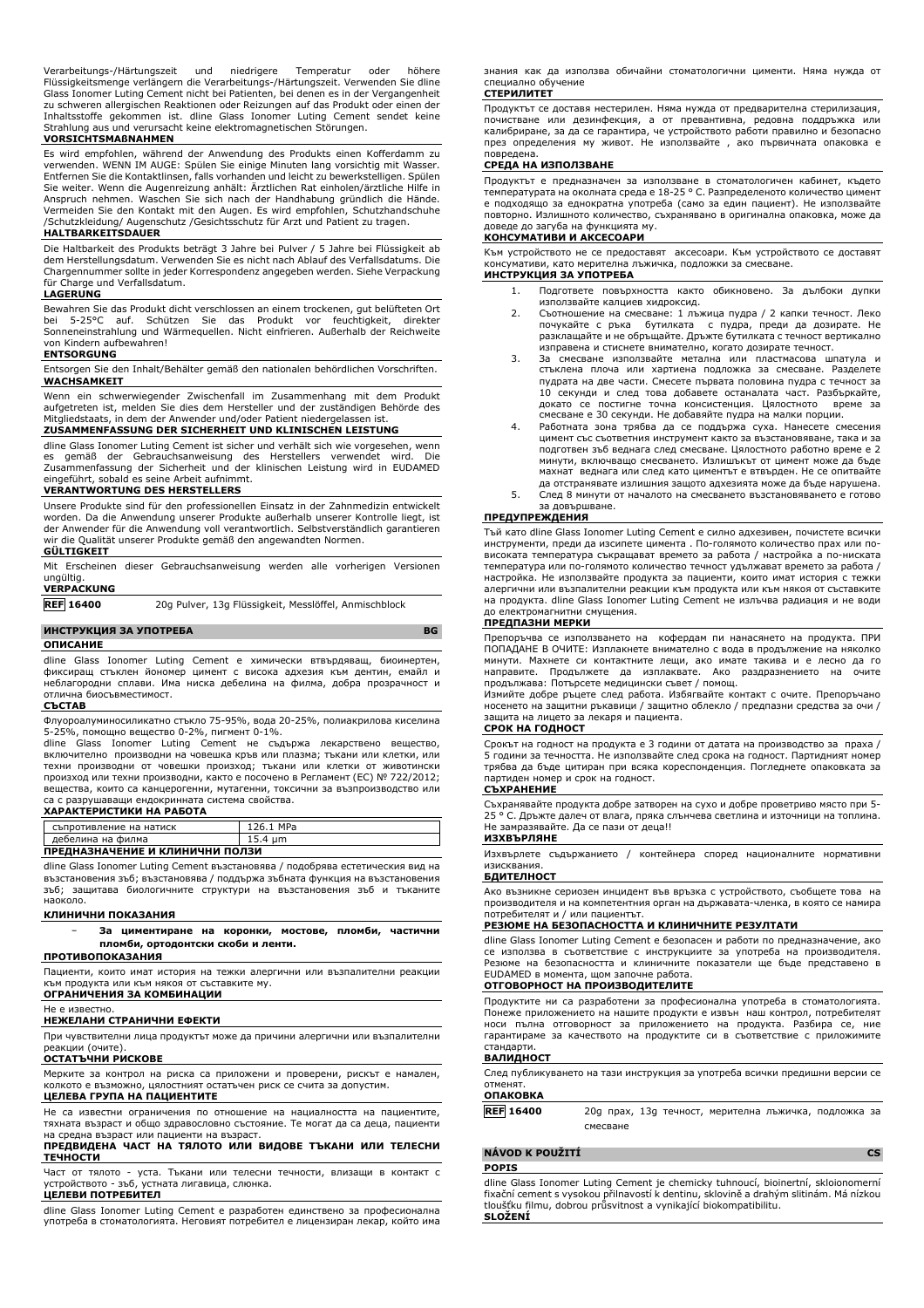Verarbeitungs-/Härtungszeit und niedrigere Temperatur oder höhere Flüssigkeitsmenge verlängern die Verarbeitungs-/Härtungszeit. Verwenden Sie dline Glass Ionomer Luting Cement nicht bei Patienten, bei denen es in der Vergangenheit zu schweren allergischen Reaktionen oder Reizungen auf das Produkt oder einen der Inhaltsstoffe gekommen ist. dline Glass Ionomer Luting Cement sendet keine Strahlung aus und verursacht keine elektromagnetischen Störungen.

## **VORSICHTSMAßNAHMEN**

Es wird empfohlen, während der Anwendung des Produkts einen Kofferdamm zu verwenden. WENN IM AUGE: Spülen Sie einige Minuten lang vorsichtig mit Wasser. Entfernen Sie die Kontaktlinsen, falls vorhanden und leicht zu bewerkstelligen. Spülen Sie weiter. Wenn die Augenreizung anhält: Arztlichen Rat einholen/ärztliche Hilfe in<br>Anspruch nehmen. Waschen Sie sich nach der Handhabung gründlich die Hände.<br>Vermeiden Sie den Kontakt mit den Augen. Es wird empfohlen, Sc /Schutzkleidung/ Augenschutz /Gesichtsschutz für Arzt und Patient zu tragen.

### **HALTBARKEITSDAUER**

Die Haltbarkeit des Produkts beträgt 3 Jahre bei Pulver / 5 Jahre bei Flüssigkeit ab dem Herstellungsdatum. Verwenden Sie es nicht nach Ablauf des Verfallsdatums. Die Chargennummer sollte in jeder Korrespondenz angegeben werden. Siehe Verpackung für Charge und Verfallsdatum.

#### **LAGERUNG**

Bewahren Sie das Produkt dicht verschlossen an einem trockenen, gut belüfteten Ort<br>bei 5-25°C auf Schützen, Sie das Produkt, vor, feuchtigkeit, direkter bei 5-25°C auf. Schützen Sie das Produkt vor feuchtigkeit, direkter Sonneneinstrahlung und Wärmequellen. Nicht einfrieren. Außerhalb der Reichweite von Kindern aufbewahren! **ENTSORGUNG**

Entsorgen Sie den Inhalt/Behälter gemäß den nationalen behördlichen Vorschriften. **WACHSAMKEIT**

Wenn ein schwerwiegender Zwischenfall im Zusammenhang mit dem Produkt aufgetreten ist, melden Sie dies dem Hersteller und der zuständigen Behörde des<br>Mitgliedstaats, in dem der Anwender und/oder Patient niedergelassen ist. mittelstaats, in dem der Anwender und/oder Patient niedergelassen ist.

## **ZUSAMMENFASSUNG DER SICHERHEIT UND KLINISCHEN LEISTUNG**

dline Glass Ionomer Luting Cement ist sicher und verhält sich wie vorgesehen, wenn es gemäß der Gebrauchsanweisung des Herstellers verwendet wird. Die Zusammenfassung der Sicherheit und der klinischen Leistung wird in EUDAMED sobald es seine Arbeit aufnimmt.

### **VERANTWORTUNG DES HERSTELLERS**

Unsere Produkte sind für den professionellen Einsatz in der Zahnmedizin entwickelt worden. Da die Anwendung unserer Produkte außerhalb unserer Kontrolle liegt, ist der Anwender für die Anwendung voll verantwortlich. Selbstverständlich garantieren wir die Qualität unserer Produkte gemäß den angewandten Normen.

## **GÜLTIGKEIT**

Mit Erscheinen dieser Gebrauchsanweisung werden alle vorherigen Versionen ungültig.

## **VERPACKUNG**

**REF 16400** 20g Pulver, 13g Flüssigkeit, Messlöffel, Anmischblock

#### **ИНСТРУКЦИЯ ЗА УПОТРЕБА BG**

#### **ОПИСАНИЕ**

dline Glass Ionomer Luting Cement е химически втвърдяващ, биоинертен, фиксиращ стъклен йономер цимент с висока адхезия към дентин, емайл и неблагородни сплави. Има ниска дебелина на филма, добра прозрачност и отлична биосъвместимост.

## **СЪСТАВ**

Флуороалуминосиликатно стъкло 75-95%, вода 20-25%, полиакрилова киселина  $-25\%$ , помощно вещество 0-2%, пигмент 0-1%.

dline Glass Ionomer Luting Cement не съдържа лекарствено вещество, включително производни на човешка кръв или плазма; тъкани или клетки, или техни производни от човешки произход; тъкани или клетки от животински произход или техни производни, както е посочено в Регламент (ЕС) № 722/2012; вещества, които са канцерогенни, мутагенни, токсични за възпроизводство или са с разрушаващи ендокринната система свойства.

#### **ХАРАКТЕРИСТИКИ НА РАБОТА**

| съпротивление на натиск         | 126.1 MPa |  |
|---------------------------------|-----------|--|
| дебелина на филма               | 15.4 um   |  |
| ПРЕДНАЗНАЧЕНИЕ И КЛИНИЧНИ ПОЛЗИ |           |  |

dline Glass Ionomer Luting Cement възстановява / подобрява естетическия вид на възстановения зъб; възстановява / поддържа зъбната функция на възстановения зъб; защитава биологичните структури на възстановения зъб и тъканите наоколо.

### **КЛИНИЧНИ ПОКАЗАНИЯ**

− **За циментиране на коронки, мостове, пломби, частични пломби, ортодонтски скоби и ленти.**

## **ПРОТИВОПОКАЗАНИЯ**

Пациенти, които имат история на тежки алергични или възпалителни реакции към продукта или към някоя от съставките му. **ОГРАНИЧЕНИЯ ЗА КОМБИНАЦИИ**

#### Не е известно.

#### **НЕЖЕЛАНИ СТРАНИЧНИ ЕФЕКТИ**

При чувствителни лица продуктът може да причини алергични или възпалителни реакции (очите).

## **ОСТАТЪЧНИ РИСКОВЕ**

Мерките за контрол на риска са приложени и проверени, рискът е намален, колкото е възможно, цялостният остатъчен риск се счита за допустим. **ЦЕЛЕВА ГРУПА НА ПАЦИЕНТИТЕ**

Не са известни ограничения по отношение на нациалността на пациентите, тяхната възраст и общо здравословно състояние. Те могат да са деца, пациенти на средна възраст или пациенти на възраст.

## **ПРЕДВИДЕНА ЧАСТ НА ТЯЛОТО ИЛИ ВИДОВЕ ТЪКАНИ ИЛИ ТЕЛЕСНИ ТЕЧНОСТИ**

Част от тялото - уста. Тъкани или телесни течности, влизащи в контакт с устройството - зъб, устната лигавица, слюнка.

## **ЦЕЛЕВИ ПОТРЕБИТЕЛ**

dline Glass Ionomer Luting Cement е разработен единствено за професионална употреба в стоматологията. Неговият потребител е лицензиран лекар, който има знания как да използва обичайни стоматологични цименти. Няма нужда от специално обучение

## **СТЕРИЛИТЕТ**

Продуктът се доставя нестерилен. Няма нужда от предварителна стерилизация, почистване или дезинфекция, а от превантивна, редовна поддръжка или калибриране, за да се гарантира, че устройството работи правилно и безопасно през определения му живот. Не използвайте , ако първичната опаковка е повредена.

### **СРЕДА НА ИЗПОЛЗВАНЕ**

Продуктът е предназначен за използване в стоматологичен кабинет, където температурата на околната среда е 18-25 ° C. Разпределеното количество цимент е подходящо за еднократна употреба (само за един пациент). Не използвайте повторно. Излишното количество, съхранявано в оригинална опаковка, може да доведе до загуба на функцията му.

### **КОНСУМАТИВИ И АКСЕСОАРИ**

Към устройството не се предоставят аксесоари. Към устройството се доставят консумативи, като мерителна лъжичка, подложки за смесване. **ИНСТРУКЦИЯ ЗА УПОТРЕБА**

#### 1. Подгответе повърхността както обикновено. За дълбоки дупки използвайте калциев хидроксид.

- 2. Съотношение на смесване: 1 лъжица пудра / 2 капки течност. Леко почукайте с ръка бутилката с пудра, преди да дозирате. Не разклащайте и не обръщайте. Дръжте бутилката с течност вертикално изправена и стиснете внимателно, когато дозирате течност.
- 3. За смесване използвайте метална или пластмасова шпатула и стъклена плоча или хартиена подложка за смесване. Разделете пудрата на две части. Смесете първата половина пудра с течност за 10 секунди и след това добавете останалата част. Разбъркайте, докато се постигне точна консистенция. Цялостното време за смесване е 30 секунди. Не добавяйте пудра на малки порции.
- 4. Работната зона трябва да се поддържа суха. Нанесете смесения цимент със съответния инструмент както за възстановяване, така и за подготвен зъб веднага след смесване. Цялостното работно време е 2 минути, включващо смесването. Излишъкът от цимент може да бъде махнат веднага или след като циментът е втвърден. Не се опитвайте да отстранявате излишния защото адхезията може да бъде нарушена. 5. След 8 минути от началото на смесването възстановяването е готово
- ----д ------, --- .<br>за довършване.

## **ПРЕДУПРЕЖДЕНИЯ**

Тъй като dline Glass Ionomer Luting Cement е силно адхезивен, почистете всички инструменти, преди да изсипете цимента . По-голямото количество прах или повисоката температура съкращават времето за работа / настройка а по-ниската температура или по-голямото количество течност удължават времето за работа / настройка. Не използвайте продукта за пациенти, които имат история с тежки алергични или възпалителни реакции към продукта или към някоя от съставките на продукта. dline Glass Ionomer Luting Cement не излъчва радиация и не води до електромагнитни смущения.

### **ПРЕДПАЗНИ МЕРКИ**

Препоръчва се използването на кофердам пи нанасянето на продукта. ПРИ ПОПАДАНЕ В ОЧИТЕ: Изплакнете внимателно с вода в продължение на няколко минути. Махнете си контактните лещи, ако имате такива и е лесно да го направите. Продължете да изплаквате. Ако раздразнението на очите продължава: Потърсете медицински съвет / помощ.

Измийте добре ръцете след работа. Избягвайте контакт с очите. Препоръчано носенето на защитни ръкавици / защитно облекло / предпазни средства за очи / защита на лицето за лекаря и пациента.

### **СРОК НА ГОДНОСТ**

Срокът на годност на продукта е 3 години от датата на производство за праха / 5 години за течността. Не използвайте след срока на годност. Партидният номер трябва да бъде цитиран при всяка кореспонденция. Погледнете опаковката за партиден номер и срок на годност.

## **СЪХРАНЕНИЕ**

Съхранявайте продукта добре затворен на сухо и добре проветриво място при 5- 25 ° C. Дръжте далеч от влага, пряка слънчева светлина и източници на топлина. Не замразявайте. Да се пази от деца!!

### **ИЗХВЪРЛЯНЕ**

Изхвърлете съдържанието / контейнера според националните нормативни изисквания.

## **БДИТЕЛНОСТ**

Ако възникне сериозен инцидент във връзка с устройството, съобщете това на производителя и на компетентния орган на държавата-членка, в която се намира потребителят и / или пациентът.

## **РЕЗЮМЕ НА БЕЗОПАСНОСТТА И КЛИНИЧНИТЕ РЕЗУЛТАТИ**

dline Glass Ionomer Luting Cement е безопасен и работи по предназначение, ако се използва в съответствие с инструкциите за употреба на производителя. Резюме на безопасността и клиничните показатели ще бъде представено в EUDAMED в момента, щом започне работа.

#### **ОТГОВОРНОСТ НА ПРОИЗВОДИТЕЛИТЕ**

Продуктите ни са разработени за професионална употреба в стоматологията. Понеже приложението на нашите продукти е извън наш контрол, потребителят носи пълна отговорност за приложението на продукта. Разбира се, ние гарантираме за качеството на продуктите си в съответствие с приложимите стандарти.

#### **ВАЛИДНОСТ**

След публикуването на тази инструкция за употреба всички предишни версии се отменят.

#### **ОПАКОВКА**

**REF 16400** 20g прах, 13g течност, мерителна лъжичка, подложка за смесване

### **NÁVOD K POUŽITÍ CS**

### **POPIS**

dline Glass Ionomer Luting Cement je chemicky tuhnoucí, bioinertní, skloionomerní fixační cement s vysokou přilnavostí k dentinu, sklovině a drahým slitinám. Má nízkou tloušťku filmu, dobrou průsvitnost a vynikající biokompatibilitu. **SLOŽENÍ**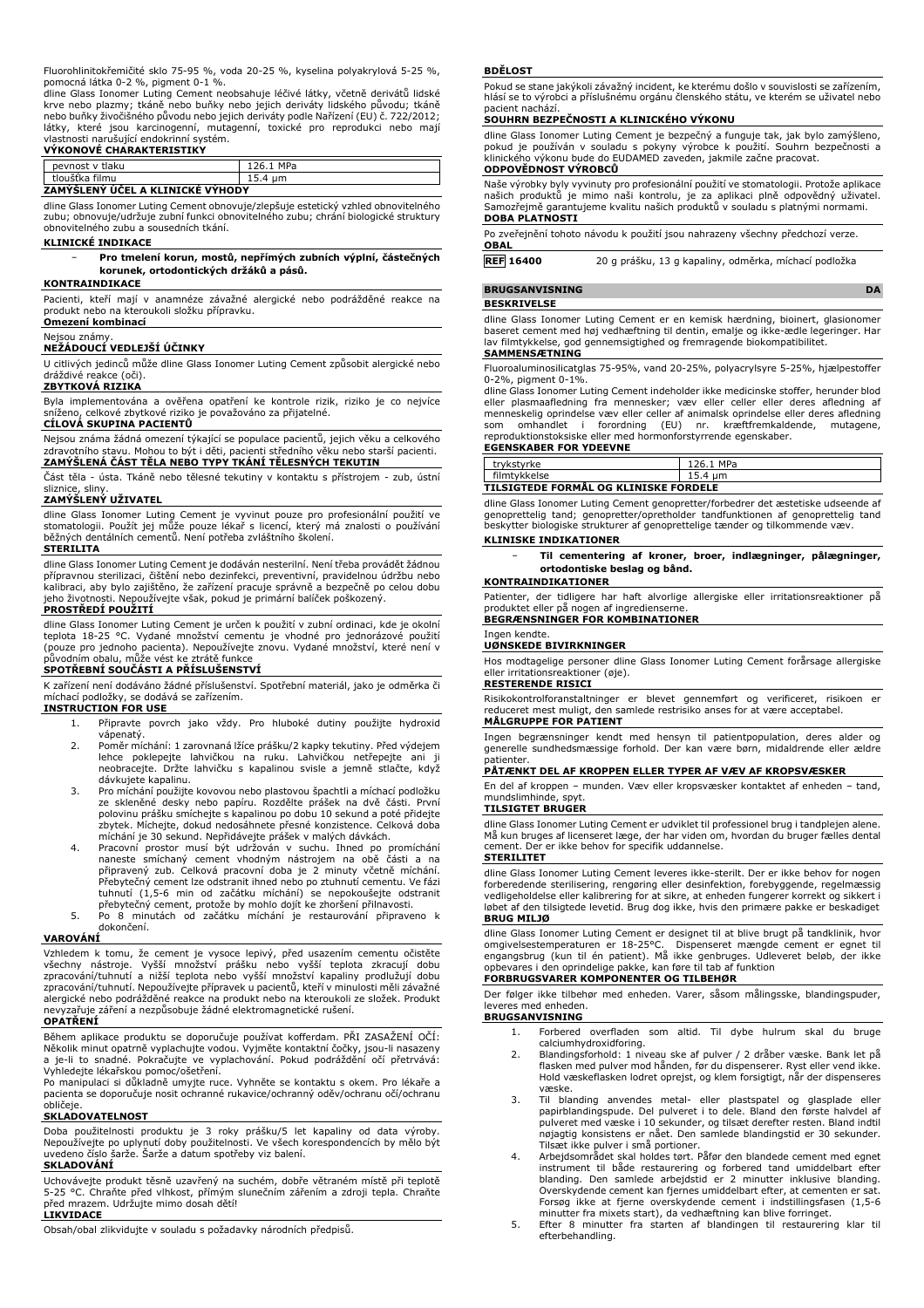Fluorohlinitokřemičité sklo 75-95 %, voda 20-25 %, kyselina polyakrylová 5-25 %,

pomocná látka 0-2 %, pigment 0-1 %.<br>dline Glass Ionomer Luting Cement neobsahuje léčivé látky, včetně derivátů lidské<br>krve nebo plazmy; tkáně nebo buňky nebo jejich deriváty lidského původu; tkáně nebo buňky živočišného původu nebo jejich deriváty podle Nařízení (EU) č. 722/2012; látky, které jsou karcinogenní, mutagenní, toxické pro reprodukci nebo mají vlastnosti narušující endokrinní systém. **VÝKONOVÉ CHARAKTERISTIKY**

| tlaku<br>pevnost<br>$\mathbf{v}$ | MD <sub>2</sub> |
|----------------------------------|-----------------|
| filmu<br>tlouštka                | ыш              |
| --<br>.                          |                 |

## **ZAMÝŠLENÝ ÚČEL A KLINICKÉ VÝHODY**

dline Glass Ionomer Luting Cement obnovuje/zlepšuje estetický vzhled obnovitelného zubu; obnovuje/udržuje zubní funkci obnovitelného zubu; chrání biologické struktury obnovitelného zubu a sousedních tkání.

#### **KLINICKÉ INDIKACE**

− **Pro tmelení korun, mostů, nepřímých zubních výplní, částečných korunek, ortodontických držáků a pásů.**

### **KONTRAINDIKACE**

Pacienti, kteří mají v anamnéze závažné alergické nebo podrážděné reakce na produkt nebo na kteroukoli složku přípravku. **Omezení kombinací**

### Nejsou známy.

## **NEŽÁDOUCÍ VEDLEJŠÍ ÚČINKY**

U citlivých jedinců může dline Glass Ionomer Luting Cement způsobit alergické nebo dráždivé reakce (oči).

### **ZBYTKOVÁ RIZIKA**

Byla implementována a ověřena opatření ke kontrole rizik, riziko je co nejvíce sníženo, celkové zbytkové riziko je považováno za přijatelné. **CÍLOVÁ SKUPINA PACIENTŮ**

Nejsou známa žádná omezení týkající se populace pacientů, jejich věku a celkového zdravotního stavu. Mohou to být i děti, pacienti středního věku nebo starší pacienti. **ZAMÝŠLENÁ ČÁST TĚLA NEBO TYPY TKÁNÍ TĚLESNÝCH TEKUTIN**

Část těla - ústa. Tkáně nebo tělesné tekutiny v kontaktu s přístrojem - zub, ústní

# sliznice, sliny. **ZAMÝŠLENÝ UŽIVATEL**

dline Glass Ionomer Luting Cement je vyvinut pouze pro profesionální použití ve stomatologii. Použít jej může pouze lékař s licencí, který má znalosti o používání běžných dentálních cementů. Není potřeba zvláštního školení.

## **STERILITA**

dline Glass Ionomer Luting Cement je dodáván nesterilní. Není třeba provádět žádnou přípravnou sterilizaci, čištění nebo dezinfekci, preventivní, pravidelnou údržbu nebo kalibraci, aby bylo zajištěno, že zařízení pracuje správně a bezpečně po celou dobu jeho životnosti. Nepoužívejte však, pokud je primární balíček poškozený.

## **PROSTŘEDÍ POUŽITÍ**

dline Glass Ionomer Luting Cement je určen k použití v zubní ordinaci, kde je okolní<br>teplota 18-25 °C. Vydané množství cementu je vhodné pro jednorázové použití<br>(pouze pro jednoho pacienta). Nepoužívejte znovu. Vydané množ

K zařízení není dodáváno žádné příslušenství. Spotřební materiál, jako je odměrka či míchací podložky, se dodává se zařízením.

## **INSTRUCTION FOR USE**

- 1. Připravte povrch jako vždy. Pro hluboké dutiny použijte hydroxid vápenatý.
- 2. Poměr míchání: 1 zarovnaná lžíce prášku/2 kapky tekutiny. Před výdejem lehce poklepejte lahvičkou na ruku. Lahvičkou netřepejte ani ji neobracejte. Držte lahvičku s kapalinou svisle a jemně stlačte, když dávkujete kapalinu.
- 3. Pro míchání použijte kovovou nebo plastovou špachtli a míchací podložku ze skleněné desky nebo papíru. Rozdělte prášek na dvě části. První polovinu prášku smíchejte s kapalinou po dobu 10 sekund a poté přidejte zbytek. Míchejte, dokud nedosáhnete přesné konzistence. Celková doba míchání je 30 sekund. Nepřidávejte prášek v malých dávkách.
- 4. Pracovní prostor musí být udržován v suchu. Ihned po promíchání naneste smíchaný cement vhodným nástrojem na obě části a na připravený zub. Celková pracovní doba je 2 minuty včetně míchání.<br>Přebytečný cement lze odstranit ihned nebo po ztuhnutí cementu. Ve fázi<br>tuhnutí (1,5-6 min od začátku míchání) se nepokoušejte odstranit
- přebytečný cement, protože by mohlo dojít ke zhoršení přilnavosti. 5. Po 8 minutách od začátku míchání je restaurování připraveno k dokončení.

#### **VAROVÁNÍ**

Vzhledem k tomu, že cement je vysoce lepivý, před usazením cementu očistěte<br>všechny nástroje. Vyšší množství prášku nebo vyšší teplota zkracují dobu<br>zpracování/tuhnutí a nižší teplota nebo vyšší množství kapaliny prodlužuj zpracování/tuhnutí. Nepoužívejte přípravek u pacientů, kteří v minulosti měli závažné alergické nebo podrážděné reakce na produkt nebo na kteroukoli ze složek. Produkt nevyzařuje záření a nezpůsobuje žádné elektromagnetické rušení.

### **OPATŘENÍ**

Během aplikace produktu se doporučuje používat kofferdam. PRI ZASAŽENI OČI:<br>Několik minut opatrně vyplachujte vodou. Vyjměte kontaktní čočky, jsou-li nasazeny<br>a je-li to snadné. Pokračujte ve vyplachování. Pokud podráždění

Vyhledejte lékařskou pomoc/ošetření. Po manipulaci si důkladně umyjte ruce. Vyhněte se kontaktu s okem. Pro lékaře a pacienta se doporučuje nosit ochranné rukavice/ochranný oděv/ochranu očí/ochranu obličeje.

## **SKLADOVATELNOST**

Doba použitelnosti produktu je 3 roky prášku/5 let kapaliny od data výroby. Nepoužívejte po uplynutí doby použitelnosti. Ve všech korespondencích by mělo být uvedeno číslo šarže. Šarže a datum spotřeby viz balení.

## **SKLADOVÁNÍ**

Uchovávejte produkt těsně uzavřený na suchém, dobře větraném místě při teplotě 5-25 °C. Chraňte před vlhkost, přímým slunečním zářením a zdroji tepla. Chraňte před mrazem. Udržujte mimo dosah dětí! **LIKVIDACE**

Obsah/obal zlikvidujte v souladu s požadavky národních předpisů.

#### **BDĚLOST**

Pokud se stane jakýkoli závažný incident, ke kterému došlo v souvislosti se zařízením, hlásí se to výrobci a příslušnému orgánu členského státu, ve kterém se uživatel nebo pacient nachází.

#### **SOUHRN BEZPEČNOSTI A KLINICKÉHO VÝKONU**

dline Glass Ionomer Luting Cement je bezpečný a funguje tak, jak bylo zamýšleno, pokud je používán v souladu s pokyny výrobce k použití. Souhrn bezpečnosti a klinického výkonu bude do EUDAMED zaveden, jakmile začne pracovat. **ODPOVĚDNOST VÝROBCŮ**

Naše výrobky byly vyvinuty pro profesionální použití ve stomatologii. Protože aplikace našich produktů je mimo naši kontrolu, je za aplikaci plně odpovědný uživatel. Samozřejmě garantujeme kvalitu našich produktů v souladu s platnými normami. **DOBA PLATNOSTI**

Po zveřejnění tohoto návodu k použití jsou nahrazeny všechny předchozí verze.

## **OBAL**

**REF 16400** 20 g prášku, 13 g kapaliny, odměrka, míchací podložka

#### **BRUGSANVISNING DA**

### **BESKRIVELSE**

dline Glass Ionomer Luting Cement er en kemisk hærdning, bioinert, glasionomer baseret cement med høj vedhæftning til dentin, emalje og ikke-ædle legeringer. Har lav filmtykkelse, god gennemsigtighed og fremragende biokompatibilitet. **SAMMENSÆTNING**

Fluoroaluminosilicatglas 75-95%, vand 20-25%, polyacrylsyre 5-25%, hjælpestoffer 0-2%, pigment 0-1%.

dline Glass Ionomer Luting Cement indeholder ikke medicinske stoffer, herunder blod eller plasmaafledning fra mennesker; væv eller celler eller deres afledning af<br>menneskelig oprindelse væv eller celler af animalsk oprindelse eller deres afledning<br>som omhandlet i forordning (EU) nr. kræftfremkaldende, mut **EGENSKABER FOR YDEEVNE**

| trvkstvrke                            | 126.1 MPa |  |  |
|---------------------------------------|-----------|--|--|
| filmtykkelse                          | 15.4 um   |  |  |
| TILSIGTEDE FORMÅL OG KLINISKE FORDELE |           |  |  |

dline Glass Ionomer Luting Cement genopretter/forbedrer det æstetiske udseende af genoprettelig tand; genopretter/opretholder tandfunktionen af genoprettelig tand beskytter biologiske strukturer af genoprettelige tænder og tilkommende væv.

## **KLINISKE INDIKATIONER**

− **Til cementering af kroner, broer, indlægninger, pålægninger, ortodontiske beslag og bånd.**

## **KONTRAINDIKATIONER**

Patienter, der tidligere har haft alvorlige allergiske eller irritationsreaktioner på produktet eller på nogen af ingredienserne. **BEGRÆNSNINGER FOR KOMBINATIONER**

#### Ingen kendte. **UØNSKEDE BIVIRKNINGER**

Hos modtagelige personer dline Glass Ionomer Luting Cement forårsage allergiske eller irritationsreaktioner (øje).

### **RESTERENDE RISICI**

Risikokontrolforanstaltninger er blevet gennemført og verificeret, risikoen er reduceret mest muligt, den samlede restrisiko anses for at være acceptabel.

## **MÅLGRUPPE FOR PATIENT**

Ingen begrænsninger kendt med hensyn til patientpopulation, deres alder og generelle sundhedsmæssige forhold. Der kan være børn, midaldrende eller ældre patienter

## **PÅTÆNKT DEL AF KROPPEN ELLER TYPER AF VÆV AF KROPSVÆSKER**

En del af kroppen – munden. Væv eller kropsvæsker kontaktet af enheden – tand, mundslimhinde, **TILSIGTET BRUGER**

dline Glass Ionomer Luting Cement er udviklet til professionel brug i tandplejen alene. Må kun bruges af licenseret læge, der har viden om, hvordan du bruger fælles dental cement. Der er ikke behov for specifik uddannelse. **STERILITET**

dline Glass Ionomer Luting Cement leveres ikke-sterilt. Der er ikke behov for nogen forberedende sterilisering, rengøring eller desinfektion, forebyggende, regelmæssig vedligeholdelse eller kalibrering for at sikre, at enheden fungerer korrekt og sikkert i løbet af den tilsigtede levetid. Brug dog ikke, hvis den primære pakke er beskadiget **BRUG MILJØ**

dline Glass Ionomer Luting Cement er designet til at blive brugt på tandklinik, hvor omgivelsestemperaturen er 18-25°C. Dispenseret mængde cement er egnet til<br>engangsbrug (kun til én patient). Må ikke genbruges. Udleveret beløb, der ikke<br>opbevares i den oprindelige pakke, kan føre til tab af funktion **FORBRUGSVARER KOMPONENTER OG TILBEHØR**

#### Der følger ikke tilbehør med enheden. Varer, såsom målingsske, blandingspuder, leveres med enheden.

## **BRUGSANVISNING**

1. Forbered overfladen som altid. Til dybe hulrum skal du bruge calciumhydroxidforing.

- 2. Blandingsforhold: 1 niveau ske af pulver / 2 dråber væske. Bank let på flasken med pulver mod hånden, før du dispenserer. Ryst eller vend ikke. Hold væskeflasken lodret oprejst, og klem forsigtigt, når der dispenseres væske.
- 3. Til blanding anvendes metal- eller plastspatel og glasplade eller papirblandingspude. Del pulveret i to dele. Bland den første halvdel af pulveret med væske i 10 sekunder, og tilsæt derefter resten. Bland indtil<br>nøjagtig konsistens er nået. Den samlede blandingstid er 30 sekunder.<br>Tilsæt ikke pulver i små portioner.<br>4. Arbejdsområdet skal holdes tørt. Påfør
- instrument til både restaurering og forbered tand umiddelbart efter blanding. Den samlede arbejdstid er 2 minutter inklusive blanding. Overskydende cement kan fjernes umiddelbart efter, at cementen er sat. Forsøg ikke at fjerne overskydende cement i indstillingsfasen (1,5-6 minutter fra mixets start), da vedhæftning kan blive forringet. 5. Efter 8 minutter fra starten af blandingen til restaurering klar til
- efterbehandling.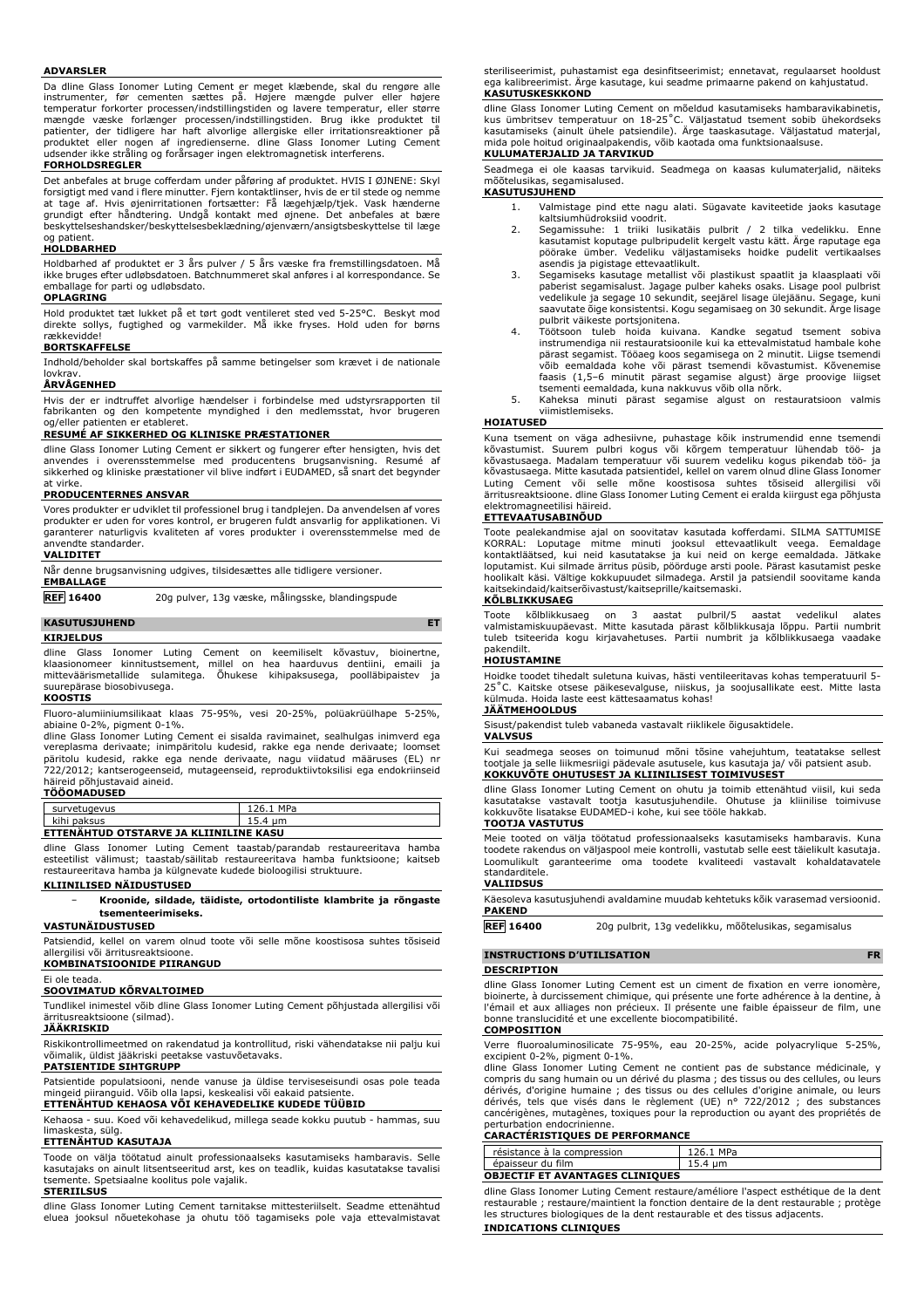#### **ADVARSLER**

Da dline Glass Ionomer Luting Cement er meget klæbende, skal du rengøre alle instrumenter, før cementen sættes på. Højere mængde pulver eller højere temperatur forkorter processen/indstillingstiden og lavere temperatur, eller større mængde væske forlænger processen/indstillingstiden. Brug ikke produktet til patienter, der tidligere har haft alvorlige allergiske eller irritationsreaktioner på produktet eller nogen af ingredienserne. dline Glass Ionomer Luting Cement udsender ikke stråling og forårsager ingen elektromagnetisk interferens.

## **FORHOLDSREGLER**

Det anbefales at bruge cofferdam under påføring af produktet. HVIS I ØJNENE: Skyl forsigtigt med vand i flere minutter. Fjern kontaktlinser, hvis de er til stede og nemme at tage af. Hvis øjenirritationen fortsætter: Få lægehjælp/tjek. Vask hænderne grundigt efter håndtering. Undgå kontakt med øjnene. Det anbefales at bære beskyttelseshandsker/beskyttelsesbeklædning/øjenværn/ansigtsbeskyttelse til læge

# og patient. **HOLDBARHED**

Holdbarhed af produktet er 3 års pulver / 5 års væske fra fremstillingsdatoen. Må ikke bruges efter udløbsdatoen. Batchnummeret skal anføres i al korrespondance. Se emballage for parti og udløbsdato.

#### **OPLAGRING**

Hold produktet tæt lukket på et tørt godt ventileret sted ved 5-25°C. Beskyt mod direkte sollys, fugtighed og varmekilder. Må ikke fryses. Hold uden for børns rækkevidde!

## **BORTSKAFFELSE**

Indhold/beholder skal bortskaffes på samme betingelser som krævet i de nationale lovkrav.

### **ÅRVÅGENHED**

Hvis der er indtruffet alvorlige hændelser i forbindelse med udstyrsrapporten til fabrikanten og den kompetente myndighed i den medlemsstat, hvor brugeren og/eller patienten er etableret.

## **RESUMÉ AF SIKKERHED OG KLINISKE PRÆSTATIONER**

dline Glass Ionomer Luting Cement er sikkert og fungerer efter hensigten, hvis det anvendes i overensstemmelse med producentens brugsanvisning. Resumé af sikkerhed og kliniske præstationer vil blive indført i EUDAMED, så snart det begynder at virke.

### **PRODUCENTERNES ANSVAR**

Vores produkter er udviklet til professionel brug i tandplejen. Da anvendelsen af vores produkter er uden for vores kontrol, er brugeren fuldt ansvarlig for applikationen. Vi garanterer naturligvis kvaliteten af vores produkter i overensstemmelse med de anvendte standarder.

## **VALIDITET**

Når denne brugsanvisning udgives, tilsidesættes alle tidligere versioner.

## **EMBALLAGE**

**REF 16400** 20g pulver, 13g væske, målingsske, blandingspude

#### **KASUTUSJUHEND ET**

#### **KIRJELDUS**

dline Glass Ionomer Luting Cement on keemiliselt kõvastuv, bioinertne, klaasionomeer kinnitustsement, millel on hea haarduvus dentiini, emaili ja mitteväärismetallide sulamitega. Õhukese kihipaksusega, poolläbipaistev suurepärase biosobivusega.

### **KOOSTIS**

Fluoro-alumiiniumsilikaat klaas 75-95%, vesi 20-25%, polüakrüülhape 5-25%, abiaine 0-2%, pigment 0-1%.

dline Glass Ionomer Luting Cement ei sisalda ravimainet, sealhulgas inimverd ega vereplasma derivaate; inimpäritolu kudesid, rakke ega nende derivaate; loomset päritolu kudesid, rakke ega nende derivaate, nagu viidatud määruses (EL) nr 722/2012; kantserogeenseid, mutageenseid, reproduktiivtoksilisi ega endokriinseid häireid põhjustavaid aineid.

## **TÖÖOMADUSED**

survetugevus 126.1 MPa<br>
kihi paksus 15.4 µm kihi paksus 15.4 μm **ETTENÄHTUD OTSTARVE JA KLIINILINE KASU**

dline Glass Ionomer Luting Cement taastab/parandab restaureeritava hamba esteetilist välimust; taastab/säilitab restaureeritava hamba funktsioone; kaitseb restaureeritava hamba ja külgnevate kudede bioloogilisi struktuure.

## **KLIINILISED NÄIDUSTUSED**

− **Kroonide, sildade, täidiste, ortodontiliste klambrite ja rõngaste tsementeerimiseks.**

## **VASTUNÄIDUSTUSED**

Patsiendid, kellel on varem olnud toote või selle mõne koostisosa suhtes tõsiseid allergilisi või ärritusreaktsioone

**KOMBINATSIOONIDE PIIRANGUD**

#### Ei ole teada. **SOOVIMATUD KÕRVALTOIMED**

Tundlikel inimestel võib dline Glass Ionomer Luting Cement põhjustada allergilisi või ärritusreaktsioone (silmad).

## **JÄÄKRISKID**

Riskikontrollimeetmed on rakendatud ja kontrollitud, riski vähendatakse nii palju kui võimalik, üldist jääkriski peetakse vastuvõetavaks.

## **PATSIENTIDE SIHTGRUPP**

Patsientide populatsiooni, nende vanuse ja üldise terviseseisundi osas pole teada mingeid piiranguid. Võib olla lapsi, keskealisi või eakaid patsiente. **ETTENÄHTUD KEHAOSA VÕI KEHAVEDELIKE KUDEDE TÜÜBID**

Kehaosa - suu. Koed või kehavedelikud, millega seade kokku puutub - hammas, suu limaskesta, sülg.

## **ETTENÄHTUD KASUTAJA**

Toode on välja töötatud ainult professionaalseks kasutamiseks hambaravis. Selle kasutajaks on ainult litsentseeritud arst, kes on teadlik, kuidas kasutatakse tavalisi tsemente. Spetsiaalne koolitus pole vajalik.

## **STERIILSUS**

dline Glass Ionomer Luting Cement tarnitakse mittesteriilselt. Seadme ettenähtud eluea jooksul nõuetekohase ja ohutu töö tagamiseks pole vaja ettevalmistavat steriliseerimist, puhastamist ega desinfitseerimist; ennetavat, regulaarset hooldust ega kalibreerimist. Ärge kasutage, kui seadme primaarne pakend on kahjustatud. **KASUTUSKESKKOND**

dline Glass Ionomer Luting Cement on mõeldud kasutamiseks hambaravikabinetis,<br>kus ümbritsev temperatuur on 18-25°C. Väljastatud tsement sobib ühekordseks<br>kasutamiseks (ainult ühele patsiendile). Ärge taaskasutage. Väljasta mida pole hoitud originaalpakendis, võib kaotada oma funktsionaalsuse.

## **KULUMATERJALID JA TARVIKUD**

Seadmega ei ole kaasas tarvikuid. Seadmega on kaasas kulumaterjalid, näiteks mõõtelusikas, segamisalused.

## **KASUTUSJUHEND**

- 1. Valmistage pind ette nagu alati. Sügavate kaviteetide jaoks kasutage kaltsiumhüdroksiid voodrit.
- 2. Segamissuhe: 1 triiki lusikatäis pulbrit / 2 tilka vedelikku. Enne kasutamist koputage pulbripudelit kergelt vastu kätt. Ärge raputage ega pöörake ümber. Vedeliku väljastamiseks hoidke pudelit vertikaalses
- asendis ja pigistage ettevaatlikult. 3. Segamiseks kasutage metallist või plastikust spaatlit ja klaasplaati või paberist segamisalust. Jagage pulber kaheks osaks. Lisage pool pulbrist vedelikule ja segage 10 sekundit, seejärel lisage ülejäänu. Segage, kuni saavutate õige konsistentsi. Kogu segamisaeg on 30 sekundit. Ärge lisage
- pulbrit väikeste portsjonitena. 4. Töötsoon tuleb hoida kuivana. Kandke segatud tsement sobiva instrumendiga nii restauratsioonile kui ka ettevalmistatud hambale kohe<br>pärast segamist. Tööaeg koos segamisega on 2 minutit. Liigse tsemendi<br>võib eemaldada kohe või pärast tsemendi kõvastumist. Kõvenemise faasis (1,5–6 minutit pärast segamise algust) ärge proovige liigset tsementi eemaldada, kuna nakkuvus võib olla nõrk. 5. Kaheksa minuti pärast segamise algust on restauratsioon valmis
- viimistlemiseks.

## **HOIATUSED**

Kuna tsement on väga adhesiivne, puhastage kõik instrumendid enne tsemendi<br>kõvastumist. Suurem pulbri kogus või kõrgem temperatuur lühendab töö- ja<br>kõvastusaega. Madalam temperatuur või suurem vedeliku kogus pikendab töö kõvastusaega. Mitte kasutada patsientidel, kellel on varem olnud dline Glass Ionomer Luting Cement või selle mõne koostisosa suhtes tõsiseid allergilisi või ärritusreaktsioone. dline Glass Ionomer Luting Cement ei eralda kiirgust ega põhjusta elektromagneetilisi häireid.

## **ETTEVAATUSABINÕUD**

Toote pealekandmise ajal on soovitatav kasutada kofferdami. SILMA SATTUMISE KORRAL: Loputage mitme minuti jooksul ettevaatlikult veega. Eemaldage kontaktläätsed, kui neid kasutatakse ja kui neid on kerge eemaldada. Jätkake loputamist. Kui silmade ärritus püsib, pöörduge arsti poole. Pärast kasutamist peske hoolikalt käsi. Vältige kokkupuudet silmadega. Arstil ja patsiendil soovitame kanda kaitsekindaid/kaitserõivastust/kaitseprille/kaitsemaski.

## **KÕLBLIKKUSAEG**

Toote kõlblikkusaeg on 3 aastat pulbril/5 aastat vedelikul alates valmistamiskuupäevast. Mitte kasutada pärast kõlblikkusaja lõppu. Partii numbrit tuleb tsiteerida kogu kirjavahetuses. Partii numbrit ja kõlblikkusaega vaadake

# pakendilt. **HOIUSTAMINE**

Hoidke toodet tihedalt suletuna kuivas, hästi ventileeritavas kohas temperatuuril 5- 25˚C. Kaitske otsese päikesevalguse, niiskus, ja soojusallikate eest. Mitte lasta külmuda. Hoida laste eest kättesaamatus kohas! **JÄÄTMEHOOLDUS**

Sisust/pakendist tuleb vabaneda vastavalt riiklikele õigusaktidele. **VALVSUS**

Kui seadmega seoses on toimunud mõni tõsine vahejuhtum, teatatakse sellest tootjale ja selle liikmesriigi pädevale asutusele, kus kasutaja ja/ või patsient asub. **KOKKUVÕTE OHUTUSEST JA KLIINILISEST TOIMIVUSEST**

dline Glass Ionomer Luting Cement on ohutu ja toimib ettenähtud viisil, kui seda kasutatakse vastavalt tootja kasutusjuhendile. Ohutuse ja kliinilise toimivuse kokkuvõte lisatakse EUDAMED-i kohe, kui see tööle hakkab. **TOOTJA VASTUTUS**

## Meie tooted on välja töötatud professionaalseks kasutamiseks hambaravis. Kuna toodete rakendus on väljaspool meie kontrolli, vastutab selle eest täielikult kasutaja. Loomulikult garanteerime oma toodete kvaliteedi vastavalt kohaldatavatele standarditele.

## **VALIIDSUS**

Käesoleva kasutusjuhendi avaldamine muudab kehtetuks kõik varasemad versioonid. **PAKEND**

## **INSTRUCTIONS D'UTILISATION FR**

## **DESCRIPTION**

dline Glass Ionomer Luting Cement est un ciment de fixation en verre ionomère, bioinerte, à durcissement chimique, qui présente une forte adhérence à la dentine, à l'émail et aux alliages non précieux. Il présente une faible épaisseur de film, une bonne translucidité et une excellente biocompatibilité. **COMPOSITION**

Verre fluoroaluminosilicate 75-95%, eau 20-25%, acide polyacrylique 5-25%, excipient 0-2%, pigment 0-1%.

dline Glass Ionomer Luting Cement ne contient pas de substance médicinale, y compris du sang humain ou un dérivé du plasma ; des tissus ou des cellules, ou leurs dérivés, d'origine humaine ; des tissus ou des cellules d'origine animale, ou leurs dérivés, tels que visés dans le règlement (UE) n° 722/2012 ; des substances cancérigènes, mutagènes, toxiques pour la reproduction ou ayant des propriétés de perturbation endocrinienne. **CARACTÉRISTIQUES DE PERFORMANCE**

| résistance à la compression            | 126.1 MPa |
|----------------------------------------|-----------|
| épaisseur du film                      | 15.4 um   |
| <b>OBJECTIF ET AVANTAGES CLINIOUES</b> |           |

dline Glass Ionomer Luting Cement restaure/améliore l'aspect esthétique de la dent restaurable ; restaure/maintient la fonction dentaire de la dent restaurable ; protège les structures biologiques de la dent restaurable et des tissus adjacents.

#### **INDICATIONS CLINIQUES**

**REF 16400** 20g pulbrit, 13g vedelikku, mõõtelusikas, segamisalus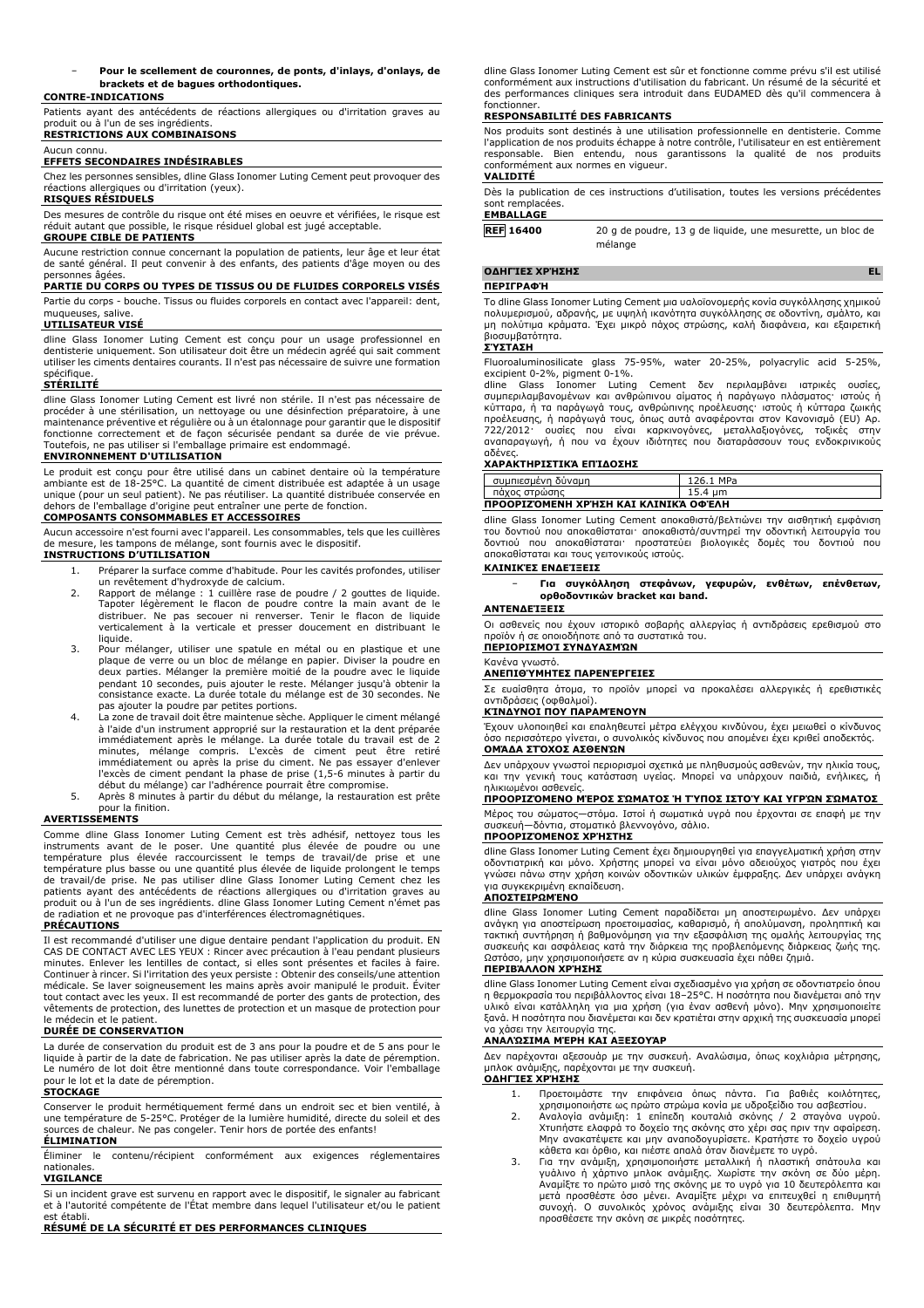#### − **Pour le scellement de couronnes, de ponts, d'inlays, d'onlays, de brackets et de bagues orthodontiques.**

### **CONTRE-INDICATIONS**

Patients ayant des antécédents de réactions allergiques ou d'irritation graves au produit ou à l'un de ses ingrédients.

## **RESTRICTIONS AUX COMBINAISONS**

## Aucun connu.

**EFFETS SECONDAIRES INDÉSIRABLES**

Chez les personnes sensibles, dline Glass Ionomer Luting Cement peut provoquer des réactions allergiques ou d'irritation (yeux).

## **RISQUES RÉSIDUELS**

Des mesures de contrôle du risque ont été mises en oeuvre et vérifiées, le risque est réduit autant que possible, le risque résiduel global est jugé acceptable.

#### **GROUPE CIBLE DE PATIENTS**

Aucune restriction connue concernant la population de patients, leur âge et leur état de santé général. Il peut convenir à des enfants, des patients d'âge moyen ou des personnes âgées.

### **PARTIE DU CORPS OU TYPES DE TISSUS OU DE FLUIDES CORPORELS VISÉS**

Partie du corps - bouche. Tissus ou fluides corporels en contact avec l'appareil: dent, muqueuses, salive.

#### **UTILISATEUR VISÉ**

dline Glass Ionomer Luting Cement est conçu pour un usage professionnel en dentisterie uniquement. Son utilisateur doit être un médecin agréé qui sait comment utiliser les ciments dentaires courants. Il n'est pas nécessaire de suivre une formation

# spécifique. **STÉRILITÉ**

dline Glass Ionomer Luting Cement est livré non stérile. Il n'est pas nécessaire de procéder à une stérilisation, un nettoyage ou une désinfection préparatoire, à une maintenance préventive et régulière ou à un étalonnage pour garantir que le dispositif fonctionne correctement et de façon sécurisée pendant sa durée de vie prévue. Toutefois, ne pas utiliser si l'emballage primaire est endommagé.

## **ENVIRONNEMENT D'UTILISATION**

Le produit est conçu pour être utilisé dans un cabinet dentaire où la température ambiante est de 18-25°C. La quantité de ciment distribuée est adaptée à un usage unique (pour un seul patient). Ne pas réutiliser. La quantité distribuée conservée en dehors de l'emballage d'origine peut entraîner une perte de fonction. **COMPOSANTS CONSOMMABLES ET ACCESSOIRES**

### Aucun accessoire n'est fourni avec l'appareil. Les consommables, tels que les cuillères de mesure, les tampons de mélange, sont fournis avec le dispositif.

#### **INSTRUCTIONS D'UTILISATION**

- 1. Préparer la surface comme d'habitude. Pour les cavités profondes, utiliser un revêtement d'hydroxyde de calcium.
- 2. Rapport de mélange : 1 cuillère rase de poudre / 2 gouttes de liquide. Tapoter légèrement le flacon de poudre contre la main avant de le<br>distribuer. Ne pas secouer ni renverser. Tenir le flacon de liquide<br>verticalement à la verticale et presser doucement en distribuant le liquide.
- 3. Pour mélanger, utiliser une spatule en métal ou en plastique et une plaque de verre ou un bloc de mélange en papier. Diviser la poudre en deux parties. Mélanger la première moitié de la poudre avec le liquide pendant 10 secondes, puis ajouter le reste. Mélanger jusqu'à obtenir la consistance exacte. La durée totale du mélange est de 30 secondes. Ne pas ajouter la poudre par petites portions.
- 4. La zone de travail doit être maintenue sèche. Appliquer le ciment mélangé à l'aide d'un instrument approprié sur la restauration et la dent préparée immédiatement après le mélange. La durée totale du travail est de 2<br>minutes, mélange compris. L'excès de ciment peut être retiré<br>immédiatement ou après la prise du ciment. Ne pas essayer d'enlever l'excès de ciment pendant la phase de prise (1,5-6 minutes à partir du début du mélange) car l'adhérence pourrait être compromise. 5. Après 8 minutes à partir du début du mélange, la restauration est prête
- pour la finition.

## **AVERTISSEMENTS**

Comme dline Glass Ionomer Luting Cement est très adhésif, nettoyez tous les instruments avant de le poser. Une quantité plus élevée de poudre ou une température plus élevée raccourcissent le temps de travail/de prise et une<br>température plus basse ou une quantité plus élevée de liquide prolongent le temps<br>de travail/de prise. Ne pas utiliser dline Glass Ionomer Luting C patients ayant des antécédents de réactions allergiques ou d'irritation graves au produit ou à l'un de ses ingrédients. dline Glass Ionomer Luting Cement n'émet pas de radiation et ne provoque pas d'interférences électromagnétiques.

# **PRÉCAUTIONS**

Il est recommandé d'utiliser une digue dentaire pendant l'application du produit. EN CAS DE CONTACT AVEC LES YEUX : Rincer avec précaution à l'eau pendant plusieurs minutes. Enlever les lentilles de contact, si elles sont présentes et faciles à faire. Continuer à rincer. Si l'irritation des yeux persiste : Obtenir des conseils/une attention médicale. Se laver soigneusement les mains après avoir manipulé le produit. Éviter tout contact avec les yeux. Il est recommandé de porter des gants de protection, des vêtements de protection, des lunettes de protection et un masque de protection pour le médecin et le patient.

### **DURÉE DE CONSERVATION**

La durée de conservation du produit est de 3 ans pour la poudre et de 5 ans pour le liquide à partir de la date de fabrication. Ne pas utiliser après la date de péremption. Le numéro de lot doit être mentionné dans toute correspondance. Voir l'emballage pour le lot et la date de péremption.

#### **STOCKAGE**

Conserver le produit hermétiquement fermé dans un endroit sec et bien ventilé, à une température de 5-25°C. Protéger de la lumière humidité, directe du soleil et des sources de chaleur. Ne pas congeler. Tenir hors de portée des enfants!

### **ÉLIMINATION**

Éliminer le contenu/récipient conformément aux exigences réglementaires nationales.

## **VIGILANCE**

Si un incident grave est survenu en rapport avec le dispositif, le signaler au fabricant et à l'autorité compétente de l'État membre dans lequel l'utilisateur et/ou le patient est établi

**RÉSUMÉ DE LA SÉCURITÉ ET DES PERFORMANCES CLINIQUES**

dline Glass Ionomer Luting Cement est sûr et fonctionne comme prévu s'il est utilisé conformément aux instructions d'utilisation du fabricant. Un résumé de la sécurité et des performances cliniques sera introduit dans EUDAMED dès qu'il commencera à fonctionner.

### **RESPONSABILITÉ DES FABRICANTS**

Nos produits sont destinés à une utilisation professionnelle en dentisterie. Comme l'application de nos produits échappe à notre contrôle, l'utilisateur en est entièrement responsable. Bien entendu, nous garantissons la qualité de nos produits conformément aux normes en vigueur.

## **VALIDITÉ**

Dès la publication de ces instructions d'utilisation, toutes les versions précédentes sont remplacées. **EMBALLAGE**

**REF 16400** 20 g de poudre, 13 g de liquide, une mesurette, un bloc de mélange

### **ΟΔΗΓΊΕΣ ΧΡΉΣΗΣ EL**

#### **ΠΕΡΙΓΡΑΦΉ**

Το dline Glass Ionomer Luting Cement μια υαλοϊονομερής κονία συγκόλλησης χημικού πολυμερισμού, αδρανής, με υψηλή ικανότητα συγκόλλησης σε οδοντίνη, σμάλτο, και μη πολύτιμα κράματα. Έχει μικρό πάχος στρώσης, καλή διαφάνεια, και εξαιρετική βιοσυμβατότητα.

## **ΣΎΣΤΑΣΗ**

Fluoroaluminosilicate glass 75-95%, water 20-25%, polyacrylic acid 5-25%, excipient 0-2%, pigment 0-1%.

dline Glass Ionomer Luting Cement δεν περιλαμβάνει ιατρικές ουσίες, συμπεριλαμβανομένων και ανθρώπινου αίματος ή παράγωγο πλάσματος· ιστούς ή κύτταρα, ή τα παράγωγά τους, ανθρώπινης προέλευσης· ιστούς ή κύτταρα ζωικής<br>προέλευσης, ή παράγωγά τους, όπως αυτά αναφέρονται στον Κανονισμό (EU) Aρ.<br>722/2012· ουσίες που είναι καρκινογόνες, μεταλλαξιογόνες, τοξικές στην

## **ΧΑΡΑΚΤΗΡΙΣΤΙΚΆ ΕΠΊΔΟΣΗΣ**

| συμπιεσμένη δύναμη                   | 126.1 MPa |
|--------------------------------------|-----------|
| πάχος στρώσης                        | 15.4 um   |
| ΠΡΟΟΡΙΖΌΜΕΝΗ ΧΡΉΣΗ ΚΑΙ ΚΛΙΝΙΚΆ ΟΦΈΛΗ |           |

dline Glass Ionomer Luting Cement αποκαθιστά/βελτιώνει την αισθητική εμφάνιση του δοντιού που αποκαθίσταται· αποκαθιστά/συντηρεί την οδοντική λειτουργία του δοντιού που αποκαθίσταται· προστατεύει βιολογικές δομές του δοντιού που αποκαθίσταται και τους γειτονικούς ιστούς.

## **ΚΛΙΝΙΚΈΣ ΕΝΔΕΊΞΕΙΣ**

− **Για συγκόλληση στεφάνων, γεφυρών, ενθέτων, επένθετων, ορθοδοντικών bracket και band.**

## **ΑΝΤΕΝΔΕΊΞΕΙΣ**

Οι ασθενείς που έχουν ιστορικό σοβαρής αλλεργίας ή αντιδράσεις ερεθισμού στο προϊόν ή σε οποιοδήποτε από τα συστατικά του.

## **ΠΕΡΙΟΡΙΣΜΟΊ ΣΥΝΔΥΑΣΜΏΝ**

Κανένα γνωστό. **ΑΝΕΠΙΘΎΜΗΤΕΣ ΠΑΡΕΝΈΡΓΕΙΕΣ**

Σε ευαίσθητα άτομα, το προϊόν μπορεί να προκαλέσει αλλεργικές ή ερεθιστικές αντιδράσεις (οφθαλμοί).

## **ΚΊΝΔΥΝΟΙ ΠΟΥ ΠΑΡΑΜΈΝΟΥΝ**

Έχουν υλοποιηθεί και επαληθευτεί μέτρα ελέγχου κινδύνου, έχει μειωθεί ο κίνδυνος όσο περισσότερο γίνεται, ο συνολικός κίνδυνος που απομένει έχει κριθεί αποδεκτός. **ΟΜΆΔΑ ΣΤΌΧΟΣ ΑΣΘΕΝΏΝ**

Δεν υπάρχουν γνωστοί περιορισμοί σχετικά με πληθυσμούς ασθενών, την ηλικία τους, και την γενική τους κατάσταση υγείας. Μπορεί να υπάρχουν παιδιά, ενήλικες, ή ηλικιωμένοι ασθενείς.

## **ΠΡΟΟΡΙΖΌΜΕΝΟ ΜΈΡΟΣ ΣΏΜΑΤΟΣ Ή ΤΎΠΟΣ ΙΣΤΟΎ ΚΑΙ ΥΓΡΏΝ ΣΏΜΑΤΟΣ**

Μέρος του σώματος—στόμα. Ιστοί ή σωματικά υγρά που έρχονται σε επαφή με την συσκευή—δόντια, στοματικό βλεννογόνο, σάλιο.

## **ΠΡΟΟΡΙΖΌΜΕΝΟΣ ΧΡΉΣΤΗΣ**

dline Glass Ionomer Luting Cement έχει δημιουργηθεί για επαγγελματική χρήση στην οδοντιατρική και μόνο. Χρήστης μπορεί να είναι μόνο αδειούχος γιατρός που έχει γνώσει πάνω στην χρήση κοινών οδοντικών υλικών έμφραξης. Δεν υπάρχει ανάγκη για συγκεκριμένη εκπαίδευση.

## **ΑΠΟΣΤΕΙΡΩΜΈΝΟ**

dline Glass Ionomer Luting Cement παραδίδεται μη αποστειρωμένο. Δεν υπάρχει ανάγκη για αποστείρωση προετοιμασίας, καθαρισμό, ή απολύμανση, προληπτική και τακτική συντήρηση ή βαθμονόμηση για την εξασφάλιση της ομαλής λειτουργίας της συσκευής και ασφάλειας κατά την διάρκεια της προβλεπόμενης διάρκειας ζωής της. Ωστόσο, μην χρησιμοποιήσετε αν η κύρια συσκευασία έχει πάθει ζημιά.

#### **ΠΕΡΙΒΆΛΛΟΝ ΧΡΉΣΗΣ**

dline Glass Ionomer Luting Cement είναι σχεδιασμένο για χρήση σε οδοντιατρείο όπου η θερμοκρασία του περιβάλλοντος είναι 18–25°C. Η ποσότητα που διανέμεται από την υλικό είναι κατάλληλη για μια χρήση (για έναν ασθενή μόνο). Μην χρησιμοποιείτε ξανά. Η ποσότητα που διανέμεται και δεν κρατιέται στην αρχική της συσκευασία μπορεί να χάσει την λειτουργία της.

## **ΑΝΑΛΏΣΙΜΑ ΜΈΡΗ ΚΑΙ ΑΞΕΣΟΥΆΡ**

Δεν παρέχονται αξεσουάρ με την συσκευή. Αναλώσιμα, όπως κοχλιάρια μέτρησης, μπλοκ ανάμιξης, παρέχονται με την συσκευή. **ΟΔΗΓΊΕΣ ΧΡΉΣΗΣ**

- 1. Προετοιμάστε την επιφάνεια όπως πάντα. Για βαθιές κοιλότητες,
- χρησιμοποιήστε ως πρώτο στρώμα κονία με υδροξείδιο του ασβεστίου.<br>2. Αναλογία ανάμιξη: 1 επίπεδη κουταλιά σκόνης / 2 σταγόνα υγρού.<br>Χτυπήστε ελάφρά το δοχείο της σκόνης στο χέρι σας πριν την αφαίρεση.<br>Μην αν κάθετα και όρθιο, και πιέστε απαλά όταν διανέμετε το υγρό.
- 3. Για την ανάμιξη, χρησιμοποιήστε μεταλλική ή πλαστική σπάτουλα και γυάλινο ή χάρτινο μπλοκ ανάμιξης. Χωρίστε την σκόνη σε δύο μέρη. Αναμίξτε το πρώτο μισό της σκόνης με το υγρό για 10 δευτερόλεπτα και<br>μετά προσθέστε όσο μένει. Αναμίξτε μέχρι να επιτευχθεί η επιθυμητή<br>συνοχή. Ο συνολικός χρόνος ανάμιξης είναι 30 δευτερόλεπτα. Μην<br>προσθέσετε την σκόνη σ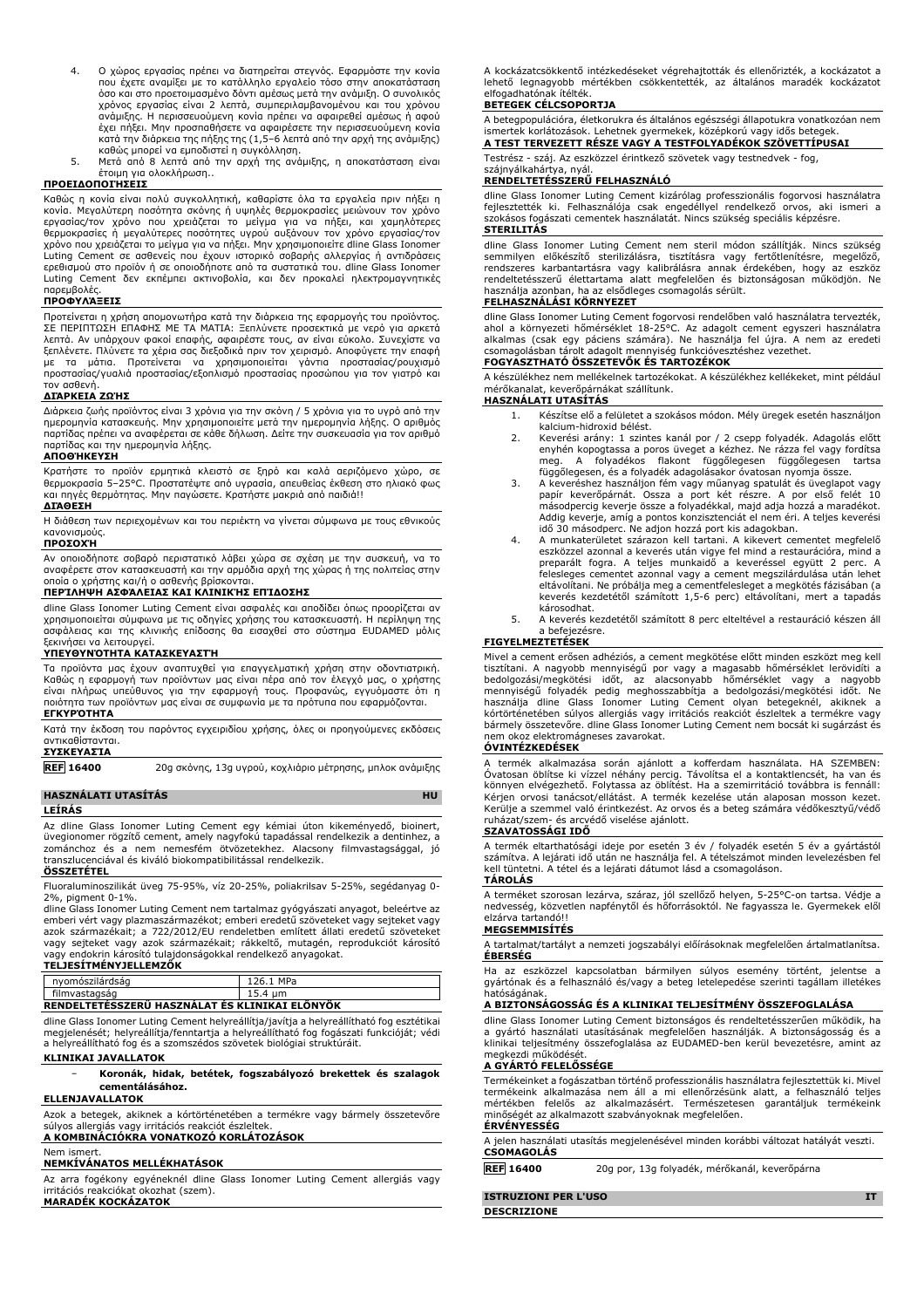- 4. Ο χώρος εργασίας πρέπει να διατηρείται στεγνός. Εφαρμόστε την κονία που έχετε αναμίξει με το κατάλληλο εργαλείο τόσο στην αποκατάσταση όσο και στο προετοιμασμένο δόντι αμέσως μετά την ανάμιξη. Ο συνολικός χρόνος εργασίας είναι 2 λεπτά, συμπεριλαμβανομένου και του χρόνου ανάμιξης. Η περισσευούμενη κονία πρέπει να αφαιρεθεί αμέσως ή αφού<br>έχει πήξει. Μην προσπαθήσετε να αφαιρέσετε την περισσευούμενη κονία<br>κατά την διάρκεια της πήξης της (1,5–6 λεπτά από την αρχή της ανάμιξης)<br>καθώς μπορεί ν
- έτοιμη για ολοκλήρωση..

## **ΠΡΟΕΙΔΟΠΟΙΉΣΕΙΣ**

Καθώς η κονία είναι πολύ συγκολλητική, καθαρίστε όλα τα εργαλεία πριν πήξει η κονία. Μεγαλύτερη ποσότητα σκόνης ή υψηλές θερμοκρασίες μειώνουν τον χρόνο<br>εργασίας/τον χρόνο που χρειάζεται το μείγμα για να πήξει, και χαμηλότερες.<br>θερμοκρασίες ή μεγαλύτερες ποσότητες υγρού αυξάνουν τον χρόνο εργασίας/ Luting Cement σε ασθενείς που έχουν ιστορικό σοβαρής αλλεργίας ή αντιδράσεις ερεθισμού στο προϊόν ή σε οποιοδήποτε από τα συστατικά του. dline Glass Ionomer Luting Cement δεν εκπέμπει ακτινοβολία, και δεν προκαλεί ηλεκτρομαγνητικές παρεμβολές.

### **ΠΡΟΦΥΛΆΞΕΙΣ**

Προτείνεται η χρήση απομονωτήρα κατά την διάρκεια της εφαρμογής του προϊόντος.<br>ΣΕ ΠΕΡΙΠΤΩΣΗ ΕΠΑΦΗΣ ΜΕ ΤΑ ΜΑΤΙΑ: Ξεπλύνετε προσεκτικά με νερό για αρκετά<br>λεπτά. Αν υπάρχουν φακοί επαφής, αφαιρέστε τους, αν είναι εύκολο. Συν ξεπλένετε. Πλύνετε τα χέρια σας διεξοδικά πριν τον χειρισμό. Αποφύγετε την επαφή με τα μάτια. Προτείνεται να χρησιμοποιείται γάντια προστασίας/ρουχισμό προστασίας/γυαλιά προστασίας/εξοπλισμό προστασίας προσώπου για τον γιατρό και τον ασθενή.

## **ΔΙΆΡΚΕΙΑ ΖΩΉΣ**

Διάρκεια ζωής προϊόντος είναι 3 χρόνια για την σκόνη / 5 χρόνια για το υγρό από την ημερομηνία κατασκευής. Μην χρησιμοποιείτε μετά την ημερομηνία λήξης. Ο αριθμός παρτίδας πρέπει να αναφέρεται σε κάθε δήλωση. Δείτε την συσκευασία για τον αριθμό παρτίδας και την ημερομηνία λήξης.

## **ΑΠΟΘΉΚΕΥΣΗ**

Κρατήστε το προϊόν ερμητικά κλειστό σε ξηρό και καλά αεριζόμενο χώρο, σε θερμοκρασία 5–25°C. Προστατέψτε από υγρασία, απευθείας έκθεση στο ηλιακό φως και πηγές θερμότητας. Μην παγώσετε. Κρατήστε μακριά από παιδιά!! **ΔΙΆΘΕΣΗ**

Η διάθεση των περιεχομένων και του περιέκτη να γίνεται σύμφωνα με τους εθνικούς κανονισμούς.

#### **ΠΡΟΣΟΧΉ**

Αν οποιοδήποτε σοβαρό περιστατικό λάβει χώρα σε σχέση με την συσκευή, να το αναφέρετε στον κατασκευαστή και την αρμόδια αρχή της χώρας ή της πολιτείας στην οποία ο χρήστης και/ή ο ασθενής βρίσκονται.

## **ΠΕΡΊΛΗΨΗ ΑΣΦΆΛΕΙΑΣ ΚΑΙ ΚΛΙΝΙΚΉΣ ΕΠΊΔΟΣΗΣ**

dline Glass Ionomer Luting Cement είναι ασφαλές και αποδίδει όπως προορίζεται αν χρησιμοποιείται σύμφωνα με τις οδηγίες χρήσης του κατασκευαστή. Η περίληψη της ασφάλειας και της κλινικής επίδοσης θα εισαχθεί στο σύστημα EUDAMED μόλις ξεκινήσει να λειτουργεί.

## **ΥΠΕΥΘΥΝΌΤΗΤΑ ΚΑΤΑΣΚΕΥΑΣΤΉ**

Τα προϊόντα μας έχουν αναπτυχθεί για επαγγελματική χρήση στην οδοντιατρική. Καθώς η εφαρμογή των προϊόντων μας είναι πέρα από τον έλεγχό μας, ο χρήστης<br>είναι πλήρως υπεύθυνος για την εφαρμογή τους. Προφανώς, εγγυόμαστε ότι η<br>ποιότητα των προϊόντων μας είναι σε συμφωνία με τα πρότυπα που εφαρμόζον **ΕΓΚΥΡΌΤΗΤΑ**

Κατά την έκδοση του παρόντος εγχειριδίου χρήσης, όλες οι προηγούμενες εκδόσεις αντικαθίστανται. **ΣΥΣΚΕΥΑΣΊΑ**

**REF 16400** 20g σκόνης, 13g υγρού, κοχλιάριο μέτρησης, μπλοκ ανάμιξης

# **HASZNÁLATI UTASÍTÁS HU**

## **LEÍRÁS**

Az dline Glass Ionomer Luting Cement egy kémiai úton kikeményedő, bioinert, üvegionomer rögzítő cement, amely nagyfokú tapadással rendelkezik a dentinhez, a zománchoz és a nem nemesfém ötvözetekhez. Alacsony filmvastagsággal, jó transzlucenciával és kiváló biokompatibilitással rendelkezik.

## **ÖSSZETÉTEL**

Fluoraluminoszilikát üveg 75-95%, víz 20-25%, poliakrilsav 5-25%, segédanyag 0- 2%, pigment 0-1%.

dline Glass Ionomer Luting Cement nem tartalmaz gyógyászati anyagot, beleértve az emberi vért vagy plazmaszármazékot; emberi eredetű szöveteket vagy sejteket vagy azok származékait; a 722/2012/EU rendeletben említett állati eredetű szöveteket vagy sejteket vagy azok származékait; rákkeltő, mutagén, reprodukciót károsító vagy endokrin károsító tulajdonságokkal rendelkező anyagokat.

# **TELJESÍTMÉNYJELLEMZŐK**

| nyomószilárdság                                | 126.1 MPa |
|------------------------------------------------|-----------|
| filmvastagság                                  | 15.4 um   |
| RENDELTETESSZERU HASZNALAT ES KLINIKAI ELONYOK |           |

dline Glass Ionomer Luting Cement helyreállítja/javítja a helyreállítható fog esztétikai megjelenését; helyreállítja/fenntartja a helyreállítható fog fogászati funkcióját; védi a helyreállítható fog és a szomszédos szövetek biológiai struktúráit.

## **KLINIKAI JAVALLATOK**

## − **Koronák, hidak, betétek, fogszabályozó brekettek és szalagok cementálásához.**

## **ELLENJAVALLATOK**

Azok a betegek, akiknek a kórtörténetében a termékre vagy bármely összetevőre súlyos allergiás vagy irritációs reakciót észleltek. **A KOMBINÁCIÓKRA VONATKOZÓ KORLÁTOZÁSOK**

# Nem isme

## **NEMKÍVÁNATOS MELLÉKHATÁSOK**

Az arra fogékony egyéneknél dline Glass Ionomer Luting Cement allergiás vagy irritációs reakciókat okozhat (szem). **MARADÉK KOCKÁZATOK**

A kockázatcsökkentő intézkedéseket végrehajtották és ellenőrizték, a kockázatot a lehető legnagyobb mértékben csökkentették, az általános maradék kockázatot elfogadhatónak ítélték.

#### **BETEGEK CÉLCSOPORTJA**

A betegpopulációra, életkorukra és általános egészségi állapotukra vonatkozóan nem ismertek korlátozások. Lehetnek gyermekek, középkorú vagy idős betegek.

**A TEST TERVEZETT RÉSZE VAGY A TESTFOLYADÉKOK SZÖVETTÍPUSAI**

Testrész - száj. Az eszközzel érintkező szövetek vagy testnedvek - fog,

# szájnyálkahártya, nyál. **RENDELTETÉSSZERŰ FELHASZNÁLÓ**

dline Glass Ionomer Luting Cement kizárólag professzionális fogorvosi használatra fejlesztették ki. Felhasználója csak engedéllyel rendelkező orvos, aki ismeri a szokásos fogászati cementek használatát. Nincs szükség speciális képzésre. **STERILITÁS**

dline Glass Ionomer Luting Cement nem steril módon szállítják. Nincs szükség<br>semmilyen előkészítő sterilizálásra, tisztításra vagy fertőtlenítésre, megelőző,<br>rendszeres karbantartásra vagy kalibrálásra annak érdekében, hog rendeltetésszerű élettartama alatt megfelelően és biztonságosan működjön. Ne használja azonban, ha az elsődleges csomagolás sérült.

## **FELHASZNÁLÁSI KÖRNYEZET**

dline Glass Ionomer Luting Cement fogorvosi rendelőben való használatra tervezték,<br>ahol a környezeti hőmérséklet 18-25ºC. Az adagolt cement egyszeri használatra<br>alkalmas (csak egy páciens számára). Ne használja fel újra. A **FOGYASZTHATÓ ÖSSZETEVŐK ÉS TARTOZÉKOK**

A készülékhez nem mellékelnek tartozékokat. A készülékhez kellékeket, mint például mérőkanalat, keverőpárnákat szállítunk.

## **HASZNÁLATI UTASÍTÁS**

- 1. Készítse elő a felületet a szokásos módon. Mély üregek esetén használjon kalcium-hidroxid bélést.
- 2. Keverési arány: 1 szintes kanál por / 2 csepp folyadék. Adagolás előtt enyhén kopogtassa a poros üveget a kézhez. Ne rázza fel vagy fordítsa meg. A folyadékos flakont függőlegesen függőlegesen tartsa függőlegesen, és a folyadék adagolásakor óvatosan nyomja össze.
- 3. A keveréshez használjon fém vagy műanyag spatulát és üveglapot vagy papír keverőpárnát. Ossza a port két részre. A por első felét 10 másodpercig keverje össze a folyadékkal, majd adja hozzá a maradékot. Addig keverje, amíg a pontos konzisztenciát el nem éri. A teljes keverési idő 30 másodperc. Ne adjon hozzá port kis adagokban.
- 4. A munkaterületet szárazon kell tartani. A kikevert cementet megfelelő eszközzel azonnal a keverés után vigye fel mind a restaurációra, mind a preparált fogra. A teljes munkaidő a keveréssel együtt 2 perc. A felesleges cementet azonnal vagy a cement megszilárdulása után lehet eltávolítani. Ne próbálja meg a cementfelesleget a megkötés fázisában (a keverés kezdetétől számított 1,5-6 perc) eltávolítani, mert a tapadás károsodhat.
- 5. A keverés kezdetétől számított 8 perc elteltével a restauráció készen áll a befejezésre. **FIGYELMEZTETÉSEK**

Mivel a cement erősen adhéziós, a cement megkötése előtt minden eszközt meg kell tisztítani. A nagyobb mennyiségű por vagy a magasabb hőmérséklet lerövidíti a bedolgozási/megkötési időt, az alacsonyabb hőmérséklet vagy a nagyobb<br>mennyiségű folyadék pedig meghosszabbítja a bedolgozási/megkötési időt. Ne<br>használja dline Glass Ionomer Luting Cement olyan betegeknél, akiknek a kórtörténetében súlyos allergiás vagy irritációs reakciót észleltek a termékre vagy bármely összetevőre. dline Glass Ionomer Luting Cement nem bocsát ki sugárzást és nem okoz elektromágneses zavarokat.

#### **ÓVINTÉZKEDÉSEK**

A termék alkalmazása során ajánlott a kofferdam használata. HA SZEMBEN:<br>Óvatosan öblítse ki vízzel néhány percig. Távolítsa el a kontaktlencsét, ha van és<br>könnyen elvégezhető. Folytassa az öblítést. Ha a szemirritáció tová Kerülje a szemmel való érintkezést. Az orvos és a beteg számára védőkesztyű/védő ruházat/szem- és arcvédő viselése ajánlott.

### **SZAVATOSSÁGI IDŐ**

A termék eltarthatósági ideje por esetén 3 év / folyadék esetén 5 év a gyártástól<br>számítva. A lejárati idő után ne használja fel. A tételszámot minden levelezésben fel<br>kell tüntetni. A tétel és a lejárati dátumot lásd a cs **TÁROLÁS**

A terméket szorosan lezárva, száraz, jól szellőző helyen, 5-25°C-on tartsa. Védje a nedvesség, közvetlen napfénytől és hőforrásoktól. Ne fagyassza le. Gyermekek elől elzárva tartandó!!

## **MEGSEMMISÍTÉS**

A tartalmat/tartályt a nemzeti jogszabályi előírásoknak megfelelően ártalmatlanítsa. **ÉBERSÉG**

Ha az eszközzel kapcsolatban bármilyen súlyos esemény történt, jelentse a gyártónak és a felhasználó és/vagy a beteg letelepedése szerinti tagállam illetékes hatóságának.

## **A BIZTONSÁGOSSÁG ÉS A KLINIKAI TELJESÍTMÉNY ÖSSZEFOGLALÁSA**

dline Glass Ionomer Luting Cement biztonságos és rendeltetésszerűen működik, ha a gyártó használati utasításának megfelelően használják. A biztonságosság és a klinikai teljesítmény összefoglalása az EUDAMED-ben kerül bevezetésre, amint az megkezdi működését.

# **A GYÁRTÓ FELELŐSSÉGE**

Termékeinket a fogászatban történő professzionális használatra fejlesztettük ki. Mivel termékeink alkalmazása nem áll a mi ellenőrzésünk alatt, a felhasználó teljes mértékben felelős az alkalmazásért. Természetesen garantáljuk termékeink minőségét az alkalmazott szabványoknak megfelelően. **ÉRVÉNYESSÉG**

#### A jelen használati utasítás megjelenésével minden korábbi változat hatályát veszti. **CSOMAGOLÁS**

**REF 16400** 20g por, 13g folyadék, mérőkanál, keverőpárna

| ISTRUZIONI PER L'USO |  |
|----------------------|--|
| <b>DESCRIZIONE</b>   |  |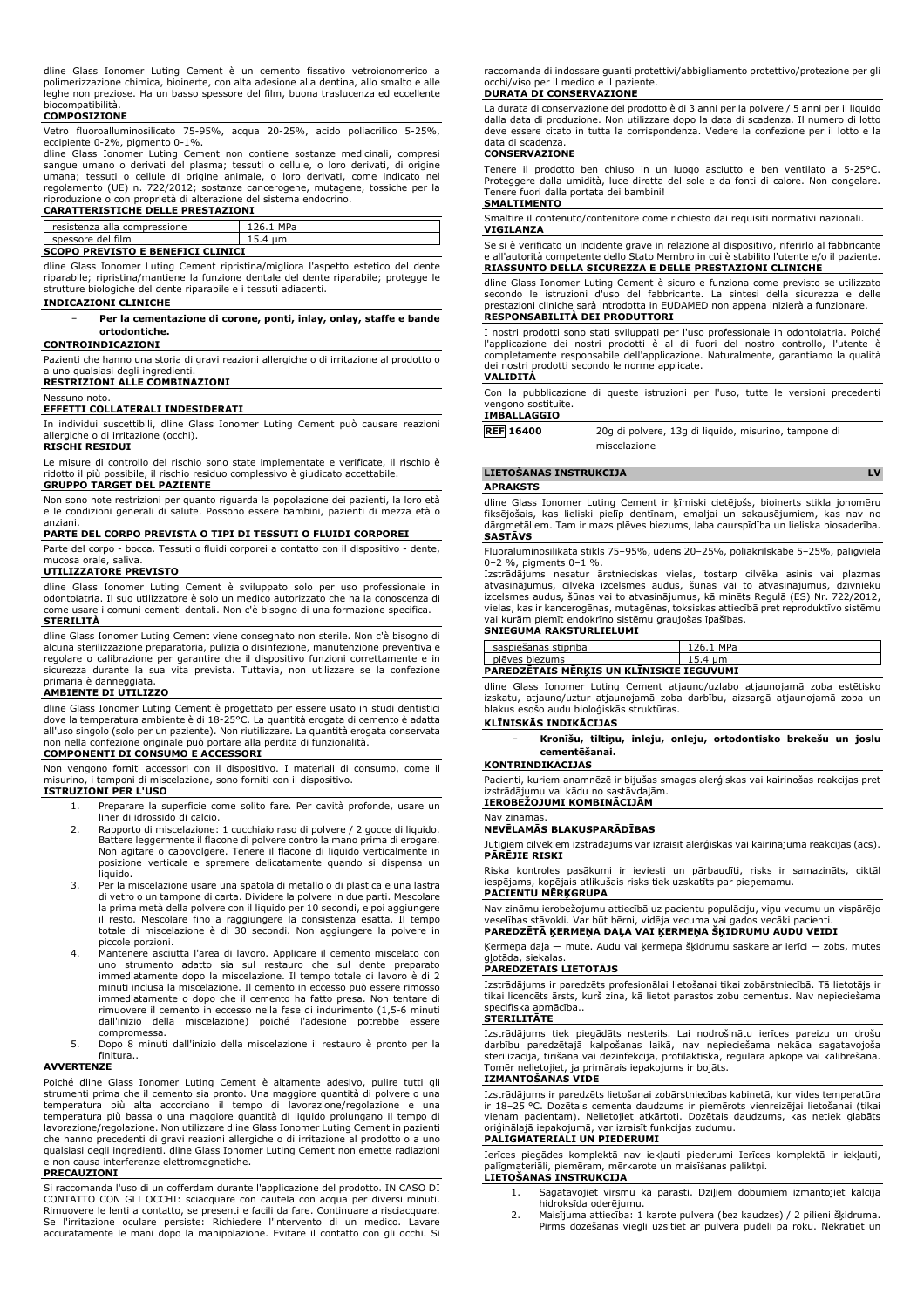dline Glass Ionomer Luting Cement è un cemento fissativo vetroionomerico a polimerizzazione chimica, bioinerte, con alta adesione alla dentina, allo smalto e alle leghe non preziose. Ha un basso spessore del film, buona traslucenza ed eccellente biocompatibilità.

### **COMPOSIZIONE**

Vetro fluoroalluminosilicato 75-95%, acqua 20-25%, acido poliacrilico 5-25%, eccipiente 0-2%, pigmento 0-1%.

dline Glass Ionomer Luting Cement non contiene sostanze medicinali, compresi sangue umano o derivati del plasma; tessuti o cellule, o loro derivati, di origine umana; tessuti o cellule di origine animale, o loro derivati, come indicato nel regolamento (UE) n. 722/2012; sostanze cancerogene, mutagene, tossiche per la

# riproduzione o con proprietà di alterazione del sistema endocrino. **CARATTERISTICHE DELLE PRESTAZIONI**

| ---------                         |     |  |  |  |
|-----------------------------------|-----|--|--|--|
|                                   |     |  |  |  |
| resistenza alla compressione      | MPa |  |  |  |
| spessore del film                 |     |  |  |  |
| COORD BREVERED E BENEETAT ALTHEAT |     |  |  |  |

## **SCOPO PREVISTO E BENEFICI CLINICI**

dline Glass Ionomer Luting Cement ripristina/migliora l'aspetto estetico del dente riparabile; ripristina/mantiene la funzione dentale del dente riparabile; protegge le strutture biologiche del dente riparabile e i tessuti adiacenti.

#### **INDICAZIONI CLINICHE**

− **Per la cementazione di corone, ponti, inlay, onlay, staffe e bande ortodontiche.**

## **CONTROINDICAZIONI**

Pazienti che hanno una storia di gravi reazioni allergiche o di irritazione al prodotto o a uno qualsiasi degli ingredienti.

**RESTRIZIONI ALLE COMBINAZIONI**

#### Nessuno noto. **EFFETTI COLLATERALI INDESIDERATI**

In individui suscettibili, dline Glass Ionomer Luting Cement può causare reazioni allergiche o di irritazione (occhi).

**RISCHI RESIDUI**

Le misure di controllo del rischio sono state implementate e verificate, il rischio è ridotto il più possibile, il rischio residuo complessivo è giudicato accettabile. **GRUPPO TARGET DEL PAZIENTE**

Non sono note restrizioni per quanto riguarda la popolazione dei pazienti, la loro età e le condizioni generali di salute. Possono essere bambini, pazienti di mezza età o

# anziani. **PARTE DEL CORPO PREVISTA O TIPI DI TESSUTI O FLUIDI CORPOREI**

Parte del corpo - bocca. Tessuti o fluidi corporei a contatto con il dispositivo - dente, mucosa orale, saliva.

#### **UTILIZZATORE PREVISTO**

dline Glass Ionomer Luting Cement è sviluppato solo per uso professionale in odontoiatria. Il suo utilizzatore è solo un medico autorizzato che ha la conoscenza di come usare i comuni cementi dentali. Non c'è bisogno di una formazione specifica.

## **STERILITÀ**

dline Glass Ionomer Luting Cement viene consegnato non sterile. Non c'è bisogno di alcuna sterilizzazione preparatoria, pulizia o disinfezione, manutenzione preventiva e regolare o calibrazione per garantire che il dispositivo funzioni correttamente e in sicurezza durante la sua vita prevista. Tuttavia, non utilizzare se la confezione primaria è danneggiata.

## **AMBIENTE DI UTILIZZO**

dline Glass Ionomer Luting Cement è progettato per essere usato in studi dentistici dove la temperatura ambiente è di 18-25°C. La quantità erogata di cemento è adatta all'uso singolo (solo per un paziente). Non riutilizzare. La quantità erogata conservata non nella confezione originale può portare alla perdita di funzionalità.

## **COMPONENTI DI CONSUMO E ACCESSORI**

Non vengono forniti accessori con il dispositivo. I materiali di consumo, come il misurino, i tamponi di miscelazione, sono forniti con il dispositivo.

## **ISTRUZIONI PER L'USO**

- 1. Preparare la superficie come solito fare. Per cavità profonde, usare un
	- liner di idrossido di calcio. 2. Rapporto di miscelazione: 1 cucchiaio raso di polvere / 2 gocce di liquido. Battere leggermente il flacone di polvere contro la mano prima di erogare. Non agitare o capovolgere. Tenere il flacone di liquido verticalmente in posizione verticale e spremere delicatamente quando si dispensa un
- liquido. 3. Per la miscelazione usare una spatola di metallo o di plastica e una lastra di vetro o un tampone di carta. Dividere la polvere in due parti. Mescolare la prima metà della polvere con il liquido per 10 secondi, e poi aggiungere il resto. Mescolare fino a raggiungere la consistenza esatta. Il tempo totale di miscelazione è di 30 secondi. Non aggiungere la polvere in piccole porzioni.
- 4. Mantenere asciutta l'area di lavoro. Applicare il cemento miscelato con uno strumento adatto sia sul restauro che sul dente preparato immediatamente dopo la miscelazione. Il tempo totale di lavoro è di 2 minuti inclusa la miscelazione. Il cemento in eccesso può essere rimosso immediatamente o dopo che il cemento ha fatto presa. Non tentare di rimuovere il cemento in eccesso nella fase di indurimento (1,5-6 minuti dall'inizio della miscelazione) poiché l'adesione potrebbe essere<br>compromessa.
- compromessa. 5. Dopo 8 minuti dall'inizio della miscelazione il restauro è pronto per la finitura..

## **AVVERTENZE**

Poiché dline Glass Ionomer Luting Cement è altamente adesivo, pulire tutti gli strumenti prima che il cemento sia pronto. Una maggiore quantità di polvere o una temperatura più alta accorciano il tempo di lavorazione/regolazione e una temperatura più bassa o una maggiore quantità di liquido prolungano il tempo di lavorazione/regolazione. Non utilizzare dline Glass Ionomer Luting Cement in pazienti che hanno precedenti di gravi reazioni allergiche o di irritazione al prodotto o a uno qualsiasi degli ingredienti. dline Glass Ionomer Luting Cement non emette radiazioni e non causa interferenze elettromagnetiche.

## **PRECAUZIONI**

Si raccomanda l'uso di un cofferdam durante l'applicazione del prodotto. IN CASO DI CONTATTO CON GLI OCCHI: sciacquare con cautela con acqua per diversi minuti. Rimuovere le lenti a contatto, se presenti e facili da fare. Continuare a risciacquare. Se l'irritazione oculare persiste: Richiedere l'intervento di un medico. Lavare accuratamente le mani dopo la manipolazione. Evitare il contatto con gli occhi. Si raccomanda di indossare guanti protettivi/abbigliamento protettivo/protezione per gli occhi/viso per il medico e il paziente.

## **DURATA DI CONSERVAZIONE**

La durata di conservazione del prodotto è di 3 anni per la polvere / 5 anni per il liquido dalla data di produzione. Non utilizzare dopo la data di scadenza. Il numero di lotto deve essere citato in tutta la corrispondenza. Vedere la confezione per il lotto e la data di scadenza.

#### **CONSERVAZIONE**

Tenere il prodotto ben chiuso in un luogo asciutto e ben ventilato a 5-25°C. Proteggere dalla umidità, luce diretta del sole e da fonti di calore. Non congelare. Tenere fuori dalla portata dei bambini!

## **SMALTIMENTO**

Smaltire il contenuto/contenitore come richiesto dai requisiti normativi nazionali. **VIGILANZA**

Se si è verificato un incidente grave in relazione al dispositivo, riferirlo al fabbricante e all'autorità competente dello Stato Membro in cui è stabilito l'utente e/o il paziente. **RIASSUNTO DELLA SICUREZZA E DELLE PRESTAZIONI CLINICHE**

dline Glass Ionomer Luting Cement è sicuro e funziona come previsto se utilizzato secondo le istruzioni d'uso del fabbricante. La sintesi della sicurezza e delle prestazioni cliniche sarà introdotta in EUDAMED non appena inizierà a funzionare. **RESPONSABILITÀ DEI PRODUTTORI**

I nostri prodotti sono stati sviluppati per l'uso professionale in odontoiatria. Poiché l'applicazione dei nostri prodotti è al di fuori del nostro controllo, l'utente è completamente responsabile dell'applicazione. Naturalmente, garantiamo la qualità dei nostri prodotti secondo le norme applicate.

### **VALIDITÀ**

Con la pubblicazione di queste istruzioni per l'uso, tutte le versioni precedenti vengono sostituite.

#### **IMBALLAGGIO**

**REF 16400** 20g di polvere, 13g di liquido, misurino, tampone di miscelazione

#### **LIETOŠANAS INSTRUKCIJA LV**

**APRAKSTS**

dline Glass Ionomer Luting Cement ir ķīmiski cietējošs, bioinerts stikla jonomēru fiksējošais, kas lieliski pielīp dentīnam, emaljai un sakausējumiem, kas nav no dārgmetāliem. Tam ir mazs plēves biezums, laba caurspīdība un lieliska biosaderība. **SASTĀVS**

Fluoraluminosilikāta stikls 75–95%, ūdens 20–25%, poliakrilskābe 5–25%, palīgviela 0–2 %, pigments 0–1 %.

Izstrādājums nesatur ārstnieciskas vielas, tostarp cilvēka asinis vai plazmas<br>atvasinājumus, cilvēka izcelsmes audus, šūnas vai to atvasinājumus, dzīvnieku<br>izcelsmes-audus,-šūnas-vai-to-atvasinājumus,-kā minēts-Regulā-(ES) vielas, kas ir kancerogēnas, mutagēnas, toksiskas attiecībā pret reproduktīvo sistēmu vai kurām piemīt endokrīno sistēmu graujošas īpašības.

# **SNIEGUMA RAKSTURLIELUMI**

| <b>PAREDZETAIS MERKIS UN KLINISKIE IEGUVUMI</b> |           |  |  |  |
|-------------------------------------------------|-----------|--|--|--|
| plēves biezums                                  | 15.4 um   |  |  |  |
| saspiešanas stiprība                            | 126.1 MPa |  |  |  |

dline Glass Ionomer Luting Cement atjauno/uzlabo atjaunojamā zoba estētisko izskatu, atjauno/uztur atjaunojamā zoba darbību, aizsargā atjaunojamā zoba un blakus esošo audu bioloģiskās struktūras.

## **KLĪNISKĀS INDIKĀCIJAS**

− **Kronīšu, tiltiņu, inleju, onleju, ortodontisko brekešu un joslu cementēšanai.**

#### **KONTRINDIKĀCIJAS**

Pacienti, kuriem anamnēzē ir bijušas smagas alerģiskas vai kairinošas reakcijas pret izstrādājumu vai kādu no sastāvdaļām. **IEROBEŽOJUMI KOMBINĀCIJĀM**

#### Nav zināmas.

### **NEVĒLAMĀS BLAKUSPARĀDĪBAS**

Jutīgiem cilvēkiem izstrādājums var izraisīt alerģiskas vai kairinājuma reakcijas (acs). **PĀRĒJIE RISKI**

Riska kontroles pasākumi ir ieviesti un pārbaudīti, risks ir samazināts, ciktāl iespējams, kopējais atlikušais risks tiek uzskatīts par pieņemamu. **PACIENTU MĒRĶGRUPA**

Nav zināmu ierobežojumu attiecībā uz pacientu populāciju, viņu vecumu un vispārējo veselības stāvokli. Var būt bērni, vidēja vecuma vai gados vecāki pacienti. **PAREDZĒTĀ ĶERMEŅA DAĻA VAI ĶERMEŅA ŠĶIDRUMU AUDU VEIDI**

## Ķermeņa daļa — mute. Audu vai ķermeņa šķidrumu saskare ar ierīci — zobs, mutes

gļotāda, siekalas. **PAREDZĒTAIS LIETOTĀJS**

Izstrādājums ir paredzēts profesionālai lietošanai tikai zobārstniecībā. Tā lietotājs ir tikai licencēts ārsts, kurš zina, kā lietot parastos zobu cementus. Nav nepieciešama specifiska apmācība..

### **STERILITĀTE**

Izstrādājums tiek piegādāts nesterils. Lai nodrošinātu ierīces pareizu un drošu darbību paredzētajā kalpošanas laikā, nav nepieciešama nekāda sagatavojoša sterilizācija, tīrīšana vai dezinfekcija, profilaktiska, regulāra apkope vai kalibrēšana. Tomēr nelietojiet, ja primārais iepakojums ir bojāts.

## **IZMANTOŠANAS VIDE**

Izstrādājums ir paredzēts lietošanai zobārstniecības kabinetā, kur vides temperatūra ir 18–25 °C. Dozētais cementa daudzums ir piemērots vienreizējai lietošanai (tikai vienam pacientam). Nelietojiet atkārtoti. Dozētais daudzums, kas netiek glabāts oriģinālajā iepakojumā, var izraisīt funkcijas zudumu.

## **PALĪGMATERIĀLI UN PIEDERUMI**

Ierīces piegādes komplektā nav iekļauti piederumi Ierīces komplektā ir iekļauti, palīgmateriāli, piemēram, mērkarote un maisīšanas paliktņi. **LIETOŠANAS INSTRUKCIJA**

- 1. Sagatavojiet virsmu kā parasti. Dziļiem dobumiem izmantojiet kalcija hidroksīda oderējumu.
- 2. Maisījuma attiecība: 1 karote pulvera (bez kaudzes) / 2 pilieni šķidruma. Pirms dozēšanas viegli uzsitiet ar pulvera pudeli pa roku. Nekratiet un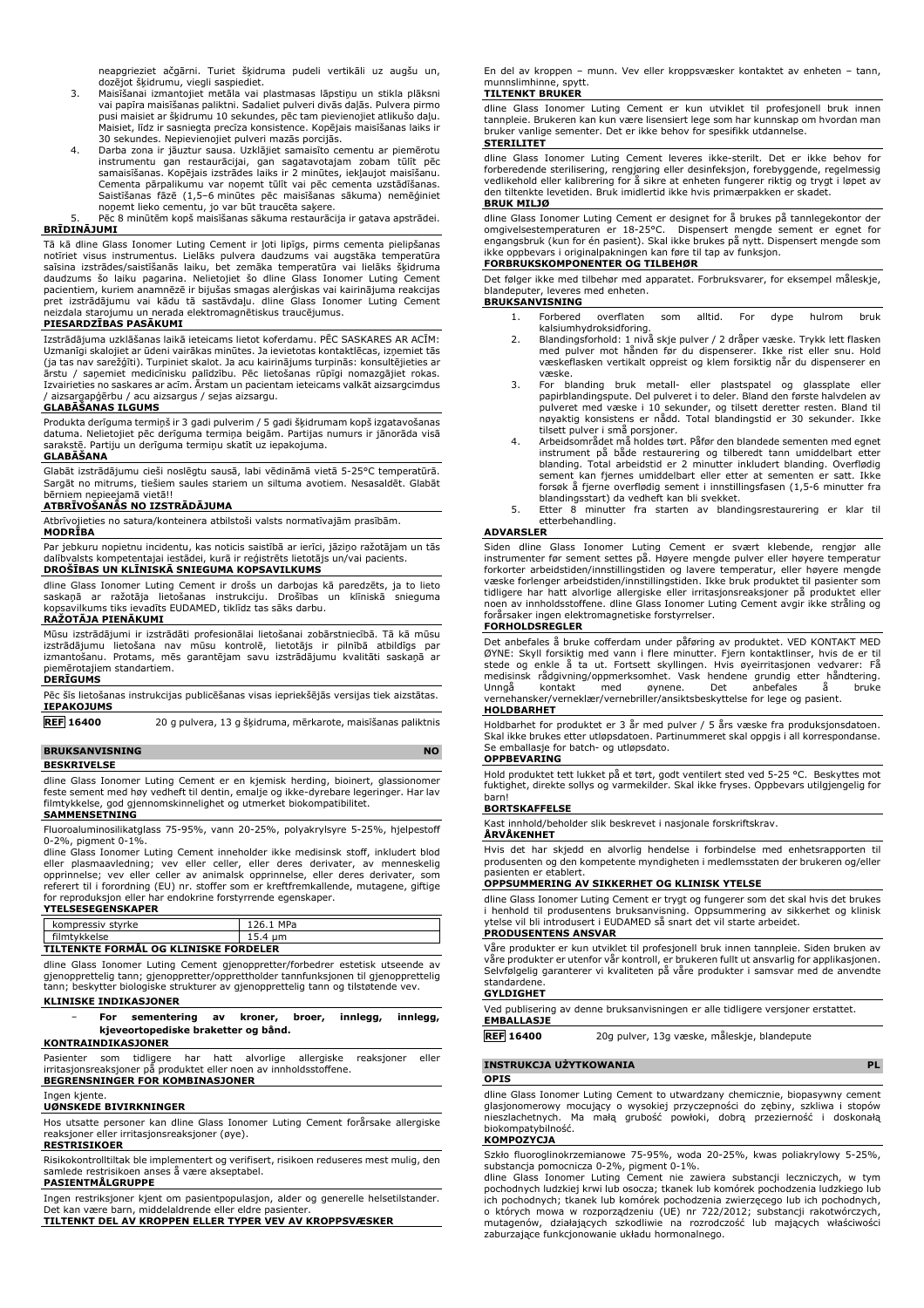neapgrieziet ačgārni. Turiet šķidruma pudeli vertikāli uz augšu un,

- dozējot šķidrumu, viegli saspiediet. 3. Maisīšanai izmantojiet metāla vai plastmasas lāpstiņu un stikla plāksni vai papīra maisīšanas paliktni. Sadaliet pulveri divās daļās. Pulvera pirmo pusi maisiet ar šķidrumu 10 sekundes, pēc tam pievienojiet atlikušo daļu. Maisiet, līdz ir sasniegta precīza konsistence. Kopējais maisīšanas laiks ir 30 sekundes. Nepievienojiet pulveri mazās porcijās.
- 4. Darba zona ir jāuztur sausa. Uzklājiet samaisīto cementu ar piemērotu instrumentu gan restaurācijai, gan sagatavotajam zobam tūlīt pēc samaisīšanas. Kopējais izstrādes laiks ir 2 minūtes, iekļaujot maisīšanu.<br>Cementa pārpalikumu var noņemt tūlīt vai pēc cementa uzstādīšanas.<br>Saistīšanas fāzē (1,5–6 minūtes pēc maisīšanas sākuma) nemēģiniet noņemt lieko cementu, jo var būt traucēta saķere. 5. Pēc 8 minūtēm kopš maisīšanas sākuma restaurācija ir gatava apstrādei.

## **BRĪDINĀJUMI**

Tā kā dline Glass Ionomer Luting Cement ir ļoti lipīgs, pirms cementa pielipšanas notīriet visus instrumentus. Lielāks pulvera daudzums vai augstāka temperatūra<br>saīsina izstrādes/saistīšanās laiku, bet zemāka temperatūra vai lielāks šķidruma<br>daudzums šo laiku pagarina. Nelietojiet šo dline Glass Ionomer pacientiem, kuriem anamnēzē ir bijušas smagas alerģiskas vai kairinājuma reakcijas pret izstrādājumu vai kādu tā sastāvdaļu. dline Glass Ionomer Luting Cement neizdala starojumu un nerada elektromagnētiskus traucējumus.

#### **PIESARDZĪBAS PASĀKUMI**

Izstrādājuma uzklāšanas laikā ieteicams lietot koferdamu. PĒC SASKARES AR ACĪM: Uzmanīgi skalojiet ar ūdeni vairākas minūtes. Ja ievietotas kontaktlēcas, izņemiet tās (ja tas nav sarežģīti). Turpiniet skalot. Ja acu kairinājums turpinās: konsultējieties ar ārstu / saņemiet medicīnisku palīdzību. Pēc lietošanas rūpīgi nomazgājiet rokas. Izvairieties no saskares ar acīm. Ārstam un pacientam ieteicams valkāt aizsargcimdus / aizsargapģērbu / acu aizsargus / sejas aizsargu.

### **GLABĀŠANAS ILGUMS**

Produkta derīguma termiņš ir 3 gadi pulverim / 5 gadi šķidrumam kopš izgatavošanas datuma. Nelietojiet pēc derīguma termiņa beigām. Partijas numurs ir jānorāda visā sarakstē. Partiju un derīguma termiņu skatīt uz iepakojuma.

## **GLABĀŠANA**

Glabāt izstrādājumu cieši noslēgtu sausā, labi vēdināmā vietā 5-25°C temperatūrā. Sargāt no mitrums, tiešiem saules stariem un siltuma avotiem. Nesasaldēt. Glabāt bērniem nepieejamā vietā!!

## **ATBRĪVOŠANĀS NO IZSTRĀDĀJUMA**

Atbrīvojieties no satura/konteinera atbilstoši valsts normatīvajām prasībām.

**MODRĪBA**

Par jebkuru nopietnu incidentu, kas noticis saistībā ar ierīci, jāziņo ražotājam un tās dalībvalsts kompetentajai iestādei, kurā ir reģistrēts lietotājs un/vai pacients. **DROŠĪBAS UN KLĪNISKĀ SNIEGUMA KOPSAVILKUMS**

dline Glass Ionomer Luting Cement ir drošs un darbojas kā paredzēts, ja to lieto<br>saskaņā ar ražotāja lietošanas instrukciju. Drošības un klīniskā snieguma<br>kopsavilkums tiks ievadīts EUDAMED, tiklīdz tas sāks darbu.

### **RAŽOTĀJA PIENĀKUMI**

Mūsu izstrādājumi ir izstrādāti profesionālai lietošanai zobārstniecībā. Tā kā mūsu<br>izstrādājumu lietošana nav mūsu kontrolē, lietotājs ir pilnībā atbildīgs par<br>izmantošanu. Protams, mēs garantējam savu izstr piemērotajiem standartiem. **DERĪGUMS**

Pēc šīs lietošanas instrukcijas publicēšanas visas iepriekšējās versijas tiek aizstātas. **IEPAKOJUMS**

**REF 16400** 20 g pulvera, 13 g šķidruma, mērkarote, maisīšanas paliktnis

## **BRUKSANVISNING**

**BESKRIVELSE**

dline Glass Ionomer Luting Cement er en kjemisk herding, bioinert, glassionomer feste sement med høy vedheft til dentin, emalje og ikke-dyrebare legeringer. Har lav filmtykkelse, god gjennomskinnelighet og utmerket biokompatibilitet.

# **SAMMENSETNING**

Fluoroaluminosilikatglass 75-95%, vann 20-25%, polyakrylsyre 5-25%, hjelpestoff 0-2%, pigment 0-1%.

dline Glass Ionomer Luting Cement inneholder ikke medisinsk stoff, inkludert blod<br>eller plasmaavledning; vev eller celler, eller deres derivater, av menneskelig<br>opprinnelse; vev eller celler av animalsk opprinnelse, eller for reproduksjon eller har endokrine forstyrrende egenskaper. **YTELSESEGENSKAPER**

| kompressiv styrke                     | 126.1 MPa |  |
|---------------------------------------|-----------|--|
| filmtykkelse                          | 15.4 um   |  |
| TILTENKTE FORMÅL OG KLINISKE FORDELER |           |  |

dline Glass Ionomer Luting Cement gjenoppretter/forbedrer estetisk utseende av gjenopprettelig tann; gjenoppretter/opprettholder tannfunksjonen til gjenopprettelig tann; beskytter biologiske strukturer av gjenopprettelig tann og tilstøtende vev.

### **KLINISKE INDIKASJONER**

− **For sementering av kroner, broer, innlegg, innlegg, kjeveortopediske braketter og bånd.**

## **KONTRAINDIKASJONER**

Pasienter som tidligere har hatt alvorlige allergiske reaksjoner eller irritasjonsreaksjoner på produktet eller noen av innholdsstoffene.

## **BEGRENSNINGER FOR KOMBINASJONER**

Ingen kjente.

## **UØNSKEDE BIVIRKNINGER**

Hos utsatte personer kan dline Glass Ionomer Luting Cement forårsake allergiske reaksjoner eller irritasjonsreaksjoner (øye).

## **RESTRISIKOER**

Risikokontrolltiltak ble implementert og verifisert, risikoen reduseres mest mulig, den samlede restrisikoen anses å være akseptabel.

#### **PASIENTMÅLGRUPPE**

Ingen restriksjoner kjent om pasientpopulasjon, alder og generelle helsetilstander. Det kan være barn, middelaldrende eller eldre pasienter. **TILTENKT DEL AV KROPPEN ELLER TYPER VEV AV KROPPSVÆSKER**

En del av kroppen – munn. Vev eller kroppsvæsker kontaktet av enheten – tann, munnslimhinne, spytt.

## **TILTENKT BRUKER**

dline Glass Ionomer Luting Cement er kun utviklet til profesjonell bruk innen tannpleie. Brukeren kan kun være lisensiert lege som har kunnskap om hvordan man bruker vanlige sementer. Det er ikke behov for spesifikk utdannelse. **STERILITET**

## dline Glass Ionomer Luting Cement leveres ikke-sterilt. Det er ikke behov for forberedende sterilisering, rengjøring eller desinfeksjon, forebyggende, regelmessig vedlikehold eller kalibrering for å sikre at enheten fungerer riktig og trygt i løpet av den tiltenkte levetiden. Bruk imidlertid ikke hvis primærpakken er skadet. **BRUK MILJØ**

dline Glass Ionomer Luting Cement er designet for å brukes på tannlegekontor der<br>omgivelsestemperaturen er 18-25°C.<br>engangsbruk (kun for én pasient). Skal ikke brukes på nytt. Dispensert mengde som ikke oppbevars i originalpakningen kan føre til tap av funksjon.

## **FORBRUKSKOMPONENTER OG TILBEHØR**

Det følger ikke med tilbehør med apparatet. Forbruksvarer, for eksempel måleskje, blandeputer, leveres med enheten.

## **BRUKSANVISNING**

- 1. Forbered overflaten som alltid. For dype hulrom bruk kalsiumhydroksidforing.
- 2. Blandingsforhold: 1 nivå skje pulver / 2 dråper væske. Trykk lett flasken med pulver mot hånden før du dispenserer. Ikke rist eller snu. Hold væskeflasken vertikalt oppreist og klem forsiktig når du dispenserer en væske.
- 3. For blanding bruk metall- eller plastspatel og glassplate eller papirblandingspute. Del pulveret i to deler. Bland den første halvdelen av pulveret med væske i 10 sekunder, og tilsett deretter resten. Bland til nøyaktig konsistens er nådd. Total blandingstid er 30 sekunder. Ikke
- tilsett pulver i små porsjoner. 4. Arbeidsområdet må holdes tørt. Påfør den blandede sementen med egnet instrument på både restaurering og tilberedt tann umiddelbart etter blanding. Total arbeidstid er 2 minutter inkludert blanding. Overflødig sement kan fjernes umiddelbart eller etter at sementen er satt. Ikke forsøk å fjerne overflødig sement i innstillingsfasen (1,5-6 minutter fra blandingsstart) da vedheft kan bli svekket.
- 5. Etter 8 minutter fra starten av blandingsrestaurering er klar til etterbehandling.

#### **ADVARSLER**

Siden dline Glass Ionomer Luting Cement er svært klebende, rengjør alle instrumenter før sement settes på. Høyere mengde pulver eller høyere temperatur forkorter arbeidstiden/innstillingstiden og lavere temperatur, eller høyere mengde<br>væske forlenger arbeidstiden/innstillingstiden. Ikke bruk produktet til pasienter som<br>tidligere har hatt alvorlige allergiske eller irritas noen av innholdsstoffene. dline Glass Ionomer Luting Cement avgir ikke stråling og forårsaker ingen elektromagnetiske forstyrrelser.

## **FORHOLDSREGLER**

Det anbefales å bruke cofferdam under påføring av produktet. VED KONTAKT MED ØYNE: Skyll forsiktig med vann i flere minutter. Fjern kontaktlinser, hvis de er til stede og enkle å ta ut. Fortsett skyllingen. Hvis øyeirritasjonen vedvarer: Fä<br>medisinsk rådgivning/oppmerksomhet. Vask hendene grundig etter håndtering.<br>Unngå kontakt med øynene. Det anbefales å bruke vernehansker/verneklær/vernebriller/ansiktsbeskyttelse for lege og pasient.<br>
vernehansker/verneklær/vernebriller/ansiktsbeskyttelse for lege og pasient. **HOLDBARHET**

Holdbarhet for produktet er 3 år med pulver / 5 års væske fra produksjonsdatoen. Skal ikke brukes etter utløpsdatoen. Partinummeret skal oppgis i all korrespondanse. Se emballasje for batch- og utløpsdato. **OPPBEVARING**

Hold produktet tett lukket på et tørt, godt ventilert sted ved 5-25 °C. Beskyttes mot fuktighet, direkte sollys og varmekilder. Skal ikke fryses. Oppbevars utilgjengelig for barn!

### **BORTSKAFFELSE**

Kast innhold/beholder slik beskrevet i nasjonale forskriftskrav.

**ÅRVÅKENHET**

Hvis det har skjedd en alvorlig hendelse i forbindelse med enhetsrapporten til produsenten og den kompetente myndigheten i medlemsstaten der brukeren og/eller presenten er etablert.

## **OPPSUMMERING AV SIKKERHET OG KLINISK YTELSE**

dline Glass Ionomer Luting Cement er trygt og fungerer som det skal hvis det brukes i henhold til produsentens bruksanvisning. Oppsummering av sikkerhet og klinisk ytelse vil bli introdusert i EUDAMED så snart det vil starte arbeidet. **PRODUSENTENS ANSVAR**

Våre produkter er kun utviklet til profesjonell bruk innen tannpleie. Siden bruken av våre produkter er utenfor vår kontroll, er brukeren fullt ut ansvarlig for applikasjonen. Selvfølgelig garanterer vi kvaliteten på våre produkter i samsvar med de anvendte standardene.

## **GYLDIGHET**

Ved publisering av denne bruksanvisningen er alle tidligere versjoner erstattet.

# **EMBALLASJE**

**REF 16400** 20g pulver, 13g væske, måleskje, blandepute

## **INSTRUKCJA UŻYTKOWANIA PL**

**OPIS**

dline Glass Ionomer Luting Cement to utwardzany chemicznie, biopasywny cement glasjonomerowy mocujący o wysokiej przyczepności do zębiny, szkliwa i stopów nieszlachetnych. Ma małą grubość powłoki, dobrą przezierność i doskonałą biokompatybilność.

## **KOMPOZYCJA**

Szkło fluoroglinokrzemianowe 75-95%, woda 20-25%, kwas poliakrylowy 5-25%, substancja pomocnicza 0-2%, pigment 0-1%. dline Glass Ionomer Luting Cement nie zawiera substancji leczniczych, w tym

pochodnych ludzkiej krwi lub osocza; tkanek lub komórek pochodzenia ludzkiego lub ich pochodnych; tkanek lub komórek pochodzenia zwierzęcego lub ich pochodnych, o których mowa w rozporządzeniu (UE) nr 722/2012; substancji rakotwórczych, mutagenów, działających szkodliwie na rozrodczość lub mających właściwości zaburzające funkcjonowanie układu hormonalnego.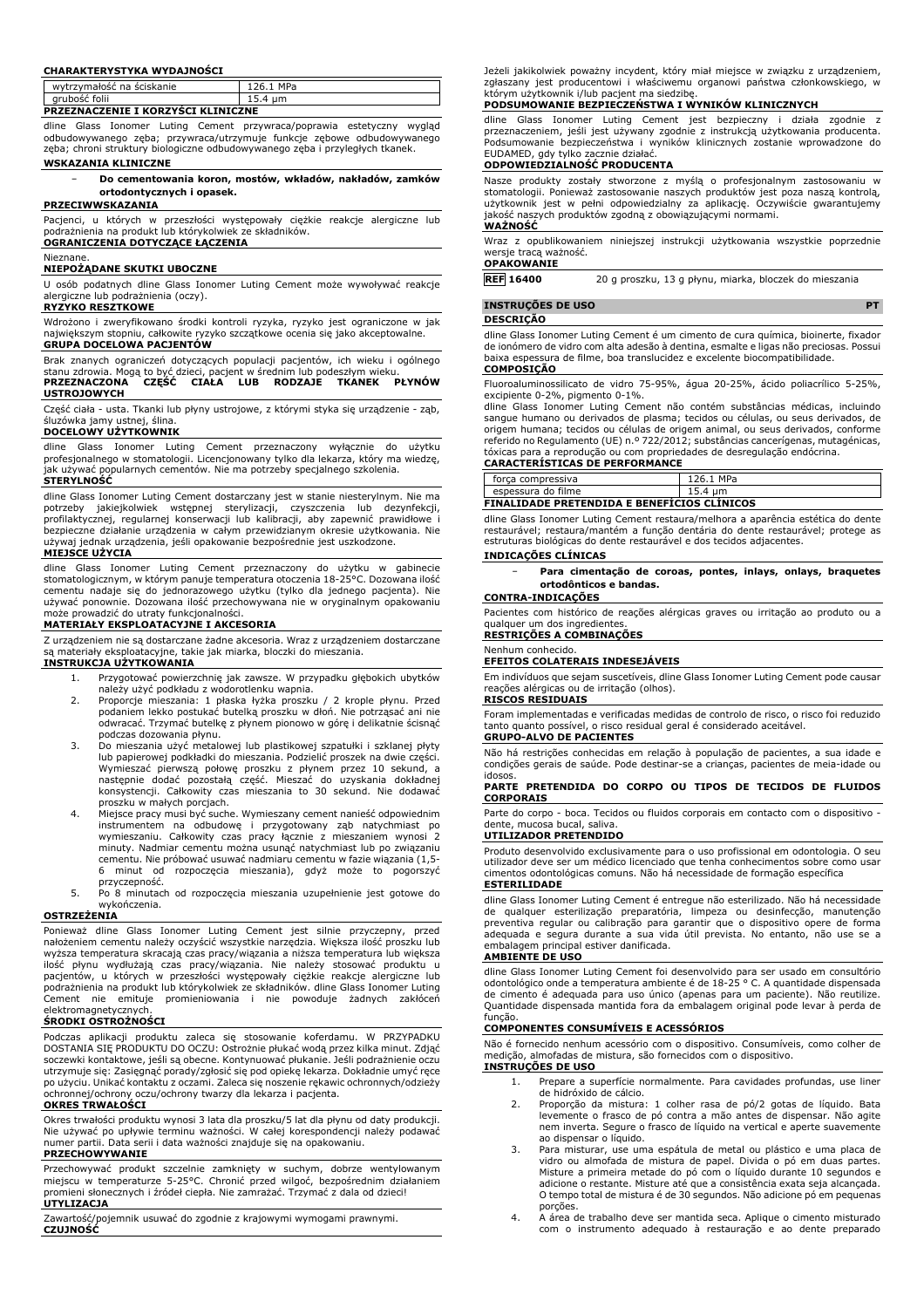#### **CHARAKTERYSTYKA WYDAJNOŚCI**

| wytrzymałość na ściskanie<br>arubość folii | <b>MPa</b> |  |  |
|--------------------------------------------|------------|--|--|
| <b>DD7E7NAC7ENTE T KOD7VCCT KI TNTC7NE</b> |            |  |  |

**PRZEZNACZENIE I KORZYŚCI KLINICZNE**

dline Glass Ionomer Luting Cement przywraca/poprawia estetyczny wygląd odbudowywanego zęba; przywraca/utrzymuje funkcje zębowe odbudowywanego zęba; chroni struktury biologiczne odbudowywanego zęba i przyległych tkanek. **WSKAZANIA KLINICZNE**

− **Do cementowania koron, mostów, wkładów, nakładów, zamków ortodontycznych i opasek.**

## **PRZECIWWSKAZANIA**

Pacjenci, u których w przeszłości występowały ciężkie reakcje alergiczne lub<br>podrażnienia na produkt lub którykolwiek ze składników.<br><mark>OGRANICZENIA DOTYCZĄCE ŁĄCZENIA</mark>

### Nieznane.

#### **NIEPOŻĄDANE SKUTKI UBOCZNE**

U osób podatnych dline Glass Ionomer Luting Cement może wywoływać reakcje alergiczne lub podrażnienia (oczy).

### **RYZYKO RESZTKOWE**

Wdrożono i zweryfikowano środki kontroli ryzyka, ryzyko jest ograniczone w jak największym stopniu, całkowite ryzyko szczątkowe ocenia się jako akceptowalne. **GRUPA DOCELOWA PACJENTÓW**

Brak znanych ograniczeń dotyczących populacji pacjentów, ich wieku i ogólnego<br>stanu zdrowia. Mogąło być dzieci, pacjent w średnim lub podeszłym wieku.<br>**PRZEZNACZONA - CZĘŚĆ - CIAŁA - LUB - RODZAJE - TKANEK - PŁYNÓW USTROJOWYCH**

Część ciała - usta. Tkanki lub płyny ustrojowe, z którymi styka się urządzenie - ząb, śluzówka jamy ustnej, ślina.

#### **DOCELOWY UŻYTKOWNIK**

dline Glass Ionomer Luting Cement przeznaczony wyłącznie do użytku profesjonalnego w stomatologii. Licencjonowany tylko dla lekarza, który ma wiedzę, jak używać popularnych cementów. Nie ma potrzeby specjalnego szkolenia. **STERYLNOŚĆ**

dline Glass Ionomer Luting Cement dostarczany jest w stanie niesterylnym. Nie ma potrzeby jakiejkolwiek wstępnej sterylizacji, czyszczenia lub dezynfekcji,<br>profilaktycznej, regularnej konserwacji lub kalibracji, aby zapewnić prawidłowe i<br>bezpieczne-działanie-urządzenia-w-całym-przewidzianym-okresie-uży używaj jednak urządzenia, jeśli opakowanie bezpośrednie jest uszkodzone.

## **MIEJSCE UŻYCIA**

dline Glass Ionomer Luting Cement przeznaczony do użytku w gabinecie stomatologicznym, w którym panuje temperatura otoczenia 18-25°C. Dozowana ilość cementu nadaje się do jednorazowego użytku (tylko dla jednego pacjenta). Nie używać ponownie. Dozowana ilość przechowywana nie w oryginalnym opakowaniu może prowadzić do utraty funkcjonalności.

## **MATERIAŁY EKSPLOATACYJNE I AKCESORIA**

Z urządzeniem nie są dostarczane żadne akcesoria. Wraz z urządzeniem dostarczane są materiały eksploatacyjne, takie jak miarka, bloczki do mieszania.

## **INSTRUKCJA UŻYTKOWANIA**

- 1. Przygotować powierzchnię jak zawsze. W przypadku głębokich ubytków należy użyć podkładu z wodorotlenku wapnia.
- 2. Proporcje mieszania: 1 płaska łyżka proszku / 2 krople płynu. Przed podaniem lekko postukać butelką proszku w dłoń. Nie potrząsać ani nie odwracać. Trzymać butelkę z płynem pionowo w górę i delikatnie ścisnąć
- podczas dozowania płynu. 3. Do mieszania użyć metalowej lub plastikowej szpatułki i szklanej płyty lub papierowej podkładki do mieszania. Podzielić proszek na dwie części. Wymieszać pierwszą połowę proszku z płynem przez 10 sekund, a następnie dodać pozostałą część. Mieszać do uzyskania dokładnej konsystencji. Całkowity czas mieszania to 30 sekund. Nie dodawać proszku w małych porcjach.
- 4. Miejsce pracy musi być suche. Wymieszany cement nanieść odpowiednim instrumentem na odbudowę i przygotowany ząb natychmiast po<br>wymieszaniu. Całkowity czas pracy łącznie z mieszaniem wynosi 2<br>minuty. Nadmiar cementu można usunąć natychmiast lub po związaniu<br>cementu. Nie próbować usuwać nadm 6 minut od rozpoczęcia mieszania), gdyż może to pogorszyć przyczepność.
- 5. Po 8 minutach od rozpoczęcia mieszania uzupełnienie jest gotowe do wykończenia.

## **OSTRZEŻENIA**

Ponieważ dline Glass Ionomer Luting Cement jest silnie przyczepny, przed nałożeniem cementu należy oczyścić wszystkie narzędzia. Większa ilość proszku lub wyższa temperatura skracają czas pracy/wiązania a niższa temperatura lub większa ilość płynu wydłużają czas pracy/wiązania. Nie należy stosować produktu u pacjentów, u których w przeszłości występowały ciężkie reakcje alergiczne lub podrażnienia na produkt lub którykolwiek ze składników. dline Glass Ionomer Luting Cement nie emituje promieniowania i nie powoduje żadnych zakłóceń elektromagnetycznych.

## **ŚRODKI OSTROŻNOŚCI**

Podczas aplikacji produktu zaleca się stosowanie koferdamu. W PRZYPADKU<br>DOSTANIA SIĘPRODUKTUDO OCZU: Ostrożnie płukać wodąprzez kilka minut. Zdjąć<br>soczewki kontaktowe, jeślisą obecne. Kontynuować płukanie. Jeślipodrażnieni utrzymuje się: Zasięgnąć porady/zgłosić się pod opiekę lekarza. Dokładnie umyć ręce po użyciu. Unikać kontaktu z oczami. Zaleca się noszenie rękawic ochronnych/odzieży ochronnej/ochrony oczu/ochrony twarzy dla lekarza i pacjenta.

#### **OKRES TRWAŁOŚCI**

Okres trwałości produktu wynosi 3 lata dla proszku/5 lat dla płynu od daty produkcji. Nie używać po upływie terminu ważności. W całej korespondencji należy podawać numer partii. Data serii i data ważności znajduje się na opakowaniu.

## **PRZECHOWYWANIE**

Przechowywać produkt szczelnie zamknięty w suchym, dobrze wentylowanym miejscu w temperaturze 5-25°C. Chronić przed wilgoć, bezpośrednim działaniem promieni słonecznych i źródeł ciepła. Nie zamrażać. Trzymać z dala od dzieci! **UTYLIZACJA**

Zawartość/pojemnik usuwać do zgodnie z krajowymi wymogami prawnymi. **CZUJNOŚĆ**

Jeżeli jakikolwiek poważny incydent, który miał miejsce w związku z urządzeniem, zgłaszany jest producentowi i właściwemu organowi państwa członkowskiego, w którym użytkownik i/lub pacjent ma siedzibę.

#### **PODSUMOWANIE BEZPIECZEŃSTWA I WYNIKÓW KLINICZNYCH**

dline Glass Ionomer Luting Cement jest bezpieczny i działa zgodnie z przeznaczeniem, jeśli jest używany zgodnie z instrukcją użytkowania producenta. Podsumowanie bezpieczeństwa i wyników klinicznych zostanie wprowadzone do EUDAMED, gdy tylko zacznie działać.

## **ODPOWIEDZIALNOŚĆ PRODUCENTA**

Nasze produkty zostały stworzone z myślą o profesjonalnym zastosowaniu w stomatologii. Ponieważ zastosowanie naszych produktów jest poza naszą kontrolą, użytkownik jest w pełni odpowiedzialny za aplikację. Oczywiście gwarantujemy jakość naszych produktów zgodną z obowiązującymi normami. **WAŻNOŚĆ**

Wraz z opublikowaniem niniejszej instrukcji użytkowania wszystkie poprzednie wersje tracą ważność.

## **OPAKOWANIE**

**REF 16400** 20 g proszku, 13 g płynu, miarka, bloczek do mieszania

# **INSTRUÇÕES DE USO PT**

#### **DESCRIÇÃO**

dline Glass Ionomer Luting Cement é um cimento de cura química, bioinerte, fixador de ionómero de vidro com alta adesão à dentina, esmalte e ligas não preciosas. Possui baixa espessura de filme, boa translucidez e excelente biocompatibilidade. **COMPOSIÇÃO**

Fluoroaluminossilicato de vidro 75-95%, água 20-25%, ácido poliacrílico 5-25%,

excipiente 0-2%, pigmento 0-1%. dline Glass Ionomer Luting Cement não contém substâncias médicas, incluindo sangue humano ou derivados de plasma; tecidos ou células, ou seus derivados, de origem humana; tecidos ou células de origem animal, ou seus derivados, conforme referido no Regulamento (UE) n.º 722/2012; substâncias cancerígenas, mutagénicas, tóxicas para a reprodução ou com propriedades de desregulação endócrina. **CARACTERÍSTICAS DE PERFORMANCE**

| CARACTERISTICAS DE FERTORMANCE                     |           |  |  |
|----------------------------------------------------|-----------|--|--|
| forca compressiva                                  | 126.1 MPa |  |  |
| espessura do filme                                 | 15.4 um   |  |  |
| <b>FINALIDADE PRETENDIDA E BENEFICIOS CLINICOS</b> |           |  |  |

dline Glass Ionomer Luting Cement restaura/melhora a aparência estética do dente restaurável; restaura/mantém a função dentária do dente restaurável; protege as estruturas biológicas do dente restaurável e dos tecidos adjacentes.

## **INDICAÇÕES CLÍNICAS**

− **Para cimentação de coroas, pontes, inlays, onlays, braquetes ortodônticos e bandas.**

### **CONTRA-INDICAÇÕES**

Pacientes com histórico de reações alérgicas graves ou irritação ao produto ou a qualquer um dos ingredientes **RESTRIÇÕES A COMBINAÇÕES**

## Nenhum conhecido.

#### **EFEITOS COLATERAIS INDESEJÁVEIS**

Em indivíduos que sejam suscetíveis, dline Glass Ionomer Luting Cement pode causar reações alérgicas ou de irritação (olhos).

#### **RISCOS RESIDUAIS**

Foram implementadas e verificadas medidas de controlo de risco, o risco foi reduzido tanto quanto possível, o risco residual geral é considerado aceitável. **GRUPO-ALVO DE PACIENTES**

Não há restrições conhecidas em relação à população de pacientes, a sua idade e condições gerais de saúde. Pode destinar-se a crianças, pacientes de meia-idade ou

## idosos. **PARTE PRETENDIDA DO CORPO OU TIPOS DE TECIDOS DE FLUIDOS CORPORAIS**

Parte do corpo - boca. Tecidos ou fluidos corporais em contacto com o dispositivo dente, mucosa bucal, saliva.

## **UTILIZADOR PRETENDIDO**

Produto desenvolvido exclusivamente para o uso profissional em odontologia. O seu utilizador deve ser um médico licenciado que tenha conhecimentos sobre como usar cimentos odontológicas comuns. Não há necessidade de formação específica **ESTERILIDADE**

dline Glass Ionomer Luting Cement é entregue não esterilizado. Não há necessidade de qualquer esterilização preparatória, limpeza ou desinfecção, manutenção preventiva regular ou calibração para garantir que o dispositivo opere de forma adequada e segura durante a sua vida útil prevista. No entanto, não use se a embalagem principal estiver danificada.

## **AMBIENTE DE USO**

dline Glass Ionomer Luting Cement foi desenvolvido para ser usado em consultório<br>odontológico onde a temperatura ambiente é de 18-25 °C. A quantidade dispensada<br>de cimento é adequada para uso único (apenas para um paciente Quantidade dispensada mantida fora da embalagem original pode levar à perda de função.

## **COMPONENTES CONSUMÍVEIS E ACESSÓRIOS**

Não é fornecido nenhum acessório com o dispositivo. Consumíveis, como colher de medição, almofadas de mistura, são fornecidos com o dispositivo. **INSTRUÇÕES DE USO**

- 1. Prepare a superfície normalmente. Para cavidades profundas, use liner
- de hidróxido de cálcio. 2. Proporção da mistura: 1 colher rasa de pó/2 gotas de líquido. Bata levemente o frasco de pó contra a mão antes de dispensar. Não agite nem inverta. Segure o frasco de líquido na vertical e aperte suavemente ao dispensar o líquido.
- 3. Para misturar, use uma espátula de metal ou plástico e uma placa de vidro ou almofada de mistura de papel. Divida o pó em duas partes. Misture a primeira metade do pó com o líquido durante 10 segundos e adicione o restante. Misture até que a consistência exata seja alcançada. O tempo total de mistura é de 30 segundos. Não adicione pó em pequenas porções.
- 4. A área de trabalho deve ser mantida seca. Aplique o cimento misturado com o instrumento adequado à restauração e ao dente preparado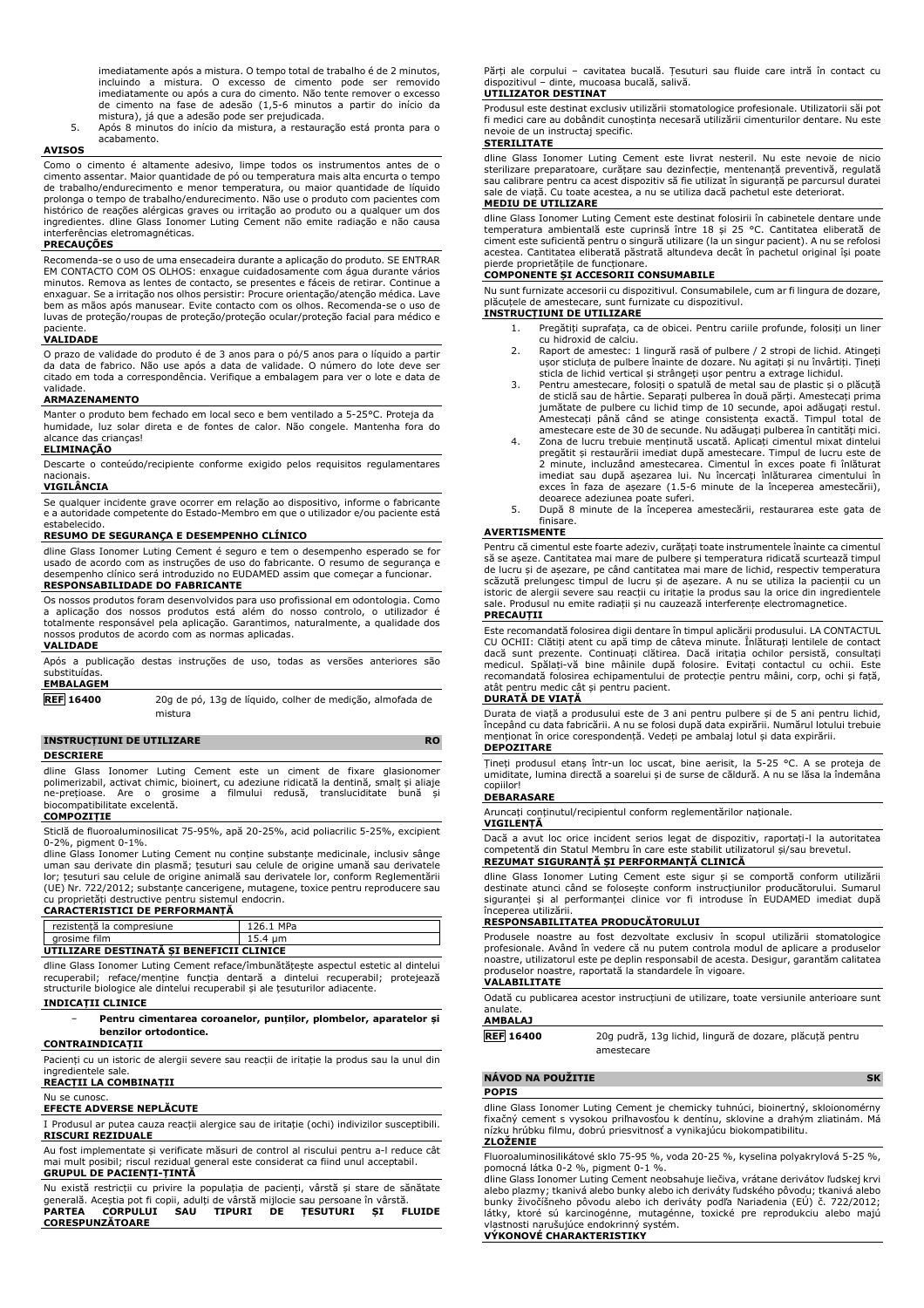imediatamente após a mistura. O tempo total de trabalho é de 2 minutos, incluindo a mistura. O excesso de cimento pode ser removido imediatamente ou após a cura do cimento. Não tente remover o excesso de cimento na fase de adesão (1,5-6 minutos a partir do início da mistura), já que a adesão pode ser prejudicada.

5. Após 8 minutos do início da mistura, a restauração está pronta para o acabamento.

#### **AVISOS**

Como o cimento é altamente adesivo, limpe todos os instrumentos antes de o cimento assentar. Maior quantidade de pó ou temperatura mais alta encurta o tempo de trabalho/endurecimento e menor temperatura, ou maior quantidade de líquido prolonga o tempo de trabalho/endurecimento. Não use o produto com pacientes com histórico de reações alérgicas graves ou irritação ao produto ou a qualquer um dos ingredientes. dline Glass Ionomer Luting Cement não emite radiação e não causa interferências eletromagnéticas.

## **PRECAUÇÕES**

Recomenda-se o uso de uma ensecadeira durante a aplicação do produto. SE ENTRAR EM CONTACTO COM OS OLHOS: enxague cuidadosamente com água durante vários minutos. Remova as lentes de contacto, se presentes e fáceis de retirar. Continue a enxaguar. Se a irritação nos olhos persistir: Procure orientação/atenção médica. Lave bem as mãos após manusear. Evite contacto com os olhos. Recomenda-se o uso de luvas de proteção/roupas de proteção/proteção ocular/proteção facial para médico e

# paciente. **VALIDADE**

O prazo de validade do produto é de 3 anos para o pó/5 anos para o líquido a partir da data de fabrico. Não use após a data de validade. O número do lote deve ser citado em toda a correspondência. Verifique a embalagem para ver o lote e data de validade.

## **ARMAZENAMENTO**

Manter o produto bem fechado em local seco e bem ventilado a 5-25°C. Proteja da humidade, luz solar direta e de fontes de calor. Não congele. Mantenha fora do alcance das crianças!

### **ELIMINAÇÃO**

Descarte o conteúdo/recipiente conforme exigido pelos requisitos regulamentares nacionais.

### **VIGILÂNCIA**

Se qualquer incidente grave ocorrer em relação ao dispositivo, informe o fabricante e a autoridade competente do Estado-Membro em que o utilizador e/ou paciente está estabelecido.

## **RESUMO DE SEGURANÇA E DESEMPENHO CLÍNICO**

dline Glass Ionomer Luting Cement é seguro e tem o desempenho esperado se for usado de acordo com as instruções de uso do fabricante. O resumo de segurança e desempenho clínico será introduzido no EUDAMED assim que começar a funcionar. **RESPONSABILIDADE DO FABRICANTE**

Os nossos produtos foram desenvolvidos para uso profissional em odontologia. Como<br>a aplicação dos nossos produtos está além do nosso controlo, o utilizador é<br>totalmente responsável pela aplicação. Garantimo nossos produtos de acordo com as normas aplicadas.

#### **VALIDADE**

Após a publicação destas instruções de uso, todas as versões anteriores são substituídas. **EMBALAGEM**

**REF 16400** 20g de pó, 13g de líquido, colher de medição, almofada de mistura

## **INSTRUCȚIUNI DE UTILIZARE RO**

#### **DESCRIERE**

dline Glass Ionomer Luting Cement este un ciment de fixare glasionomer polimerizabil, activat chimic, bioinert, cu adeziune ridicată la dentină, smalț și aliaje ne-prețioase. Are o grosime a filmului redusă, transluciditate bună și biocompatibilitate excelentă.

## **COMPOZIȚIE**

Sticlă de fluoroaluminosilicat 75-95%, apă 20-25%, acid poliacrilic 5-25%, excipient 0-2%, pigment 0-1%.

dline Glass Ionomer Luting Cement nu conține substanțe medicinale, inclusiv sânge uman sau derivate din plasmă; țesuturi sau celule de origine umană sau derivatele lor; țesuturi sau celule de origine animală sau derivatele lor, conform Reglementării (UE) Nr. 722/2012; substanțe cancerigene, mutagene, toxice pentru reproducere sau cu proprietăți destructive pentru sistemul endocrin.

## **CARACTERISTICI DE PERFORMANȚĂ**

| 126.1 MPa                                |  |  |
|------------------------------------------|--|--|
| 15.4 um                                  |  |  |
| UTILIZARE DESTINATĂ SI BENEFICII CLINICE |  |  |
|                                          |  |  |

dline Glass Ionomer Luting Cement reface/îmbunătățește aspectul estetic al dintelui recuperabil; reface/menține funcția dentară a dintelui recuperabil; protejează structurile biologice ale dintelui recuperabil și ale țesuturilor adiacente.

## **INDICAȚII CLINICE**

## − **Pentru cimentarea coroanelor, punților, plombelor, aparatelor și benzilor ortodontice.**

## **CONTRAINDICAȚII**

Pacienți cu un istoric de alergii severe sau reacții de iritație la produs sau la unul din ingredientele sale. **REACȚII LA COMBINAȚII**

Nu se cunosc.

## **EFECTE ADVERSE NEPLĂCUTE**

I Produsul ar putea cauza reacții alergice sau de iritație (ochi) indivizilor susceptibili. **RISCURI REZIDUALE**

Au fost implementate și verificate măsuri de control al riscului pentru a-l reduce cât mai mult posibil; riscul rezidual general este considerat ca fiind unul acceptabil. **GRUPUL DE PACIENȚI-ȚINTĂ**

|                        |  | Nu există restrictii cu privire la populatia de pacienti, vârstă și stare de sănătate |  |
|------------------------|--|---------------------------------------------------------------------------------------|--|
|                        |  | generală. Acestia pot fi copii, adulti de vârstă mijlocie sau persoane în vârstă.     |  |
|                        |  |                                                                                       |  |
| <b>PARTEA CORPULUI</b> |  | SAU TIPURI DE TESUTURI SI FLUIDE                                                      |  |
| <b>CORESPUNZĂTOARE</b> |  |                                                                                       |  |

Părți ale corpului – cavitatea bucală. Țesuturi sau fluide care intră în contact cu dispozitivul – dinte, mucoasa bucală, salivă.

## **UTILIZATOR DESTINAT**

Produsul este destinat exclusiv utilizării stomatologice profesionale. Utilizatorii săi pot fi medici care au dobândit cunoștința necesară utilizării cimenturilor dentare. Nu este nevoie de un instructaj specific.

### **STERILITATE**

dline Glass Ionomer Luting Cement este livrat nesteril. Nu este nevoie de nicio sterilizare preparatoare, curățare sau dezinfecție, mentenanță preventivă, regulată sau calibrare pentru ca acest dispozitiv să fie utilizat în siguranță pe parcursul duratei sale de viață. Cu toate acestea, a nu se utiliza dacă pachetul este deteriorat. **MEDIU DE UTILIZARE**

dline Glass Ionomer Luting Cement este destinat folosirii în cabinetele dentare unde<br>temperatura ambientală este cuprinsă între 18 și 25 °C. Cantitatea eliberată de<br>ciment este suficientă pentru o singură utiliz acestea. Cantitatea eliberată păstrată altundeva decât în pachetul original își poate

# pierde proprietățile de funcționare. **COMPONENTE ȘI ACCESORII CONSUMABILE**

Nu sunt furnizate accesorii cu dispozitivul. Consumabilele, cum ar fi lingura de dozare, plăcuțele de amestecare, sunt furnizate cu dispozitivul. **INSTRUCȚIUNI DE UTILIZARE**

- 1. Pregătiți suprafața, ca de obicei. Pentru cariile profunde, folosiți un liner
- cu hidroxid de calciu. 2. Raport de amestec: 1 lingură rasă of pulbere / 2 stropi de lichid. Atingeți ușor sticluța de pulbere înainte de dozare. Nu agitați și nu învârtiți. Țineți sticla de lichid vertical și strângeți ușor pentru a extrage lichidul.
- 3. Pentru amestecare, folosiți o spatulă de metal sau de plastic și o plăcuță de sticlă sau de hârtie. Separați pulberea în două părți. Amestecați prima jumătate de pulbere cu lichid timp de 10 secunde, apoi adăugați restul.<br>Amestecați până când se atinge consistența exactă. Timpul total de<br>amestecare este de 30 de secunde. Nu adăugați pulorera în cantități mici.<br>4. Zona d
- pregătit și restaurării imediat după amestecare. Timpul de lucru este de 2 minute, incluzând amestecarea. Cimentul în exces poate fi înlăturat imediat sau după așezarea lui. Nu încercați înlăturarea cimentului în exces în faza de așezare (1.5-6 minute de la începerea amestecării),
- deoarece adeziunea poate suferi. 5. După 8 minute de la începerea amestecării, restaurarea este gata de finisare.

### **AVERTISMENTE**

Pentru că cimentul este foarte adeziv, curățați toate instrumentele înainte ca cimentul să se așeze. Cantitatea mai mare de pulbere și temperatura ridicată scurtează timpul de lucru și de așezare, pe când cantitatea mai mare de lichid, respectiv temperatura scăzută prelungesc timpul de lucru și de așezare. A nu se utiliza la pacienții cu un istoric de alergii severe sau reacții cu iritație la produs sau la orice din ingredientele sale. Produsul nu emite radiații și nu cauzează interferențe electromagnetice. **PRECAUȚII**

Este recomandată folosirea digii dentare în timpul aplicării produsului. LA CONTACTUL CU OCHII: Clătiți atent cu apă timp de câteva minute. Înlăturați lentilele de contact dacă sunt prezente. Continuați clătirea. Dacă iritația ochilor persistă, consultați medicul. Spălați-vă bine mâinile după folosire. Evitați contactul cu ochii. Este recomandată folosirea echipamentului de protecție pentru mâini, corp, ochi și față, atât pentru medic cât și pentru pacient.

#### **DURATĂ DE VIAȚĂ**

Durata de viață a produsului este de 3 ani pentru pulbere și de 5 ani pentru lichid, începând cu data fabricării. A nu se folosi după data expirării. Numărul lotului trebuie menționat în orice corespondență. Vedeți pe ambalaj lotul și data expirării. **DEPOZITARE**

Țineți produsul etanș într-un loc uscat, bine aerisit, la 5-25 °C. A se proteja de umiditate, lumina directă a soarelui și de surse de căldură. A nu se lăsa la îndemâna copiilor!

## **DEBARASARE**

Aruncați conținutul/recipientul conform reglementărilor naționale.

## **VIGILENȚĂ**

Dacă a avut loc orice incident serios legat de dispozitiv, raportați-l la autoritatea competentă din Statul Membru în care este stabilit utilizatorul și/sau brevetul. **REZUMAT SIGURANȚĂ ȘI PERFORMANȚĂ CLINICĂ**

dline Glass Ionomer Luting Cement este sigur și se comportă conform utilizării destinate atunci când se folosește conform instrucțiunilor producătorului. Sumarul siguranței și al performanței clinice vor fi introduse în EUDAMED imediat după începerea utilizării.

## **RESPONSABILITATEA PRODUCĂTORULUI**

Produsele noastre au fost dezvoltate exclusiv în scopul utilizării stomatologice profesionale. Având în vedere că nu putem controla modul de aplicare a produselor noastre, utilizatorul este pe deplin responsabil de acesta. Desigur, garantăm calitatea produselor noastre, raportată la standardele în vigoare. **VALABILITATE**

Odată cu publicarea acestor instrucțiuni de utilizare, toate versiunile anterioare sunt anulate.

## **AMBALAJ**

| <b>REF</b> 16400 | 20g pudră, 13g lichid, lingură de dozare, plăcuță pentru |  |  |
|------------------|----------------------------------------------------------|--|--|
|                  | amestecare                                               |  |  |

## **NÁVOD NA POUŽITIE SK**

**POPIS**

dline Glass Ionomer Luting Cement je chemicky tuhnúci, bioinertný, skloionomérny fixačný cement s vysokou priľnavosťou k dentínu, sklovine a drahým zliatinám. Má nízku hrúbku filmu, dobrú priesvitnosť a vynikajúcu biokompatibilitu. **ZLOŽENIE**

Fluoroaluminosilikátové sklo 75-95 %, voda 20-25 %, kyselina polyakrylová 5-25 %, pomocná látka 0-2 %, pigment 0-1 %.

dline Glass Ionomer Luting Cement neobsahuje liečiva, vrátane derivátov ľudskej krvi alebo plazmy; tkanivá alebo bunky alebo ich deriváty ľudského pôvodu; tkanivá alebo bunky živočíšneho pôvodu alebo ich deriváty podľa Nariadenia (EÚ) č. 722/2012; látky, ktoré sú karcinogénne, mutagénne, toxické pre reprodukciu alebo majú<br>vlastnosti narušujúce endokrinný systém.<br>**VÝKONOVÉ CHARAKTERISTIKY**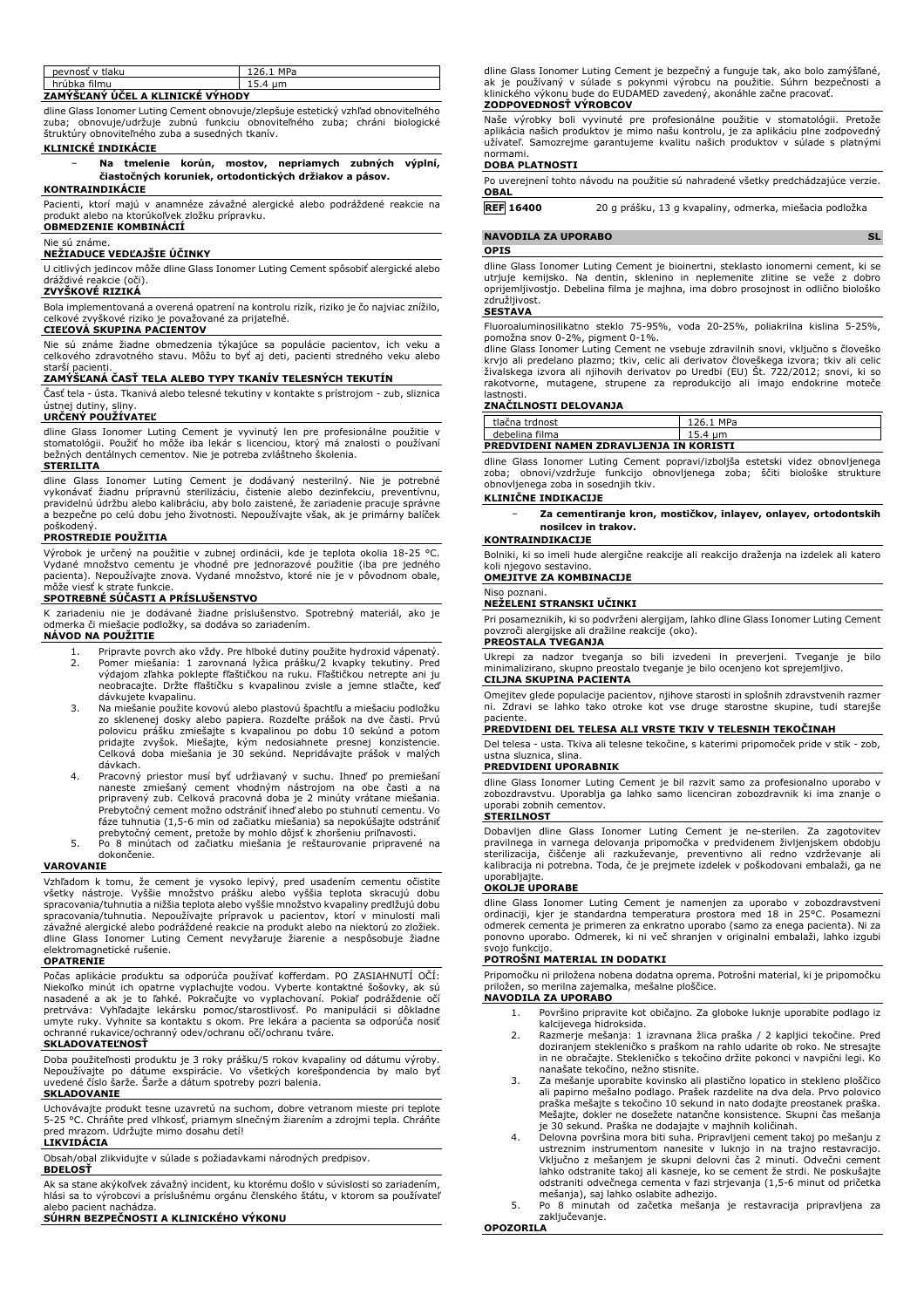| pevnosť v tlaku                  | 126.1 MPa |  |  |
|----------------------------------|-----------|--|--|
| hrúbka filmu                     | 15.4 um   |  |  |
| ZAMÝŠĽANÝ ÚČEL A KLINICKÉ VÝHODY |           |  |  |

dline Glass Ionomer Luting Cement obnovuje/zlepšuje estetický vzhľad obnoviteľného zuba; obnovuje/udržuje zubnú funkciu obnoviteľného zuba; chráni biologické štruktúry obnoviteľného zuba a susedných tkanív.

### **KLINICKÉ INDIKÁCIE**

− **Na tmelenie korún, mostov, nepriamych zubných výplní, čiastočných koruniek, ortodontických držiakov a pásov.**

## **KONTRAINDIKÁCIE**

Pacienti, ktorí majú v anamnéze závažné alergické alebo podráždené reakcie na produkt alebo na ktorúkoľvek zložku prípravku. **OBMEDZENIE KOMBINÁCIÍ**

### Nie sú známe.

## **NEŽIADUCE VEDĽAJŠIE ÚČINKY**

U citlivých jedincov môže dline Glass Ionomer Luting Cement spôsobiť alergické alebo dráždivé reakcie (oči).

## **ZVYŠKOVÉ RIZIKÁ**

Bola implementovaná a overená opatrení na kontrolu rizík, riziko je čo najviac znížilo, celkové zvyškové riziko je považované za prijateľné.

## **CIEĽOVÁ SKUPINA PACIENTOV**

Nie sú známe žiadne obmedzenia týkajúce sa populácie pacientov, ich veku a celkového zdravotného stavu. Môžu to byť aj deti, pacienti stredného veku alebo starší pacienti.

## **ZAMÝŠĽANÁ ČASŤ TELA ALEBO TYPY TKANÍV TELESNÝCH TEKUTÍN**

Časť tela - ústa. Tkanivá alebo telesné tekutiny v kontakte s prístrojom - zub, sliznica ústnej dutiny, sliny.

## **URČENÝ POUŽÍVATEĽ**

dline Glass Ionomer Luting Cement je vyvinutý len pre profesionálne použitie v<br>stomatológii. Použiť ho môže iba lekár s licenciou, ktorý má znalosti o používaní<br>bežných dentálnych cementov. Nie je potreba zvláštneho školen **STERILITA**

dline Glass Ionomer Luting Cement je dodávaný nesterilný. Nie je potrebné vykonávať žiadnu prípravnú sterilizáciu, čistenie alebo dezinfekciu, preventívnu, pravidelnú údržbu alebo kalibráciu, aby bolo zaistené, že zariadenie pracuje správne a bezpečne po celú dobu jeho životnosti. Nepoužívajte však, ak je primárny balíček poškodený.

### **PROSTREDIE POUŽITIA**

Výrobok je určený na použitie v zubnej ordinácii, kde je teplota okolia 18-25 °C. Vydané množstvo cementu je vhodné pre jednorazové použitie (iba pre jedného pacienta). Nepoužívajte znova. Vydané množstvo, ktoré nie je v pôvodnom obale, môže viesť k strate funkcie.

## **SPOTREBNÉ SÚČASTI A PRÍSLUŠENSTVO**

K zariadeniu nie je dodávané žiadne príslušenstvo. Spotrebný materiál, ako je odmerka či miešacie podložky, sa dodáva so zariadením. **NÁVOD NA POUŽITIE**

- 1. Pripravte povrch ako vždy. Pre hlboké dutiny použite hydroxid vápenatý.<br>2. Pomer miešania: 1 zarovnaná lyžica prášku/2 kvapky tekutiny. Pred 2. Pomer miešania: 1 zarovnaná lyžica prášku/2 kvapky tekutiny. Pred výdajom zľahka poklepte fľaštičkou na ruku. Fľaštičkou netrepte ani ju neobracajte. Držte fľaštičku s kvapalinou zvisle a jemne stlačte, keď dávkujete kvapalinu.
- 3. Na miešanie použite kovovú alebo plastovú špachtľu a miešaciu podložku zo sklenenej dosky alebo papiera. Rozdeľte prášok na dve časti. Prvú<br>polovicu prášku zmiešajte s kvapalinou po dobu 10 sekúnd a potom<br>pridajte zvyšok. Miešajte, kým nedosiahnete presnej konzistencie. Celková doba miešania je 30 sekúnd. Nepridávajte prášok v malých dávkach.
- 4. Pracovný priestor musí byť udržiavaný v suchu. Ihneď po premiešaní naneste zmiešaný cement vhodným nástrojom na obe časti a na pripravený zub. Celková pracovná doba je 2 minúty vrátane miešania. Prebytočný cement možno odstrániť ihneď alebo po stuhnutí cementu. Vo fáze tuhnutia (1,5-6 min od začiatku miešania) sa nepokúšajte odstrániť prebytočný cement, pretože by mohlo dôjsť k zhoršeniu priľnavosti.
- 5. Po 8 minútach od začiatku miešania je reštaurovanie pripravené na dokončenie.

#### **VAROVANIE**

Vzhľadom k tomu, že cement je vysoko lepivý, pred usadením cementu očistite všetky nástroje. Vyššie množstvo prášku alebo vyššia teplota skracujú dobu spracovania/tuhnutia a nižšia teplota alebo vyššie množstvo kvapaliny predlžujú dobu spracovania/tuhnutia. Nepoužívajte prípravok u pacientov, ktorí v minulosti mali závažné alergické alebo podráždené reakcie na produkt alebo na niektorú zo zložiek. dline Glass Ionomer Luting Cement nevyžaruje žiarenie a nespôsobuje žiadne elektromagnetické rušenie.

#### **OPATRENIE**

Počas aplikácie produktu sa odporúča používať kofferdam. PO ZASIAHNUTÍ OČÍ: Niekoľko minút ich opatrne vyplachujte vodou. Vyberte kontaktné šošovky, ak sú nasadené a ak je to ľahké. Pokračujte vo vyplachovaní. Pokiaľ podráždenie očí pretrváva: Vyhľadajte lekársku pomoc/starostlivosť. Po manipulácii si dôkladne umyte ruky. Vyhnite sa kontaktu s okom. Pre lekára a pacienta sa odporúča nosiť ochranné rukavice/ochranný odev/ochranu očí/ochranu tváre.

## **SKLADOVATEĽNOSŤ**

Doba použiteľnosti produktu je 3 roky prášku/5 rokov kvapaliny od dátumu výroby. Nepoužívajte po dátume exspirácie. Vo všetkých korešpondencia by malo byť uvedené číslo šarže. Šarže a dátum spotreby pozri balenia.

## **SKLADOVANIE**

Uchovávajte produkt tesne uzavretú na suchom, dobre vetranom mieste pri teplote 5-25 °C. Chráňte pred vlhkosť, priamym slnečným žiarením a zdrojmi tepla. Chráňte pred mrazom. Udržujte mimo dosahu detí!

**LIKVIDÁCIA** Obsah/obal zlikvidujte v súlade s požiadavkami národných predpisov.

#### **BDELOSŤ**

Ak sa stane akýkoľvek závažný incident, ku ktorému došlo v súvislosti so zariadením, hlási sa to výrobcovi a príslušnému orgánu členského štátu, v ktorom sa používateľ alebo pacient nachádza.

## **SÚHRN BEZPEČNOSTI A KLINICKÉHO VÝKONU**

dline Glass Ionomer Luting Cement je bezpečný a funguje tak, ako bolo zamýšľané, ak je používaný v súlade s pokynmi výrobcu na použitie. Súhrn bezpečnosti a klinického výkonu bude do EUDAMED zavedený, akonáhle začne pracovať.

## **ZODPOVEDNOSŤ VÝROBCOV**

Naše výrobky boli vyvinuté pre profesionálne použitie v stomatológii. Pretože<br>aplikácia našich produktov je mimo našu kontrolu, je za aplikáciu plne zodpovedný<br>užívateľ. Samozrejme garantujeme kvalitu našich produktov v sú normami.

## **DOBA PLATNOSTI**

Po uverejnení tohto návodu na použitie sú nahradené všetky predchádzajúce verzie. **OBAL**

**REF 16400** 20 g prášku, 13 g kvapaliny, odmerka, miešacia podložka

#### **NAVODILA ZA UPORABO** SL

**OPIS**

dline Glass Ionomer Luting Cement je bioinertni, steklasto ionomerni cement, ki se utrjuje kemijsko. Na dentin, sklenino in neplemenite zlitine se veže z dobro oprijemljivostjo. Debelina filma je majhna, ima dobro prosojnost in odlično biološko združljivost.

#### **SESTAVA**

Fluoroaluminosilikatno steklo 75-95%, voda 20-25%, poliakrilna kislina 5-25%, pomožna snov 0-2%, pigment 0-1%.

dline Glass Ionomer Luting Cement ne vsebuje zdravilnih snovi, vključno s človeško krvjo ali predelano plazmo; tkiv, celic ali derivatov človeškega izvora; tkiv ali celic<br>živalskega izvora ali njihovih derivatov po Uredbi (EU) Št. 722/2012; snovi, ki so<br>rakotvorne, mutagene, strupene za reprodukcijo lastnosti.

### **ZNAČILNOSTI DELOVANJA**

| tlačna trdnost                          | 126.1 MPa |  |  |
|-----------------------------------------|-----------|--|--|
| debelina filma                          | 15.4 um   |  |  |
| PREDVIDENI NAMEN ZDRAVLJENJA IN KORISTI |           |  |  |

dline Glass Ionomer Luting Cement popravi/izboljša estetski videz obnovljenega zoba; obnovi/vzdržuje funkcijo obnovljenega zoba; ščiti biološke strukture obnovljenega zoba in sosednjih tkiv.

## **KLINIČNE INDIKACIJE**

− **Za cementiranje kron, mostičkov, inlayev, onlayev, ortodontskih nosilcev in trakov.**

## **KONTRAINDIKACIJE**

Bolniki, ki so imeli hude alergične reakcije ali reakcijo draženja na izdelek ali katero ,<br>egovo sestavino **OMEJITVE ZA KOMBINACIJE**

## Niso poznani.

## **NEŽELENI STRANSKI UČINKI**

Pri posameznikih, ki so podvrženi alergijam, lahko dline Glass Ionomer Luting Cement povzroči alergijske ali dražilne reakcije (oko). **PREOSTALA TVEGANJA**

Ukrepi za nadzor tveganja so bili izvedeni in preverjeni. Tveganje je bilo minimalizirano, skupno preostalo tveganje je bilo ocenjeno kot sprejemljivo.

## **CILJNA SKUPINA PACIENTA**

Omejitev glede populacije pacientov, njihove starosti in splošnih zdravstvenih razmer ni. Zdravi se lahko tako otroke kot vse druge starostne skupine, tudi starejše paciente.

## **PREDVIDENI DEL TELESA ALI VRSTE TKIV V TELESNIH TEKOČINAH**

Del telesa - usta. Tkiva ali telesne tekočine, s katerimi pripomoček pride v stik - zob, ustna sluznica, slina.

## **PREDVIDENI UPORABNIK**

dline Glass Ionomer Luting Cement je bil razvit samo za profesionalno uporabo v zobozdravstvu. Uporablja ga lahko samo licenciran zobozdravnik ki ima znanje o uporabi zobnih cementov.

## **STERILNOST**

Dobavljen dline Glass Ionomer Luting Cement je ne-sterilen. Za zagotovitev<br>pravilnega in varnega delovanja pripomočka v predvidenem življenjskem obdobju<br>sterilizacija, čiščenje ali razkuževanje, preventivno ali redno vzdrž uporabljajte.

#### **OKOLJE UPORABE**

dline Glass Ionomer Luting Cement je namenjen za uporabo v zobozdravstveni ordinaciji, kjer je standardna temperatura prostora med 18 in 25°C. Posamezni odmerek cementa je primeren za enkratno uporabo (samo za enega pacienta). Ni za ponovno uporabo. Odmerek, ki ni več shranjen v originalni embalaži, lahko izgubi svojo funkcijo.

## **POTROŠNI MATERIAL IN DODATKI**

Pripomočku ni priložena nobena dodatna oprema. Potrošni material, ki je pripomočku priložen, so merilna zajemalka, mešalne ploščice.

## **NAVODILA ZA UPORABO**

- 1. Površino pripravite kot običajno. Za globoke luknje uporabite podlago iz kalcijevega hidroksida.
- 2. Razmerje mešanja: 1 izravnana žlica praška / 2 kapljici tekočine. Pred doziranjem stekleničko s praškom na rahlo udarite ob roko. Ne stresajte in ne obračajte. Stekleničko s tekočino držite pokonci v navpični legi. Ko nanašate tekočino, nežno stisnite.
- 3. Za mešanje uporabite kovinsko ali plastično lopatico in stekleno ploščico ali papirno mešalno podlago. Prašek razdelite na dva dela. Prvo polovico praška mešajte s tekočino 10 sekund in nato dodajte preostanek praška. Mešajte, dokler ne dosežete natančne konsistence. Skupni čas mešanja je 30 sekund. Praška ne dodajajte v majhnih količinah.
- 4. Delovna površina mora biti suha. Pripravljeni cement takoj po mešanju z ustreznim instrumentom nanesite v luknjo in na trajno restavracijo. Vključno z mešanjem je skupni delovni čas 2 minuti. Odvečni cement lahko odstranite takoj ali kasneje, ko se cement že strdi. Ne poskušajte odstraniti odvečnega cementa v fazi strjevanja (1,5-6 minut od pričetka mešanja), saj lahko oslabite adhezijo.
- 5. Po 8 minutah od začetka mešanja je restavracija pripravljena za zaključevanje.

**OPOZORILA**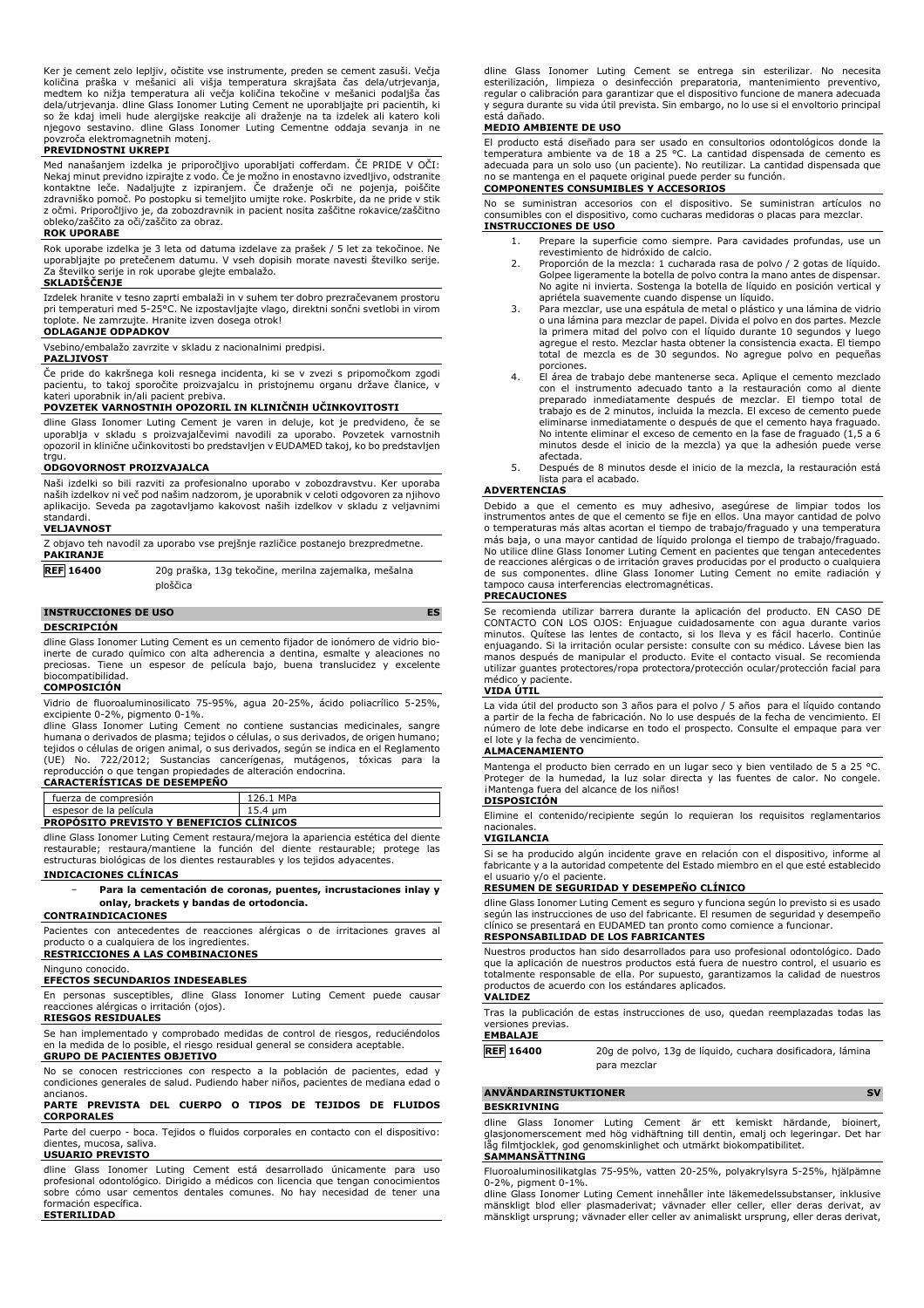Ker je cement zelo lepljiv, očistite vse instrumente, preden se cement zasuši. Večja<br>količina praška v mešanici ali višja temperatura skrajšata čas dela/utrjevanja,<br>medtem ko nižja temperatura ali večja količ dela/utrjevanja. dline Glass Ionomer Luting Cement ne uporabljajte pri pacientih, ki so že kdaj imeli hude alergijske reakcije ali draženje na ta izdelek ali katero koli njegovo sestavino. dline Glass Ionomer Luting Cementne oddaja sevanja in ne <sub>.</sub><br>zroča elektromagnetnih motenj.

#### **PREVIDNOSTNI UKREPI**

Med nanašanjem izdelka je priporočljivo uporabljati cofferdam. ČE PRIDE V OČI: Nekaj minut previdno izpirajte z vodo. Ce je možno in enostavno izvedljivo, odstranite<br>kontaktne leče. Nadaljujte z izpiranjem. Če draženje oči ne pojenja, poiščite<br>zdravniško pomoč. Po postopku si temeljito umij z očmi. Priporočljivo je, da zobozdravnik in pacient nosita zaščitne rokavice/zaščitno obleko/zaščito za oči/zaščito za obraz.

#### **ROK UPORABE**

Rok uporabe izdelka je 3 leta od datuma izdelave za prašek / 5 let za tekočinoe. Ne uporabljajte po pretečenem datumu. V vseh dopisih morate navesti številko serije. Za številko serije in rok uporabe glejte embalažo.

#### **SKLADIŠČENJE**

Izdelek hranite v tesno zaprti embalaži in v suhem ter dobro prezračevanem prostoru pri temperaturi med 5-25°C. Ne izpostavljajte vlago, direktni sončni svetlobi in virom toplote. Ne zamrzujte. Hranite izven dosega otrok!

## **ODLAGANJE ODPADKOV**

Vsebino/embalažo zavrzite v skladu z nacionalnimi predpisi.

## **PAZLJIVOST**

Če pride do kakršnega koli resnega incidenta, ki se v zvezi s pripomočkom zgodi pacientu, to takoj sporočite proizvajalcu in pristojnemu organu države članice, v kateri uporabnik in/ali pacient prebiva.

#### **POVZETEK VARNOSTNIH OPOZORIL IN KLINIČNIH UČINKOVITOSTI**

dline Glass Ionomer Luting Cement je varen in deluje, kot je predvideno, če se uporablja v skladu s proizvajalčevimi navodili za uporabo. Povzetek varnostnih opozoril in klinične učinkovitosti bo predstavljen v EUDAMED takoj, ko bo predstavljen trgu.

### **ODGOVORNOST PROIZVAJALCA**

Naši izdelki so bili razviti za profesionalno uporabo v zobozdravstvu. Ker uporaba naših izdelkov ni več pod našim nadzorom, je uporabnik v celoti odgovoren za njihovo aplikacijo. Seveda pa zagotavljamo kakovost naših izdelkov v skladu z veljavnimi standardi.

| <b>VELJAVNOST</b> |  |  |  |
|-------------------|--|--|--|
|                   |  |  |  |

| Z objavo teh navodil za uporabo vse prejšnje različice postanejo brezpredmetne.<br><b>PAKIRANJE</b> |                                                                  |  |
|-----------------------------------------------------------------------------------------------------|------------------------------------------------------------------|--|
| <b>REF 16400</b>                                                                                    | 20g praška, 13g tekočine, merilna zajemalka, mešalna<br>ploščica |  |

#### **INSTRUCCIONES DE USO ES**

**DESCRIPCIÓN**

dline Glass Ionomer Luting Cement es un cemento fijador de ionómero de vidrio bioinerte de curado químico con alta adherencia a dentina, esmalte y aleaciones no preciosas. Tiene un espesor de película bajo, buena translucidez y excelente biocompatibilidad.

## **COMPOSICIÓN**

Vidrio de fluoroaluminosilicato 75-95%, agua 20-25%, ácido poliacrílico 5-25%, excipiente 0-2%, pigmento 0-1%.

dline Glass Ionomer Luting Cement no contiene sustancias medicinales, sangre humana o derivados de plasma; tejidos o células, o sus derivados, de origen humano; tejidos o células de origen animal, o sus derivados, según se indica en el Reglamento (UE) No. 722/2012; Sustancias cancerígenas, mutágenos, tóxicas para la reproducción o que tengan propiedades de alteración endocrina.

## **CARACTERÍSTICAS DE DESEMPEÑO**

fuerza de compresión 126.1 MPa<br>
espesor de la película 15.4 µm sor de la película **PROPÓSITO PREVISTO Y BENEFICIOS CLÍNICOS**

dline Glass Ionomer Luting Cement restaura/mejora la apariencia estética del diente restaurable; restaura/mantiene la función del diente restaurable; protege las estructuras biológicas de los dientes restaurables y los tejidos adyacentes. **INDICACIONES CLÍNICAS**

## − **Para la cementación de coronas, puentes, incrustaciones inlay y onlay, brackets y bandas de ortodoncia.**

**CONTRAINDICACIONES**

Pacientes con antecedentes de reacciones alérgicas o de irritaciones graves al producto o a cualquiera de los ingredientes.

# **RESTRICCIONES A LAS COMBINACIONES**

Ninguno conocido.

## **EFECTOS SECUNDARIOS INDESEABLES**

En personas susceptibles, dline Glass Ionomer Luting Cement puede causar reacciones alérgicas o irritación (ojos).

## **RIESGOS RESIDUALES**

Se han implementado y comprobado medidas de control de riesgos, reduciéndolos en la medida de lo posible, el riesgo residual general se considera aceptable.

## **GRUPO DE PACIENTES OBJETIVO**

No se conocen restricciones con respecto a la población de pacientes, edad y condiciones generales de salud. Pudiendo haber niños, pacientes de mediana edad o ancianos.

## **PARTE PREVISTA DEL CUERPO O TIPOS DE TEJIDOS DE FLUIDOS CORPORALES**

Parte del cuerpo - boca. Tejidos o fluidos corporales en contacto con el dispositivo: dientes, mucosa, saliva. **USUARIO PREVISTO**

dline Glass Ionomer Luting Cement está desarrollado únicamente para uso profesional odontológico. Dirigido a médicos con licencia que tengan conocimientos sobre cómo usar cementos dentales comunes. No hay necesidad de tener una formación específica. **ESTERILIDAD**

dline Glass Ionomer Luting Cement se entrega sin esterilizar. No necesita esterilización, limpieza o desinfección preparatoria, mantenimiento preventivo, regular o calibración para garantizar que el dispositivo funcione de manera adecuada y segura durante su vida útil prevista. Sin embargo, no lo use si el envoltorio principal está dañado.

## **MEDIO AMBIENTE DE USO**

El producto está diseñado para ser usado en consultorios odontológicos donde la temperatura ambiente va de 18 a 25 °C. La cantidad dispensada de cemento es adecuada para un solo uso (un paciente). No reutilizar. La cantidad dispensada que no se mantenga en el paquete original puede perder su función.

## **COMPONENTES CONSUMIBLES Y ACCESORIOS**

No se suministran accesorios con el dispositivo. Se suministran artículos no consumibles con el dispositivo, como cucharas medidoras o placas para mezclar. **INSTRUCCIONES DE USO**

- 1. Prepare la superficie como siempre. Para cavidades profundas, use un revestimiento de hidróxido de calcio.
- 2. Proporción de la mezcla: 1 cucharada rasa de polvo / 2 gotas de líquido. Golpee ligeramente la botella de polvo contra la mano antes de dispensar. No agite ni invierta. Sostenga la botella de líquido en posición vertical y apriétela suavemente cuando dispense un líquido.
- 3. Para mezclar, use una espátula de metal o plástico y una lámina de vidrio o una lámina para mezclar de papel. Divida el polvo en dos partes. Mezcle la primera mitad del polvo con el líquido durante 10 segundos y luego agregue el resto. Mezclar hasta obtener la consistencia exacta. El tiempo total de mezcla es de 30 segundos. No agregue polvo en pequeñas porciones.
- 4. El área de trabajo debe mantenerse seca. Aplique el cemento mezclado con el instrumento adecuado tanto a la restauración como al diente preparado inmediatamente después de mezclar. El tiempo total de trabajo es de 2 minutos, incluida la mezcla. El exceso de cemento puede eliminarse inmediatamente o después de que el cemento haya fraguado. No intente eliminar el exceso de cemento en la fase de fraguado (1,5 a 6 minutos desde el inicio de la mezcla) ya que la adhesión puede verse afectada.
- 5. Después de 8 minutos desde el inicio de la mezcla, la restauración está .<br>i para el acabado.

## **ADVERTENCIAS**

Debido a que el cemento es muy adhesivo, asegúrese de limpiar todos los instrumentos antes de que el cemento se fije en ellos. Una mayor cantidad de polvo o temperaturas más altas acortan el tiempo de trabajo/fraguado y una temperatura más baja, o una mayor cantidad de líquido prolonga el tiempo de trabajo/fraguado. No utilice dline Glass Ionomer Luting Cement en pacientes que tengan antecedentes de reacciones alérgicas o de irritación graves producidas por el producto o cualquiera de sus componentes. dline Glass Ionomer Luting Cement no emite radiación y tampoco causa interferencias electromagnéticas.

#### **PRECAUCIONES**

Se recomienda utilizar barrera durante la aplicación del producto. EN CASO DE CONTACTO CON LOS OJOS: Enjuague cuidadosamente con agua durante varios minutos. Quítese las lentes de contacto, si los lleva y es fácil hacerlo. Continúe enjuagando. Si la irritación ocular persiste: consulte con su médico. Lávese bien las manos después de manipular el producto. Evite el contacto visual. Se recomienda utilizar guantes protectores/ropa protectora/protección ocular/protección facial para<br>médico y paciente paciente.

#### **VIDA ÚTIL**

La vida útil del producto son 3 años para el polvo / 5 años para el líquido contando a partir de la fecha de fabricación. No lo use después de la fecha de vencimiento. El número de lote debe indicarse en todo el prospecto. Consulte el empaque para ver el lote y la fecha de vencimiento.

#### **ALMACENAMIENTO**

Mantenga el producto bien cerrado en un lugar seco y bien ventilado de 5 a 25 °C. Proteger de la humedad, la luz solar directa y las fuentes de calor. No congele. ¡Mantenga fuera del alcance de los niños!

## **DISPOSICIÓN**

Elimine el contenido/recipiente según lo requieran los requisitos reglamentarios nacionales.

## **VIGILANCIA**

Si se ha producido algún incidente grave en relación con el dispositivo, informe al fabricante y a la autoridad competente del Estado miembro en el que esté establecido el usuario y/o el paciente.

#### **RESUMEN DE SEGURIDAD Y DESEMPEÑO CLÍNICO**

dline Glass Ionomer Luting Cement es seguro y funciona según lo previsto si es usado según las instrucciones de uso del fabricante. El resumen de seguridad y desempeño clínico se presentará en EUDAMED tan pronto como comience a funcionar.

## **RESPONSABILIDAD DE LOS FABRICANTES**

Nuestros productos han sido desarrollados para uso profesional odontológico. Dado que la aplicación de nuestros productos está fuera de nuestro control, el usuario es totalmente responsable de ella. Por supuesto, garantizamos la calidad de nuestros productos de acuerdo con los estándares aplicados. **VALIDEZ**

Tras la publicación de estas instrucciones de uso, quedan reemplazadas todas las versiones previas.

## **EMBALAJE**

**REF 16400** 20g de polvo, 13g de líquido, cuchara dosificadora, lámina para mezclar

**ANVÄNDARINSTUKTIONER SV BESKRIVNING**

dline Glass Ionomer Luting Cement är ett kemiskt härdande, bioinert, glasjonomerscement med hög vidhäftning till dentin, emalj och legeringar. Det har låg filmtjocklek, god genomskinlighet och utmärkt biokompatibilitet.

#### **SAMMANSÄTTNING**

Fluoroaluminosilikatglas 75-95%, vatten 20-25%, polyakrylsyra 5-25%, hjälpämne 0-2%, pigment 0-1%.

dline Glass Ionomer Luting Cement innehåller inte läkemedelssubstanser, inklusive mänskligt blod eller plasmaderivat; vävnader eller celler, eller deras derivat, av mänskligt ursprung; vävnader eller celler av animaliskt ursprung, eller deras derivat,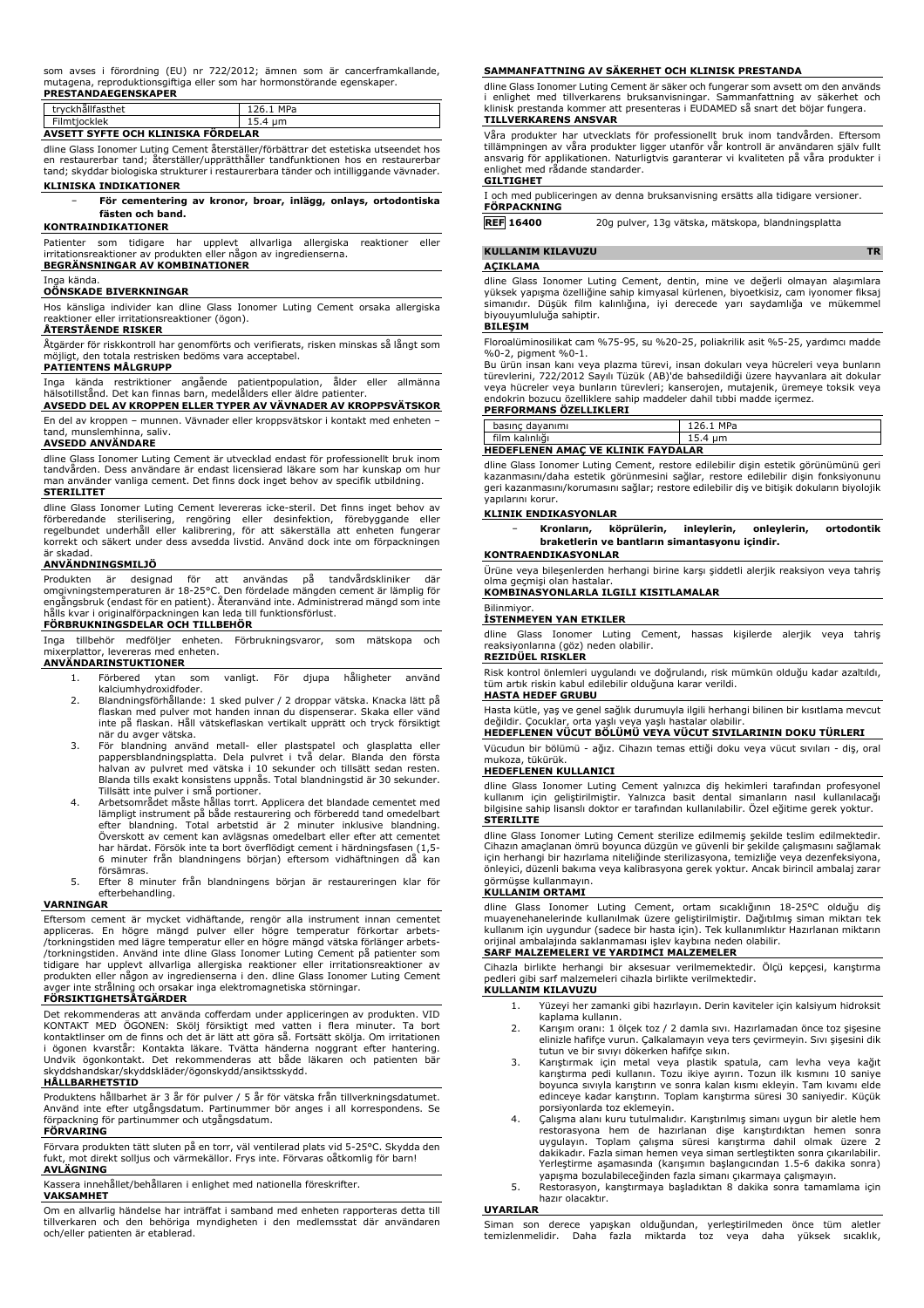#### som avses i förordning (EU) nr 722/2012; ämnen som är cancerframkallande, mutagena, reproduktionsgiftiga eller som har hormonstörande egenskaper. **PRESTANDAEGENSKAPER**

| $\blacksquare$                                                 |           |  |
|----------------------------------------------------------------|-----------|--|
| tryckhăllfasthet                                               | 126.1 MPa |  |
| Filmtiocklek                                                   | 15.4 um   |  |
| $\overline{\phantom{a}}$<br>AVSETT SYFTE OCH KLINISKA FÖRDELAR |           |  |

dline Glass Ionomer Luting Cement återställer/förbättrar det estetiska utseendet hos en restaurerbar tand; återställer/upprätthåller tandfunktionen hos en restaurerbar tand; skyddar biologiska strukturer i restaurerbara tänder och intilliggande vävnader.

#### **KLINISKA INDIKATIONER**

− **För cementering av kronor, broar, inlägg, onlays, ortodontiska fästen och band.**

## **KONTRAINDIKATIONER**

Patienter som tidigare har upplevt allvarliga allergiska reaktioner eller irritationsreaktioner av produkten eller någon av ingredienserna. **BEGRÄNSNINGAR AV KOMBINATIONER**

### Inga kända.

## **OÖNSKADE BIVERKNINGAR**

Hos känsliga individer kan dline Glass Ionomer Luting Cement orsaka allergiska reaktioner eller irritationsreaktioner (ögon).

## **ÅTERSTÅENDE RISKER**

Åtgärder för riskkontroll har genomförts och verifierats, risken minskas så långt som möjligt, den totala restrisken bedöms vara acceptabel. **PATIENTENS MÅLGRUPP**

Inga kända restriktioner angående patientpopulation, ålder eller allmänna hälsotillstånd. Det kan finnas barn, medelålders eller äldre patienter.

**AVSEDD DEL AV KROPPEN ELLER TYPER AV VÄVNADER AV KROPPSVÄTSKOR** En del av kroppen – munnen. Vävnader eller kroppsvätskor i kontakt med enheten – tand, munslemhinna, saliv.

## **AVSEDD ANVÄNDARE**

dline Glass Ionomer Luting Cement är utvecklad endast för professionellt bruk inom tandvården. Dess användare är endast licensierad läkare som har kunskap om hur man använder vanliga cement. Det finns dock inget behov av specifik utbildning. **STERILITET**

dline Glass Ionomer Luting Cement levereras icke-steril. Det finns inget behov av förberedande sterilisering, rengöring eller desinfektion, förebyggande eller regelbundet underhåll eller kalibrering, för att säkerställa att enheten fungerar korrekt och säkert under dess avsedda livstid. Använd dock inte om förpackningen är skadad.

#### **ANVÄNDNINGSMILJÖ**

Produkten är designad för att användas på tandvårdskliniker där omgivningstemperaturen är 18-25°C. Den fördelade mängden cement är lämplig för engångsbruk (endast för en patient). Återanvänd inte. Administrerad mängd som inte hålls kvar i originalförpackningen kan leda till funktionsförlust.

#### **FÖRBRUKNINGSDELAR OCH TILLBEHÖR**

Inga tillbehör medföljer enheten. Förbrukningsvaror, som mätskopa och mixerplattor, levereras med enheten.

#### **ANVÄNDARINSTUKTIONER**

- 1. Förbered ytan som vanligt. För djupa håligheter använd kalciumhydroxidfoder.
- 2. Blandningsförhållande: 1 sked pulver / 2 droppar vätska. Knacka lätt på flaskan med pulver mot handen innan du dispenserar. Skaka eller vänd inte på flaskan. Håll vätskeflaskan vertikalt upprätt och tryck försiktigt
- när du avger vätska. 3. För blandning använd metall- eller plastspatel och glasplatta eller pappersblandningsplatta. Dela pulvret i två delar. Blanda den första halvan av pulvret med vätska i 10 sekunder och tillsätt sedan resten. Blanda tills exakt konsistens uppnås. Total blandningstid är 30 sekunder. Tillsätt inte pulver i små portioner.
- 4. Arbetsområdet måste hållas torrt. Applicera det blandade cementet med lämpligt instrument på både restaurering och förberedd tand omedelbart efter blandning. Total arbetstid är 2 minuter inklusive blandning. Överskott av cement kan avlägsnas omedelbart eller efter att cement har härdat. Försök inte ta bort överflödigt cement i härdningsfasen (1,5- 6 minuter från blandningens början) eftersom vidhäftningen då kan försämras.
- 5. Efter 8 minuter från blandningens början är restaureringen klar för efterbehandling.

## **VARNINGAR**

Eftersom cement är mycket vidhäftande, rengör alla instrument innan cementet appliceras. En högre mängd pulver eller högre temperatur förkortar arbets- /torkningstiden med lägre temperatur eller en högre mängd vätska förlänger arbets- /torkningstiden. Använd inte dline Glass Ionomer Luting Cement på patienter som tidigare har upplevt allvarliga allergiska reaktioner eller irritationsreaktioner av produkten eller någon av ingredienserna i den. dline Glass Ionomer Luting Cement avger inte strålning och orsakar inga elektromagnetiska störningar. **FÖRSIKTIGHETSÅTGÄRDER**

Det rekommenderas att använda cofferdam under appliceringen av produkten. VID KONTAKT MED OGONEN: Skölj försiktigt med vatten i flera minuter. Ta bort<br>kontaktlinser om de finns och det är lätt att göra så. Fortsätt skölja. Om irritationen<br>i ögonen kvarstår: Kontakta läkare. Tvätta händerna noggrant skyddshandskar/skyddskläder/ögonskydd/ansiktsskydd. **HÅLLBARHETSTID**

Produktens hållbarhet är 3 år för pulver / 5 år för vätska från tillverkningsdatumet. Använd inte efter utgångsdatum. Partinummer bör anges i all korrespondens. Se förpackning för partinummer och utgångsdatum.

### **FÖRVARING**

Förvara produkten tätt sluten på en torr, väl ventilerad plats vid 5-25°C. Skydda den fukt, mot direkt solljus och värmekällor. Frys inte. Förvaras oåtkomlig för barn! **AVLÄGNING**

Kassera innehållet/behållaren i enlighet med nationella föreskrifter.

**VAKSAMHET**

Om en allvarlig händelse har inträffat i samband med enheten rapporteras detta till tillverkaren och den behöriga myndigheten i den medlemsstat där användaren och/eller patienten är etablerad.

#### **SAMMANFATTNING AV SÄKERHET OCH KLINISK PRESTANDA**

dline Glass Ionomer Luting Cement är säker och fungerar som avsett om den används i enlighet med tillverkarens bruksanvisningar. Sammanfattning av säkerhet och klinisk prestanda kommer att presenteras i EUDAMED så snart det böjar fungera. **TILLVERKARENS ANSVAR**

Våra produkter har utvecklats för professionellt bruk inom tandvården. Eftersom tillämpningen av våra produkter ligger utanför vår kontroll är användaren själv fullt ansvarig för applikationen. Naturligtvis garanterar vi kvaliteten på våra produkter i med rådande standarder. **GILTIGHET**

## I och med publiceringen av denna bruksanvisning ersätts alla tidigare versioner. **FÖRPACKNING REF 16400** 20g pulver, 13g vätska, mätskopa, blandningsplatta

#### **KULLANIM KILAVUZU TR**

#### **AÇIKLAMA**

dline Glass Ionomer Luting Cement, dentin, mine ve değerli olmayan alaşımlara yüksek yapışma özelliğine sahip kimyasal kürlenen, biyoetkisiz, cam iyonomer fiksaj simanıdır. Düşük film kalınlığına, iyi derecede yarı saydamlığa ve mükemmel biyouyumluluğa sahiptir.

#### **BILEŞIM**

Floroalüminosilikat cam %75-95, su %20-25, poliakrilik asit %5-25, yardımcı madde %0-2, pigment %0-1.

Bu ürün insan kanı veya plazma türevi, insan dokuları veya hücreleri veya bunların<br>türevlerini, 722/2012 Sayılı Tüzük (AB)'de bahsedildiği üzere hayvanlara ait dokular<br>veya hücreler veya bunların türevleri; kanserojen, mut endokrin bozucu özelliklere sahip maddeler dahil tıbbi madde içermez. **PERFORMANS ÖZELLIKLERI**

| r eni vin'iano veelleneen l               |           |  |
|-------------------------------------------|-----------|--|
| basınc davanımı                           | 126.1 MPa |  |
| film kalınlığı                            | 15.4 um   |  |
| <b>HEDEFLENEN AMAC VE KLINIK FAYDALAR</b> |           |  |

dline Glass Ionomer Luting Cement, restore edilebilir dişin estetik görünümünü geri kazanmasını/daha estetik görünmesini sağlar, restore edilebilir dişin fonksiyonunu geri kazanmasını/korumasını sağlar; restore edilebilir diş ve bitişik dokuların biyolojik yapılarını korur.

| $\overline{\phantom{a}}$ | Kronların,            | köprülerin,                                    | inleylerin, | onleylerin, | ortodontik |
|--------------------------|-----------------------|------------------------------------------------|-------------|-------------|------------|
|                          |                       | braketlerin ve bantların simantasyonu içindir. |             |             |            |
|                          | --------------------- |                                                |             |             |            |

## **KOMBINASYONLARLA ILGILI KISITLAMALAR** Bilinmiyor.

## **İSTENMEYEN YAN ETKILER**

dline Glass Ionomer Luting Cement, hassas kişilerde alerjik veya tahriş reaksiyonlarına (göz) neden olabilir.

## **REZIDÜEL RISKLER**

Risk kontrol önlemleri uygulandı ve doğrulandı, risk mümkün olduğu kadar azaltıldı, tüm artık riskin kabul edilebilir olduğuna karar verildi. **HASTA HEDEF GRUBU**

Hasta kütle, yaş ve genel sağlık durumuyla ilgili herhangi bilinen bir kısıtlama mevcut

# değildir. Çocuklar, orta yaşlı veya yaşlı hastalar olabilir. **HEDEFLENEN VÜCUT BÖLÜMÜ VEYA VÜCUT SIVILARININ DOKU TÜRLERI**

Vücudun bir bölümü - ağız. Cihazın temas ettiği doku veya vücut sıvıları - diş, oral mukoza, tükürük.

## **HEDEFLENEN KULLANICI**

dline Glass Ionomer Luting Cement yalnızca diş hekimleri tarafından profesyonel kullanım için geliştirilmiştir. Yalnızca basit dental simanların nasıl kullanılacağı bilgisine sahip lisanslı doktor er tarafından kullanılabilir. Özel eğitime gerek yoktur. **STERILITE**

dline Glass Ionomer Luting Cement sterilize edilmemiş şekilde teslim edilmektedir. Cihazın amaçlanan ömrü boyunca düzgün ve güvenli bir şekilde çalışmasını sağlamak için herhangi bir hazırlama niteliğinde sterilizasyona, temizliğe veya dezenfeksiyona, önleyici, düzenli bakıma veya kalibrasyona gerek yoktur. Ancak birincil ambalaj zarar görmüşse kullanmayın.

## **KULLANIM ORTAMI**

dline Glass Ionomer Luting Cement, ortam sıcaklığının 18-25°C olduğu diş muayenehanelerinde kullanılmak üzere geliştirilmiştir. Dağıtılmış siman miktarı tek kullanım için uygundur (sadece bir hasta için). Tek kullanımlıktır Hazırlanan miktarın orijinal ambalajında saklanmaması işlev kaybına neden olabilir.

## **SARF MALZEMELERI VE YARDIMCI MALZEMELER**

Cihazla birlikte herhangi bir aksesuar verilmemektedir. Ölçü kepçesi, karıştırma pedleri gibi sarf malzemeleri cihazla birlikte verilmektedir. **KULLANIM KILAVUZU**

- 1. Yüzeyi her zamanki gibi hazırlayın. Derin kaviteler için kalsiyum hidroksit kaplama kullanın.
- 2. Karışım oranı: 1 ölçek toz / 2 damla sıvı. Hazırlamadan önce toz şişesine elinizle hafifçe vurun. Çalkalamayın veya ters çevirmeyin. Sıvı şişesini dik tutun ve bir sıvıyı dökerken hafifçe sıkın.
- 3. Karıştırmak için metal veya plastik spatula, cam levha veya kağıt<br>karıştırma pedi kullanın. Tozu ikiye ayırın. Tozun ilk kısmını 10 saniye<br>boyunca sıvıyla karıştırın ve sonra kalan kısmı ekleyin. Tam kıvamı elde edinceye kadar karıştırın. Toplam karıştırma süresi 30 saniyedir. Küçük porsiyonlarda toz eklemeyin.
- 4. Çalışma alanı kuru tutulmalıdır. Karıştırılmış simanı uygun bir aletle hem restorasyona hem de hazırlanan dişe karıştırdıktan hemen sonra uygulayın. Toplam çalışma süresi karıştırma dahil olmak üzere 2 dakikadır. Fazla siman hemen veya siman sertleştikten sonra çıkarılabilir. Yerleştirme aşamasında (karışımın başlangıcından 1.5-6 dakika sonra) yapışma bozulabileceğinden fazla simanı çıkarmaya çalışmayın.
- 5. Restorasyon, karıştırmaya başladıktan 8 dakika sonra tamamlama için hazır olacaktır.

#### **UYARILAR**

Siman son derece yapışkan olduğundan, yerleştirilmeden önce tüm aletler temizlenmelidir. Daha fazla miktarda toz veya daha yüksek sıcaklık,

## **KLINIK ENDIKASYONLAR**

| $\overline{\phantom{a}}$     | Kronların, |                                                |  | köprülerin, inleylerin, onleylerin, | ortodontik |
|------------------------------|------------|------------------------------------------------|--|-------------------------------------|------------|
|                              |            | braketlerin ve bantların simantasyonu içindir. |  |                                     |            |
| <b>ONTRAFNIDTI/ACVONILAD</b> |            |                                                |  |                                     |            |

## **KONTRAENDIKASYON**

Ürüne veya bileşenlerden herhangi birine karşı şiddetli alerjik reaksiyon veya tahriş olma geçmişi olan hastalar.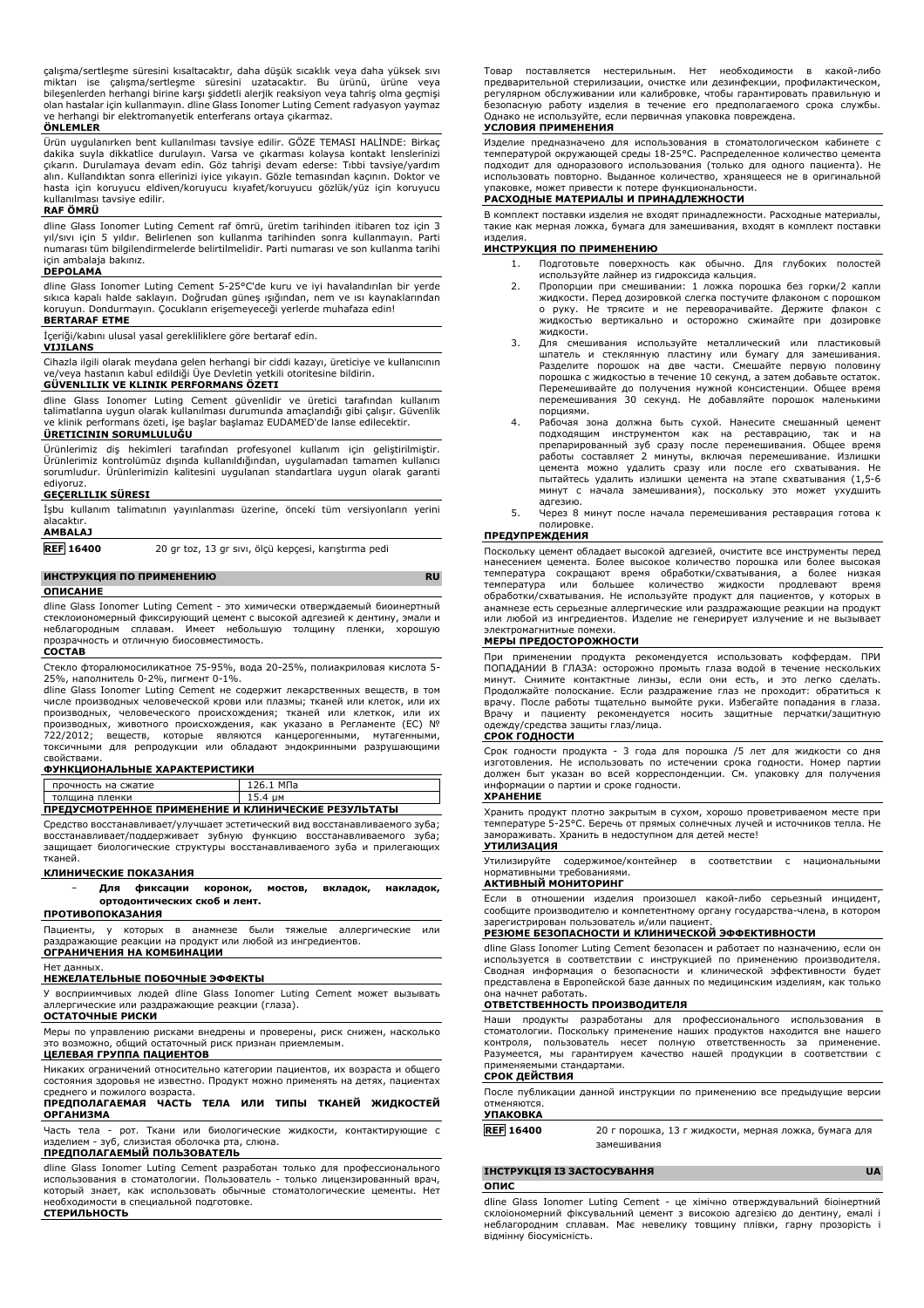çalışma/sertleşme süresini kısaltacaktır, daha düşük sıcaklık veya daha yüksek sıvı<br>miktarı ise çalışma/sertleşme süresini uzatacaktır. Bu ürünü, ürüne veya<br>bileşenlerden herhangi birine karşı şiddetli alerjik reak olan hastalar için kullanmayın. dline Glass Ionomer Luting Cement radyasyon yaymaz ve herhangi bir elektromanyetik enterferans ortaya çıkarmaz.

### **ÖNLEMLER**

Ürün uygulanırken bent kullanılması tavsiye edilir. GÖZE TEMASI HALİNDE: Birkaç dakika suyla dikkatlice durulayın. Varsa ve çıkarması kolaysa kontakt lenslerinizi çıkarın. Durulamaya devam edin. Göz tahrişi devam ederse: Tıbbi tavsiye/yardım alın. Kullandıktan sonra ellerinizi iyice yıkayın. Gözle temasından kaçının. Doktor ve hasta için koruyucu eldiven/koruyucu kıyafet/koruyucu gözlük/yüz için koruyucu kullanılması tavsiye edilir.

## **RAF ÖMRÜ**

dline Glass Ionomer Luting Cement raf ömrü, üretim tarihinden itibaren toz için 3 yıl/sıvı için 5 yıldır. Belirlenen son kullanma tarihinden sonra kullanmayın. Parti numarası tüm bilgilendirmelerde belirtilmelidir. Parti numarası ve son kullanma tarihi için ambalaja bakınız. **DEPOLAMA**

dline Glass Ionomer Luting Cement 5-25°C'de kuru ve iyi havalandırılan bir yerde sıkıca kapalı halde saklayın. Doğrudan güneş ışığından, nem ve ısı kaynaklarından koruyun. Dondurmayın. Çocukların erişemeyeceği yerlerde muhafaza edin!

### **BERTARAF ETME**

İçeriği/kabını ulusal yasal gerekliliklere göre bertaraf edin.

### **VIJILANS**

Cihazla ilgili olarak meydana gelen herhangi bir ciddi kazayı, üreticiye ve kullanıcının ve/veya hastanın kabul edildiği Üye Devletin yetkili otoritesine bildirin. **GÜVENLILIK VE KLINIK PERFORMANS ÖZETI**

dline Glass Ionomer Luting Cement güvenlidir ve üretici tarafından kullanım talimatlarına uygun olarak kullanılması durumunda amaçlandığı gibi çalışır. Güvenlik ve klinik performans özeti, işe başlar başlamaz EUDAMED'de lanse edilecektir.

## **ÜRETICININ SORUMLULUĞU**

Ürünlerimiz diş hekimleri tarafından profesyonel kullanım için geliştirilmiştir. Ürünlerimiz kontrolümüz dışında kullanıldığından, uygulamadan tamamen kullanıcı sorumludur. Ürünlerimizin kalitesini uygulanan standartlara uygun olarak garanti ediyoruz.

## **GEÇERLILIK SÜRESI**

İşbu kullanım talimatının yayınlanması üzerine, önceki tüm versiyonların yerini alacaktır. **AMBALAJ**

**REF 16400** 20 gr toz, 13 gr sıvı, ölçü kepçesi, karıştırma pedi

# **ИНСТРУКЦИЯ ПО ПРИМЕНЕНИЮ RU**

## **ОПИСАНИЕ**

dline Glass Ionomer Luting Cement - это химически отверждаемый биоинертный стеклоиономерный фиксирующий цемент с высокой адгезией к дентину, эмали и неблагородным сплавам. Имеет небольшую толщину пленки, хорошую прозрачность и отличную биосовместимость.

## **СОСТАВ**

Стекло фторалюмосиликатное 75-95%, вода 20-25%, полиакриловая кислота 5-

25%, наполнитель 0-2%, пигмент 0-1%. dline Glass Ionomer Luting Cement не содержит лекарственных веществ, в том числе производных человеческой крови или плазмы; тканей или клеток, или их производных, человеческого происхождения; тканей или клеткок, или их производных, животного происхождения, как указано в Регламенте (ЕС) № 722/2012; веществ, которые являются канцерогенными, мутагенными, токсичными для репродукции или обладают эндокринными разрушающими свойствами.

### **ФУНКЦИОНАЛЬНЫЕ ХАРАКТЕРИСТИКИ**

| прочность на сжатие<br>толшина пленки               | 15.4 um |  |
|-----------------------------------------------------|---------|--|
| ПРЕДУСМОТРЕННОЕ ПРИМЕНЕНИЕ И КЛИНИЧЕСКИЕ РЕЗУЛЬТАТЫ |         |  |

Средство восстанавливает/улучшает эстетический вид восстанавливаемого зуба; восстанавливает/поддерживает зубную функцию восстанавливаемого зуба; защищает биологические структуры восстанавливаемого зуба и прилегающих тканей.

## **КЛИНИЧЕСКИЕ ПОКАЗАНИЯ**

− **Для фиксации коронок, мостов, вкладок, накладок, ортодонтических скоб и лент. ПРОТИВОПОКАЗАНИЯ**

Пациенты, у которых в анамнезе были тяжелые аллергические или<br>раздражающие реакциина продуктилилюбойизингрелиентов. ,<br>ие реакции на продукт или любой из ингредиентов. **ОГРАНИЧЕНИЯ НА КОМБИНАЦИИ**

# Нет данных. **НЕЖЕЛАТЕЛЬНЫЕ ПОБОЧНЫЕ ЭФФЕКТЫ**

У восприимчивых людей dline Glass Ionomer Luting Cement может вызывать аллергические или раздражающие реакции (глаза).

## **ОСТАТОЧНЫЕ РИСКИ**

Меры по управлению рисками внедрены и проверены, риск снижен, насколько это возможно, общий остаточный риск признан приемлемым.

## **ЦЕЛЕВАЯ ГРУППА ПАЦИЕНТОВ**

Никаких ограничений относительно категории пациентов, их возраста и общего состояния здоровья не известно. Продукт можно применять на детях, пациентах среднего и пожилого возраста. **ПРЕДПОЛАГАЕМАЯ ЧАСТЬ ТЕЛА ИЛИ ТИПЫ ТКАНЕЙ ЖИДКОСТЕЙ**

# **ОРГАНИЗМА**

Часть тела - рот. Ткани или биологические жидкости, контактирующие с изделием - зуб, слизистая оболочка рта, слюна.

## **ПРЕДПОЛАГАЕМЫЙ ПОЛЬЗОВАТЕЛЬ**

dline Glass Ionomer Luting Cement разработан только для профессионального использования в стоматологии. Пользователь - только лицензированный врач, который знает, как использовать обычные стоматологические цементы. Нет необходимости в специальной подготовке.

Товар поставляется нестерильным. Нет необходимости в какой-либо предварительной стерилизации, очистке или дезинфекции, профилактическом, регулярном обслуживании или калибровке, чтобы гарантировать правильную и безопасную работу изделия в течение его предполагаемого срока службы. Однако не используйте, если первичная упаковка повреждена.

## **УСЛОВИЯ ПРИМЕНЕНИЯ**

Изделие предназначено для использования в стоматологическом кабинете с температурой окружающей среды 18-25°C. Распределенное количество цемента подходит для одноразового использования (только для одного пациента). Не использовать повторно. Выданное количество, хранящееся не в оригинальной упаковке, может привести к потере функциональности.

## **РАСХОДНЫЕ МАТЕРИАЛЫ И ПРИНАДЛЕЖНОСТИ**

В комплект поставки изделия не входят принадлежности. Расходные материалы, такие как мерная ложка, бумага для замешивания, входят в комплект поставки изделия.

## **ИНСТРУКЦИЯ ПО ПРИМЕНЕНИЮ**

- 1. Подготовьте поверхность как обычно. Для глубоких полостей используйте лайнер из гидроксида кальция.
- 2. Пропорции при смешивании: 1 ложка порошка без горки/2 капли жидкости. Перед дозировкой слегка постучите флаконом с порошком о руку. Не трясите и не переворачивайте. Держите флакон с жидкостью вертикально и осторожно сжимайте при дозировке жидкости.
- 3. Для смешивания используйте металлический или пластиковый шпатель и стеклянную пластину или бумагу для замешивания. Разделите порошок на две части. Смешайте первую половину порошка с жидкостью в течение 10 секунд, а затем добавьте остаток. Перемешивайте до получения нужной консистенции. Общее время перемешивания 30 секунд. Не добавляйте порошок маленькими порциями.
- Рабочая зона должна быть сухой. Нанесите смешанный цемент подходящим инструментом как на реставрацию, так и на препарированный зуб сразу после перемешивания. Общее время работы составляет 2 минуты, включая перемешивание. Излишки цемента можно удалить сразу или после его схватывания. Не пытайтесь удалить излишки цемента на этапе схватывания (1,5-6 минут с начала замешивания), поскольку это может ухудшить адгезию.
- 5. Через 8 минут после начала перемешивания реставрация готова к полировке.

#### **ПРЕДУПРЕЖДЕНИЯ**

Поскольку цемент обладает высокой адгезией, очистите все инструменты перед нанесением цемента. Более высокое количество порошка или более высокая температура сокращают время обработки/схватывания, а более низкая температура или большее количество жидкости продлевают время обработки/схватывания. Не используйте продукт для пациентов, у которых в анамнезе есть серьезные аллергические или раздражающие реакции на продукт или любой из ингредиентов. Изделие не генерирует излучение и не вызывает электромагнитные помехи.

#### **МЕРЫ ПРЕДОСТОРОЖНОСТИ**

При применении продукта рекомендуется использовать коффердам. ПРИ ПОПАДАНИИ В ГЛАЗА: осторожно промыть глаза водой в течение нескольких минут. Снимите контактные линзы, если они есть, и это легко сделать. Продолжайте полоскание. Если раздражение глаз не проходит: обратиться к врачу. После работы тщательно вымойте руки. Избегайте попадания в глаза. Врачу и пациенту рекомендуется носить защитные перчатки/защитную одежду/средства защиты глаз/лица.

## **СРОК ГОДНОСТИ**

Срок годности продукта - 3 года для порошка /5 лет для жидкости со дня изготовления. Не использовать по истечении срока годности. Номер партии должен быт указан во всей корреспонденции. См. упаковку для получения информации о партии и сроке годности.

## **ХРАНЕНИЕ**

Хранить продукт плотно закрытым в сухом, хорошо проветриваемом месте при температуре 5-25°C. Беречь от прямых солнечных лучей и источников тепла. Не замораживать. Хранить в недоступном для детей месте!

## **УТИЛИЗАЦИЯ**

Утилизируйте содержимое/контейнер в соответствии с национальными нормативными требованиями.

## **АКТИВНЫЙ МОНИТОРИНГ**

Если в отношении изделия произошел какой-либо серьезный инцидент, сообщите производителю и компетентному органу государства-члена, в котором зарегистрирован пользователь и/или пациент.

## **РЕЗЮМЕ БЕЗОПАСНОСТИ И КЛИНИЧЕСКОЙ ЭФФЕКТИВНОСТИ**

dline Glass Ionomer Luting Cement безопасен и работает по назначению, если он используется в соответствии с инструкцией по применению производителя. Сводная информация о безопасности и клинической эффективности будет представлена в Европейской базе данных по медицинским изделиям, как только она начнет работать.

#### **ОТВЕТСТВЕННОСТЬ ПРОИЗВОДИТЕЛЯ**

Наши продукты разработаны для профессионального использования в стоматологии. Поскольку применение наших продуктов находится вне нашего контроля, пользователь несет полную ответственность за применение. Разумеется, мы гарантируем качество нашей продукции в соответствии с применяемыми стандартами.

## **СРОК ДЕЙСТВИЯ**

После публикации данной инструкции по применению все предыдущие версии отменяются.

## **УПАКОВКА**

**REF 16400** 20 г порошка, 13 г жидкости, мерная ложка, бумага для замешивания

## **ІНСТРУКЦІЯ ІЗ ЗАСТОСУВАННЯ UA**

## **ОПИС**

dline Glass Ionomer Luting Cement - це хімічно отверждувальний біоінертний склоіономерний фіксувальний цемент з високою адгезією до дентину, емалі і неблагородним сплавам. Має невелику товщину плівки, гарну прозорість і відмінну біосумісність.

**СТЕРИЛЬНОСТЬ**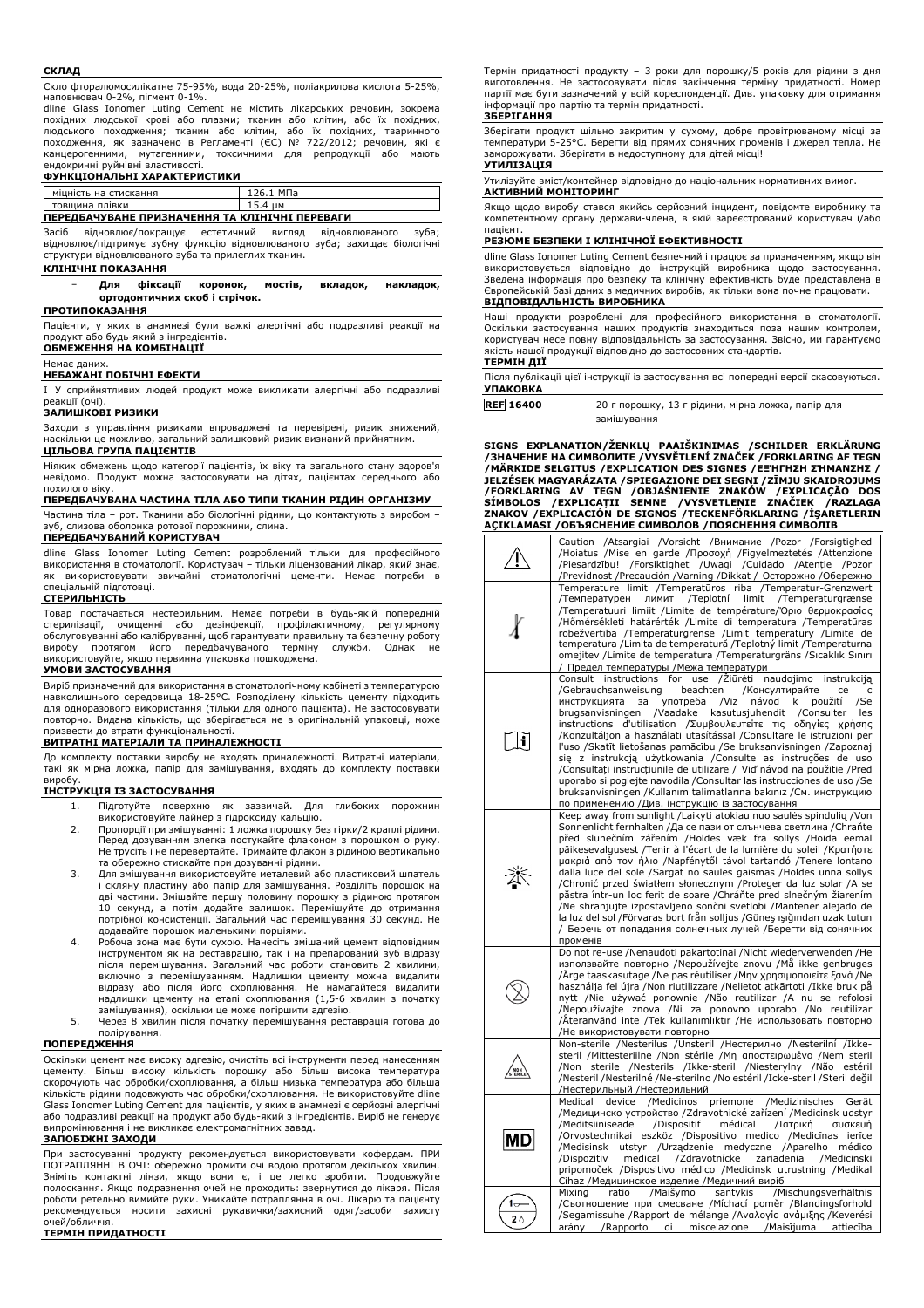#### **СКЛАД**

Скло фторалюмосилікатне 75-95%, вода 20-25%, поліакрилова кислота 5-25%, наповнювач 0-2%, пігмент 0-1%.

dline Glass Ionomer Luting Cement не містить лікарських речовин, зокрема похідних людської крові або плазми; тканин або клітин, або їх похідних, людського походження; тканин або клітин, або їх похідних, тваринного походження, як зазначено в Регламенті (ЄС) № 722/2012; речовин, які є канцерогенними, мутагенними, токсичними для репродукції або ендокринні руйнівні властивості.

#### **ФУНКЦІОНАЛЬНІ ХАРАКТЕРИСТИКИ**

| міцність на стискання                          | 126.1 M∏a |  |
|------------------------------------------------|-----------|--|
| товщина плівки                                 | 15.4 им   |  |
| ПЕРЕДБАЧУВАНЕ ПРИЗНАЧЕННЯ ТА КЛІНІЧНІ ПЕРЕВАГИ |           |  |

Засіб відновлює/покращує естетичний вигляд відновлюваного зуба; відновлює/підтримує зубну функцію відновлюваного зуба; захищає біологічні структури відновлюваного зуба та прилеглих тканин.

#### **КЛІНІЧНІ ПОКАЗАННЯ**

− **Для фіксації коронок, мостів, вкладок, накладок, ортодонтичних скоб і стрічок.**

#### **ПРОТИПОКАЗАННЯ**

Пацієнти, у яких в анамнезі були важкі алергічні або подразливі реакції на продукт або будь-який з інгредієнтів. **ОБМЕЖЕННЯ НА КОМБІНАЦІЇ**

## Немає даних.

#### **НЕБАЖАНІ ПОБІЧНІ ЕФЕКТИ**

I У сприйнятливих людей продукт може викликати алергічні або подразливі реакції (очі).

#### **ЗАЛИШКОВІ РИЗИКИ**

Заходи з управління ризиками впроваджені та перевірені, ризик знижений, наскільки це можливо, загальний залишковий ризик визнаний прийнятним. **ЦІЛЬОВА ГРУПА ПАЦІЄНТІВ**

Ніяких обмежень щодо категорії пацієнтів, їх віку та загального стану здоров'я невідомо. Продукт можна застосовувати на дітях, пацієнтах середнього або похилого віку.

## **ПЕРЕДБАЧУВАНА ЧАСТИНА ТІЛА АБО ТИПИ ТКАНИН РІДИН ОРГАНІЗМУ**

Частина тіла – рот. Тканини або біологічні рідини, що контактують з виробом – зуб, слизова оболонка ротової порожнини, слина.

## **ПЕРЕДБАЧУВАНИЙ КОРИСТУВАЧ**

dline Glass Ionomer Luting Cement розроблений тільки для професійного використання в стоматології. Користувач – тільки ліцензований лікар, який знає, як використовувати звичайні стоматологічні цементи. Немає потреби в спеціальній підготовці.

#### **СТЕРИЛЬНІСТЬ**

Товар постачається нестерильним. Немає потреби в будь-якій попередній стерилізації, очищенні або дезінфекції, профілактичному, регулярному обслуговуванні або калібруванні, щоб гарантувати правильну та безпечну роботу виробу протягом його передбачуваного терміну служби. Однак не використовуйте, якщо первинна упаковка пошкоджена.

## **УМОВИ ЗАСТОСУВАННЯ**

Виріб призначений для використання в стоматологічному кабінеті з температурою навколишнього середовища 18-25°C. Розподілену кількість цементу підходить для одноразового використання (тільки для одного пацієнта). Не застосовувати повторно. Видана кількість, що зберігається не в оригінальній упаковці, може призвести до втрати функціональності.

## **ВИТРАТНІ МАТЕРІАЛИ ТА ПРИНАЛЕЖНОСТІ**

До комплекту поставки виробу не входять приналежності. Витратні матеріали, такі як мірна ложка, папір для замішування, входять до комплекту поставки виробу.

## **ІНСТРУКЦІЯ ІЗ ЗАСТОСУВАННЯ**

- 1. Підготуйте поверхню як зазвичай. Для глибоких порожнин
- використовуйте лайнер з гідроксиду кальцію. 2. Пропорції при змішуванні: 1 ложка порошку без гірки/2 краплі рідини. Перед дозуванням злегка постукайте флаконом з порошком о руку. Не трусіть і не перевертайте. Тримайте флакон з рідиною вертикально та обережно стискайте при дозуванні рідини.
- 3. Для змішування використовуйте металевий або пластиковий шпатель і скляну пластину або папір для замішування. Розділіть порошок на дві частини. Змішайте першу половину порошку з рідиною протягом 10 секунд, а потім додайте залишок. Перемішуйте до отримання потрібної консистенції. Загальний час перемішування 30 секунд. Не додавайте порошок маленькими порціями.
- 4. Робоча зона має бути сухою. Нанесіть змішаний цемент відповідним інструментом як на реставрацію, так і на препарований зуб відразу<br>після перемішування. Загальний час роботи становить 2 хвилини,<br>включно з перемішуванням. Надлишки цементу можна видалити відразу або після його схоплювання. Не намагайтеся видалити надлишки цементу на етапі схоплювання (1,5-6 хвилин з початку замішування), оскільки це може погіршити адгезію.
- 5. Через 8 хвилин після початку перемішування реставрація готова до полірування.

#### **ПОПЕРЕДЖЕННЯ**

Оскільки цемент має високу адгезію, очистіть всі інструменти перед нанесенням цементу. Більш високу кількість порошку або більш висока температура скорочують час обробки/схоплювання, а більш низька температура або більша кількість рідини подовжують час обробки/схоплювання. Не використовуйте dline Glass Ionomer Luting Cement для пацієнтів, у яких в анамнезі є серйозні алергічні або подразливі реакції на продукт або будь-який з інгредієнтів. Виріб не генерує випромінювання і не викликає електромагнітних завад.

#### **ЗАПОБІЖНІ ЗАХОДИ**

При застосуванні продукту рекомендується використовувати кофердам. ПРИ ПОТРАПЛЯННІ В ОЧІ: обережно промити очі водою протягом декількох хвилин. Зніміть контактні лінзи, якщо вони є, і це легко зробити. Продовжуйте полоскання. Якщо подразнення очей не проходить: звернутися до лікаря. Після роботи ретельно вимийте руки. Уникайте потрапляння в очі. Лікарю та пацієнту рекомендується носити захисні рукавички/захисний одяг/засоби захисту очей/обличчя.

## **ТЕРМІН ПРИДАТНОСТІ**

Термін придатності продукту – 3 роки для порошку/5 років для рідини з дня виготовлення. Не застосовувати після закінчення терміну придатності. Номер партії має бути зазначений у всій кореспонденції. Див. упаковку для отримання інформації про партію та термін придатності.

#### **ЗБЕРІГАННЯ**

Зберігати продукт щільно закритим у сухому, добре провітрюваному місці за температури 5-25°C. Берегти від прямих сонячних променів і джерел тепла. Не заморожувати. Зберігати в недоступному для дітей місці! **УТИЛІЗАЦІЯ**

Утилізуйте вміст/контейнер відповідно до національних нормативних вимог. **АКТИВНИЙ МОНІТОРИНГ**

Якщо щодо виробу стався якийсь серйозний інцидент, повідомте виробнику та компетентному органу держави-члена, в якій зареєстрований користувач і/або пацієнт.

### **РЕЗЮМЕ БЕЗПЕКИ І КЛІНІЧНОЇ ЕФЕКТИВНОСТІ**

dline Glass Ionomer Luting Cement безпечний і працює за призначенням, якщо він<br>використовується відповідно до інструкцій виробника щодо застосування. використовується відповідно до інструкцій виробника щодо застосування.<br>Зведена інформація про безпеку та клінічну ефективність буде представлена в<br>Європейськійбазі даних з медичних виробів, як тільки вона почне працювати. **ВІДПОВІДАЛЬНІСТЬ ВИРОБНИКА**

Наші продукти розроблені для професійного використання в стоматології. Оскільки застосування наших продуктів знаходиться поза нашим контролем, користувач несе повну відповідальність за застосування. Звісно, ми гарантуємо якість нашої продукції відповідно до застосовних стандартів. **ТЕРМІН ДІЇ**

Після публікації цієї інструкції із застосування всі попередні версії скасовуються. **УПАКОВКА**

| <b>REF 16400</b> | 20 г порошку, 13 г рідини, мірна ложка, папір для |
|------------------|---------------------------------------------------|
|                  | замішування                                       |

**SIGNS EXPLANATION/ŽENKLŲ PAAIŠKINIMAS /SCHILDER ERKLÄRUNG /ЗНАЧЕНИЕ НА СИМВОЛИТЕ /VYSVĚTLENÍ ZNAČEK /FORKLARING AF TEGN** /MARKIDE SELGITUS /EXPLICATION DES SIGNES /EΞΉΓΗΣΗ ΣΉΜΑΝΣΗΣ /<br>JELZÉSEK MAGYARÁZATA /SPIEGAZIONE DEI SEGNI /ZĪMJU SKAIDROJUMS<br>/FORKLARING - AV -TEGN - /OBJAŚNIENIE - ZNAKÓW -/EXPLICAÇÃO - DOS<br>SÍMBOLOS - /EXPLICATII - SEMNE

|           | Caution /Atsargiai /Vorsicht /Внимание /Pozor /Forsigtighed<br>/Hoiatus /Mise en garde /Προσοχή /Figyelmeztetés /Attenzione<br>/Forsiktighet /Uwagi /Cuidado /Atenție<br>/Piesardzību!<br>/Pozor<br>Previdnost /Precaución /Varning /Dikkat / Осторожно /Обережно                                                                                                                                                                                                                                                                                                                                                                                                                                                                                                                                                                            |
|-----------|----------------------------------------------------------------------------------------------------------------------------------------------------------------------------------------------------------------------------------------------------------------------------------------------------------------------------------------------------------------------------------------------------------------------------------------------------------------------------------------------------------------------------------------------------------------------------------------------------------------------------------------------------------------------------------------------------------------------------------------------------------------------------------------------------------------------------------------------|
|           | Temperature limit /Temperatūros riba /Temperatur-Grenzwert<br>/Teplotní<br>limit<br>/Температурен<br>ЛИМИТ<br>/Temperaturgrænse<br>Temperatuuri limiit /Limite de température/Όριο θερμοκρασίας<br>/Hőmérsékleti határérték /Limite di temperatura /Temperatūras<br>robežvērtība /Temperaturgrense /Limit temperatury /Limite de<br>temperatura /Limita de temperatură /Teplotný limit /Temperaturna<br>omejitev / Límite de temperatura / Temperaturgräns / Sıcaklık Sınırı<br>Предел температуры / Межа температури                                                                                                                                                                                                                                                                                                                        |
| i         | Consult instructions for<br>/Ziūrėti naudojimo<br>use<br>instrukciją<br>/Gebrauchsanweisung<br>beachten<br>/Консултирайте<br>ce<br>c<br>инструкцията<br>за<br>употреба<br>/Viz<br>návod<br>k<br>použití<br>/Se<br>brugsanvisningen<br>/Vaadake<br>kasutusjuhendit<br>/Consulter<br>les<br>instructions d'utilisation / Συμβουλευτείτε τις οδηγίες χρήσης<br>/Konzultáljon a használati utasítással /Consultare le istruzioni per<br>l'uso /Skatīt lietošanas pamācību /Se bruksanvisningen /Zapoznaj<br>się z instrukcją użytkowania /Consulte as instruções de uso<br>/Consultați instrucțiunile de utilizare / Viď návod na použitie /Pred<br>uporabo si poglejte navodila / Consultar las instrucciones de uso / Se<br>bruksanvisningen /Kullanım talimatlarına bakınız /См. инструкцию<br>по применению /Див. інструкцію із застосування |
| 氼         | Keep away from sunlight /Laikyti atokiau nuo saulės spindulių /Von<br>Sonnenlicht fernhalten / Да се пази от слънчева светлина / Chrañte<br>před slunečním zářením /Holdes væk fra sollys /Hoida eemal<br>päikesevalgusest /Tenir à l'écart de la lumière du soleil /Kparnore<br>μακριά από τον ήλιο /Napfénytől távol tartandó /Tenere lontano<br>dalla luce del sole /Sargāt no saules gaismas /Holdes unna sollys<br>/Chronić przed światłem słonecznym /Proteger da luz solar /A se<br>păstra într-un loc ferit de soare /Chráňte pred slnečným žiarením<br>/Ne shranjujte izpostavljeno sončni svetlobi /Mantener alejado de<br>la luz del sol /Förvaras bort från solljus /Güneş ışığından uzak tutun<br>/ Беречь от попадания солнечных лучей /Берегти від сонячних<br>променів                                                       |
|           | Do not re-use /Nenaudoti pakartotinai /Nicht wiederverwenden /He<br>използвайте повторно /Nepoužívejte znovu /Mă ikke genbruges<br>/Arge taaskasutage /Ne pas réutiliser /Μην χρησιμοποιείτε ξανά /Ne<br>használja fel újra /Non riutilizzare /Nelietot atkārtoti /Ikke bruk pă<br>nytt /Nie używać ponownie /Não reutilizar /A nu se refolosi<br>/Nepoužívajte znova /Ni za ponovno uporabo /No reutilizar<br>/Ateranvänd inte /Tek kullanımlıktır /Не использовать повторно<br>/Не використовувати повторно                                                                                                                                                                                                                                                                                                                                |
|           | Non-sterile /Nesterilus /Unsteril /Нестерилно /Nesterilní /Ikke-<br>steril /Mittesteriilne /Non stérile /Μη αποστειρωμένο /Nem steril<br>/Non sterile /Nesterils /Ikke-steril /Niesterylny /Não estéril<br>/Nesteril /Nesterilné /Ne-sterilno /No estéril /Icke-steril /Steril değil<br>/Нестерильный /Нестерильний                                                                                                                                                                                                                                                                                                                                                                                                                                                                                                                          |
| MD        | Medical device /Medicinos<br>priemonė<br>/Medizinisches<br>Gerät<br>/Медицинско устройство /Zdravotnické zařízení /Medicinsk udstyr<br>/Meditsiiniseade<br>/Dispositif<br>médical<br>/Ιατρική<br>συσκευή<br>/Orvostechnikai eszköz /Dispositivo medico /Medicīnas<br>ierīce<br>/Medisinsk<br>utstyr /Urządzenie medyczne /Aparelho médico<br>/Zdravotnícke<br>/Dispozitiv<br>medical<br>zariadenia<br>/Medicinski<br>pripomoček /Dispositivo médico /Medicinsk utrustning /Medikal<br>Cihaz / Медицинское изделие / Медичний виріб                                                                                                                                                                                                                                                                                                           |
| 1≂<br>2 ∆ | Mixing<br>ratio<br>/Maišymo<br>santykis<br>/Mischungsverhältnis<br>/Съотношение при смесване /Míchací poměr /Blandingsforhold<br>/Segamissuhe /Rapport de mélange /Αναλογία ανάμιξης /Keverési<br>arány / Rapporto di miscelazione / Maisījuma attiecība                                                                                                                                                                                                                                                                                                                                                                                                                                                                                                                                                                                     |